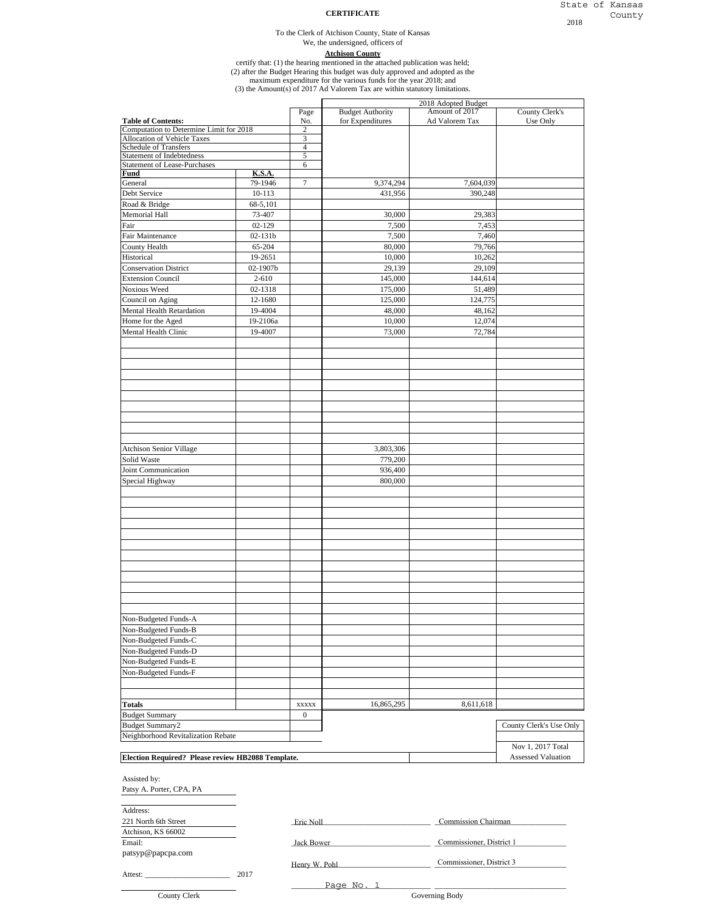#### **CERTIFICATE**

#### To the Clerk of Atchison County, State of Kansas

# We, the undersigned, officers of

**Atchison County**

certify that: (1) the hearing mentioned in the attached publication was held;

(2) after the Budget Hearing this budget was duly approved and adopted as the

maximum expenditure for the various funds for the year 2018; and (3) the Amount(s) of 2017 Ad Valorem Tax are within statutory limitations.

2018 Adopted Budget Page Budget Authority Amount of 2017 County Clerk's<br>No. for Expenditures Ad Valorem Tax Use Only **Table of Contents:** No. **No. 6 No. 6 No. 6 No. 6 No. 6 No. 6 No. 6 No. 6 No. 6 No. 6 No. 6 No. 6 No. 6 No. 6 No. 6 No. 6 No. 6 No. 6 No. 6 No. 6 No. 6 No. 6 No. 6 No. 6 No. 6 No. 6 No. 6 No. 6 No. 6 No. 6 No. 6 No. 6 No.**  $\frac{2}{2}$ <br>Computation of Vehicle Taxes 2 Allocation of Vehicle Taxes Schedule of Transfers 4 Statement of Indebtedness 5 Statement of Lease-Purchases 6 **Fund K.S.A.**<br>General 79-1946 General 79-1946 7 9,374,294 7,604,039 Debt Service 10-113 10-113 431,956 390,248 Road & Bridge 68-5,101 Memorial Hall **73-407** 73-407 30,000 30,000 29,383 Fair 62-129 1.453 Fair Maintenance 1 02-131b 1 02-131b 7,500 7,460 County Health 65-204 80,000 79,766 Historical 19-2651 10,000 10,000 10,000 10,000 10,000 10,000 10,000 10,000 10,000 10,000 10,000 10,000 10,000 10,000 10,000 10,000 10,000 10,000 10,000 10,000 10,000 10,000 10,000 10,000 10,000 10,000 10,000 10,000 10,000 Conservation District 1 02-1907b 29,139 29,139 29,109 Extension Council 2-610 2-610 145,000 144,614 Noxious Weed 02-1318 175,000 51,489 Council on Aging 12-1680 12-1680 125,000 125,000 124,775 Mental Health Retardation 19-4004 48,000 48,162 Home for the Aged 19-2106a 12,074 Mental Health Clinic 19-4007 19-4007 19-4007 73,000 72,784 Atchison Senior Village 3,803,306 Solid Waste 779,200 Joint Communication 936,400 Special Highway 800,000 Non-Budgeted Funds-A Non-Budgeted Funds-B Non-Budgeted Funds-C Non-Budgeted Funds-D Non-Budgeted Funds-E Non-Budgeted Funds-F **Totals** 8,611,618 8,611,618 Budget Summary **0** 0 Budget Summary2 County Clerk's Use Only Assisted by: Patsy A. Porter, CPA, PA Address: 221 North 6th Street **Example 221 North 6th Street** Street **Report Figure 221 North 6th Street** Atchison, KS 66002 Email: The Commissioner, District 1 patsyp@papcpa.com Henry W. Pohl Commissioner, District 3 Attest: \_\_\_\_\_\_\_\_\_\_\_\_\_\_\_\_\_\_\_\_\_\_ 2017 Amount of 2017 Ad Valorem Tax Neighborhood Revitalization Rebate Nov 1, 2017 Total **Election Required? Please review HB2088 Template.** Assessed Valuation Assessed Valuation

County Clerk

\_\_\_\_\_\_\_\_\_\_\_\_\_\_\_\_\_\_\_\_\_\_\_\_\_\_\_\_\_\_\_\_\_\_\_\_ \_\_\_\_\_\_\_\_\_\_\_\_\_\_\_\_\_\_\_\_\_\_\_\_\_\_\_\_\_\_\_\_\_\_ Page No. 1 Governing Body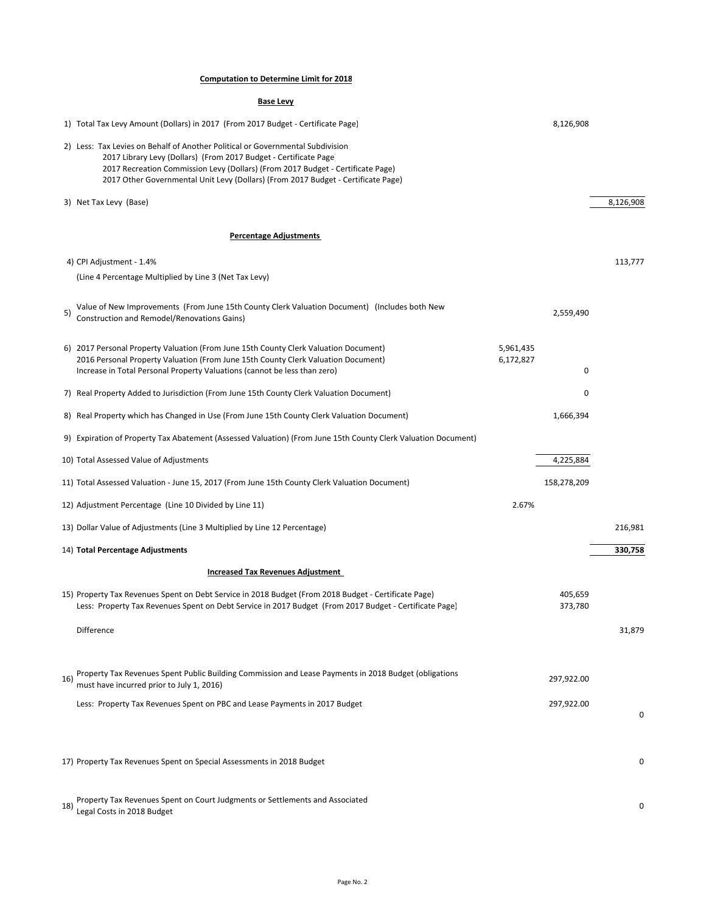### **Computation to Determine Limit for 2018**

|     | <b>Base Levy</b>                                                                                                                                                                                                                                                                                                            |                             |           |
|-----|-----------------------------------------------------------------------------------------------------------------------------------------------------------------------------------------------------------------------------------------------------------------------------------------------------------------------------|-----------------------------|-----------|
|     | 1) Total Tax Levy Amount (Dollars) in 2017 (From 2017 Budget - Certificate Page)                                                                                                                                                                                                                                            | 8,126,908                   |           |
|     | 2) Less: Tax Levies on Behalf of Another Political or Governmental Subdivision<br>2017 Library Levy (Dollars) (From 2017 Budget - Certificate Page)<br>2017 Recreation Commission Levy (Dollars) (From 2017 Budget - Certificate Page)<br>2017 Other Governmental Unit Levy (Dollars) (From 2017 Budget - Certificate Page) |                             |           |
|     | 3) Net Tax Levy (Base)                                                                                                                                                                                                                                                                                                      |                             | 8,126,908 |
|     | <b>Percentage Adjustments</b>                                                                                                                                                                                                                                                                                               |                             |           |
|     | 4) CPI Adjustment - 1.4%                                                                                                                                                                                                                                                                                                    |                             | 113,777   |
|     | (Line 4 Percentage Multiplied by Line 3 (Net Tax Levy)                                                                                                                                                                                                                                                                      |                             |           |
| 5)  | Value of New Improvements (From June 15th County Clerk Valuation Document) (Includes both New<br>Construction and Remodel/Renovations Gains)                                                                                                                                                                                | 2,559,490                   |           |
|     | 6) 2017 Personal Property Valuation (From June 15th County Clerk Valuation Document)<br>2016 Personal Property Valuation (From June 15th County Clerk Valuation Document)<br>Increase in Total Personal Property Valuations (cannot be less than zero)                                                                      | 5,961,435<br>6,172,827<br>0 |           |
|     | 7) Real Property Added to Jurisdiction (From June 15th County Clerk Valuation Document)                                                                                                                                                                                                                                     | 0                           |           |
|     | 8) Real Property which has Changed in Use (From June 15th County Clerk Valuation Document)                                                                                                                                                                                                                                  | 1,666,394                   |           |
|     | 9) Expiration of Property Tax Abatement (Assessed Valuation) (From June 15th County Clerk Valuation Document)                                                                                                                                                                                                               |                             |           |
|     | 10) Total Assessed Value of Adjustments                                                                                                                                                                                                                                                                                     | 4,225,884                   |           |
|     | 11) Total Assessed Valuation - June 15, 2017 (From June 15th County Clerk Valuation Document)                                                                                                                                                                                                                               | 158,278,209                 |           |
|     | 12) Adjustment Percentage (Line 10 Divided by Line 11)                                                                                                                                                                                                                                                                      | 2.67%                       |           |
|     | 13) Dollar Value of Adjustments (Line 3 Multiplied by Line 12 Percentage)                                                                                                                                                                                                                                                   |                             | 216,981   |
|     | 14) Total Percentage Adjustments                                                                                                                                                                                                                                                                                            |                             | 330,758   |
|     | <b>Increased Tax Revenues Adjustment</b>                                                                                                                                                                                                                                                                                    |                             |           |
|     | 15) Property Tax Revenues Spent on Debt Service in 2018 Budget (From 2018 Budget - Certificate Page)<br>Less: Property Tax Revenues Spent on Debt Service in 2017 Budget (From 2017 Budget - Certificate Page)                                                                                                              | 405,659<br>373,780          |           |
|     | Difference                                                                                                                                                                                                                                                                                                                  |                             | 31,879    |
| 16) | Property Tax Revenues Spent Public Building Commission and Lease Payments in 2018 Budget (obligations<br>must have incurred prior to July 1, 2016)                                                                                                                                                                          | 297,922.00                  |           |
|     | Less: Property Tax Revenues Spent on PBC and Lease Payments in 2017 Budget                                                                                                                                                                                                                                                  | 297,922.00                  | $\Omega$  |
|     |                                                                                                                                                                                                                                                                                                                             |                             |           |
|     | 17) Property Tax Revenues Spent on Special Assessments in 2018 Budget                                                                                                                                                                                                                                                       |                             | 0         |
|     |                                                                                                                                                                                                                                                                                                                             |                             |           |

18) Property Tax Revenues Spent on Court Judgments or Settlements and Associated<br>18) Legal Costs in 2018 Budget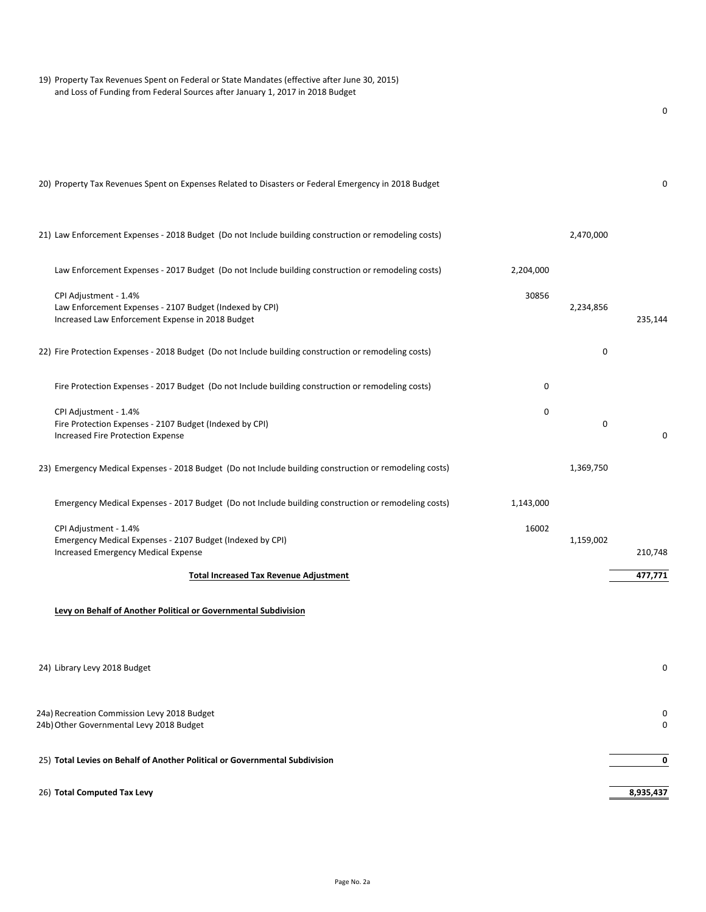| 19) Property Tax Revenues Spent on Federal or State Mandates (effective after June 30, 2015)<br>and Loss of Funding from Federal Sources after January 1, 2017 in 2018 Budget |           |           |
|-------------------------------------------------------------------------------------------------------------------------------------------------------------------------------|-----------|-----------|
|                                                                                                                                                                               |           | 0         |
| 20) Property Tax Revenues Spent on Expenses Related to Disasters or Federal Emergency in 2018 Budget                                                                          |           | 0         |
| 21) Law Enforcement Expenses - 2018 Budget (Do not Include building construction or remodeling costs)                                                                         | 2,470,000 |           |
| Law Enforcement Expenses - 2017 Budget (Do not Include building construction or remodeling costs)<br>2,204,000                                                                |           |           |
| 30856<br>CPI Adjustment - 1.4%<br>Law Enforcement Expenses - 2107 Budget (Indexed by CPI)<br>Increased Law Enforcement Expense in 2018 Budget                                 | 2,234,856 | 235,144   |
| 22) Fire Protection Expenses - 2018 Budget (Do not Include building construction or remodeling costs)                                                                         | 0         |           |
| Fire Protection Expenses - 2017 Budget (Do not Include building construction or remodeling costs)<br>0                                                                        |           |           |
| CPI Adjustment - 1.4%<br>0<br>Fire Protection Expenses - 2107 Budget (Indexed by CPI)<br>Increased Fire Protection Expense                                                    | 0         | 0         |
| 23) Emergency Medical Expenses - 2018 Budget (Do not Include building construction or remodeling costs)                                                                       | 1,369,750 |           |
| Emergency Medical Expenses - 2017 Budget (Do not Include building construction or remodeling costs)<br>1,143,000                                                              |           |           |
| CPI Adjustment - 1.4%<br>16002<br>Emergency Medical Expenses - 2107 Budget (Indexed by CPI)<br>Increased Emergency Medical Expense                                            | 1,159,002 | 210,748   |
| <b>Total Increased Tax Revenue Adjustment</b>                                                                                                                                 |           | 477,771   |
| Levy on Behalf of Another Political or Governmental Subdivision                                                                                                               |           |           |
| 24) Library Levy 2018 Budget                                                                                                                                                  |           | 0         |
| 24a) Recreation Commission Levy 2018 Budget<br>24b) Other Governmental Levy 2018 Budget                                                                                       |           | U<br>0    |
| 25) Total Levies on Behalf of Another Political or Governmental Subdivision                                                                                                   |           | 0         |
| 26) Total Computed Tax Levy                                                                                                                                                   |           | 8,935,437 |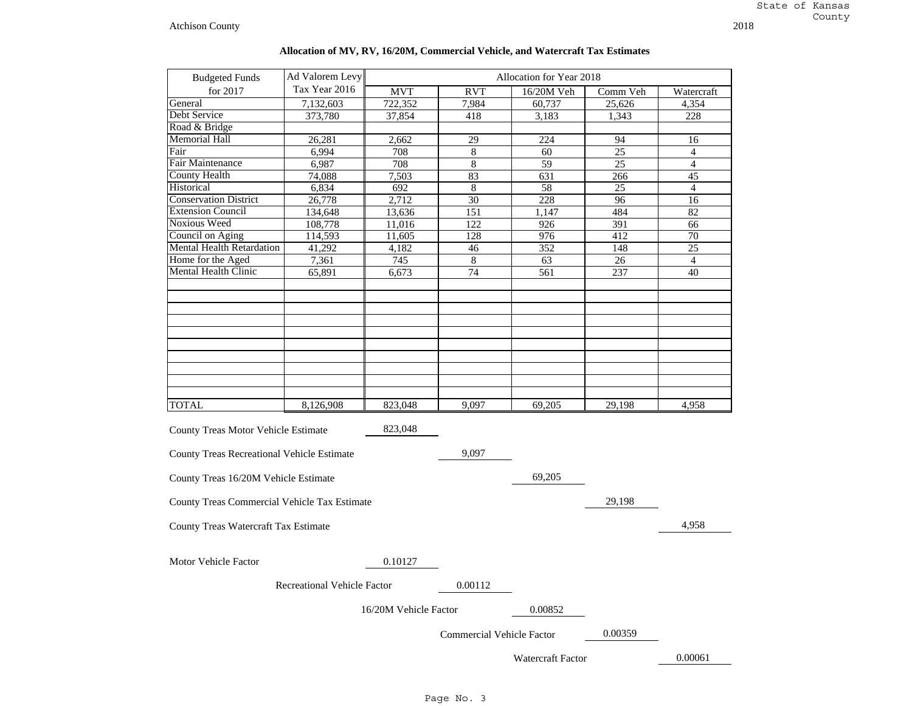| <b>Budgeted Funds</b>                        | Ad Valorem Levy             |                       |                                  | Allocation for Year 2018 |                 |                 |
|----------------------------------------------|-----------------------------|-----------------------|----------------------------------|--------------------------|-----------------|-----------------|
| for 2017                                     | Tax Year 2016               | <b>MVT</b>            | RVT                              | 16/20M Veh               | Comm Veh        | Watercraft      |
| General                                      | 7,132,603                   | 722,352               | 7,984                            | 60,737                   | 25,626          | 4,354           |
| Debt Service                                 | 373,780                     | 37,854                | 418                              | 3,183                    | 1,343           | 228             |
| Road & Bridge                                |                             |                       |                                  |                          |                 |                 |
| Memorial Hall                                | 26.281                      | 2,662                 | 29                               | 224                      | 94              | 16              |
| Fair                                         | 6,994                       | 708                   | 8                                | 60                       | $\overline{25}$ | 4               |
| Fair Maintenance                             | 6,987                       | 708                   | 8                                | 59                       | 25              | $\overline{4}$  |
| County Health                                | 74,088                      | 7,503                 | 83                               | 631                      | 266             | 45              |
| Historical                                   | 6,834                       | 692                   | $\,8\,$                          | $\overline{58}$          | 25              | $\overline{4}$  |
| <b>Conservation District</b>                 | 26,778                      | 2,712                 | $\overline{30}$                  | 228                      | 96              | 16              |
| <b>Extension Council</b>                     | 134,648                     | 13,636                | 151                              | 1,147                    | 484             | $\overline{82}$ |
| Noxious Weed                                 | 108,778                     | 11,016                | 122                              | 926                      | 391             | 66              |
| Council on Aging                             | 114,593                     | 11,605                | 128                              | 976                      | 412             | 70              |
| <b>Mental Health Retardation</b>             | 41,292                      | 4,182                 | 46                               | 352                      | 148             | 25              |
| Home for the Aged                            | 7,361                       | 745                   | 8                                | 63                       | 26              | $\overline{4}$  |
| Mental Health Clinic                         | 65,891                      | 6,673                 | 74                               | 561                      | 237             | 40              |
|                                              |                             |                       |                                  |                          |                 |                 |
|                                              |                             |                       |                                  |                          |                 |                 |
|                                              |                             |                       |                                  |                          |                 |                 |
|                                              |                             |                       |                                  |                          |                 |                 |
|                                              |                             |                       |                                  |                          |                 |                 |
|                                              |                             |                       |                                  |                          |                 |                 |
|                                              |                             |                       |                                  |                          |                 |                 |
| TOTAL                                        | 8,126,908                   | 823,048               | 9.097                            | 69,205                   | 29.198          | 4.958           |
|                                              |                             |                       |                                  |                          |                 |                 |
| <b>County Treas Motor Vehicle Estimate</b>   |                             | 823,048               |                                  |                          |                 |                 |
| County Treas Recreational Vehicle Estimate   |                             |                       | 9,097                            |                          |                 |                 |
| County Treas 16/20M Vehicle Estimate         |                             |                       |                                  | 69,205                   |                 |                 |
|                                              |                             |                       |                                  |                          |                 |                 |
| County Treas Commercial Vehicle Tax Estimate |                             |                       |                                  |                          | 29,198          |                 |
| County Treas Watercraft Tax Estimate         |                             |                       |                                  |                          |                 | 4,958           |
|                                              |                             |                       |                                  |                          |                 |                 |
| Motor Vehicle Factor                         |                             | 0.10127               |                                  |                          |                 |                 |
|                                              | Recreational Vehicle Factor |                       | 0.00112                          |                          |                 |                 |
|                                              | 0.00852                     |                       |                                  |                          |                 |                 |
|                                              |                             | 16/20M Vehicle Factor |                                  |                          |                 |                 |
|                                              |                             |                       | <b>Commercial Vehicle Factor</b> |                          | 0.00359         |                 |

## **Allocation of MV, RV, 16/20M, Commercial Vehicle, and Watercraft Tax Estimates**

Watercraft Factor

0.00061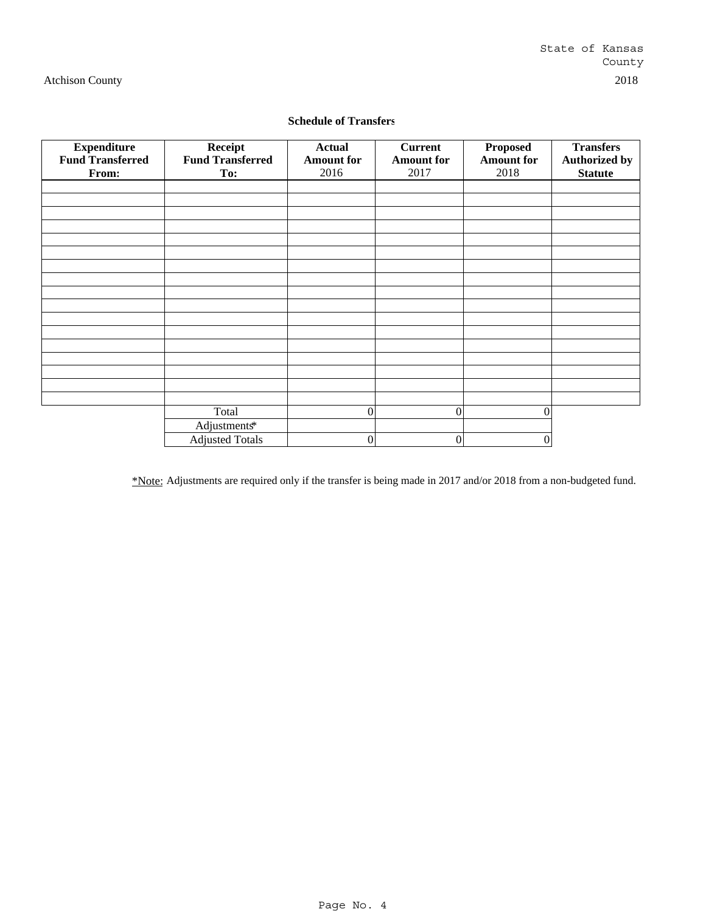# **Schedule of Transfers**

| <b>Expenditure</b>      | Receipt                 | <b>Actual</b>     | <b>Current</b>    | <b>Proposed</b>   | <b>Transfers</b>     |
|-------------------------|-------------------------|-------------------|-------------------|-------------------|----------------------|
| <b>Fund Transferred</b> | <b>Fund Transferred</b> | <b>Amount for</b> | <b>Amount for</b> | <b>Amount for</b> | <b>Authorized by</b> |
| From:                   | To:                     | 2016              | 2017              | 2018              | <b>Statute</b>       |
|                         |                         |                   |                   |                   |                      |
|                         |                         |                   |                   |                   |                      |
|                         |                         |                   |                   |                   |                      |
|                         |                         |                   |                   |                   |                      |
|                         |                         |                   |                   |                   |                      |
|                         |                         |                   |                   |                   |                      |
|                         |                         |                   |                   |                   |                      |
|                         |                         |                   |                   |                   |                      |
|                         |                         |                   |                   |                   |                      |
|                         |                         |                   |                   |                   |                      |
|                         |                         |                   |                   |                   |                      |
|                         |                         |                   |                   |                   |                      |
|                         |                         |                   |                   |                   |                      |
|                         |                         |                   |                   |                   |                      |
|                         |                         |                   |                   |                   |                      |
|                         |                         |                   |                   |                   |                      |
|                         |                         |                   |                   |                   |                      |
|                         | Total                   | $\Omega$          | $\mathbf{0}$      | $\theta$          |                      |
|                         | Adjustments*            |                   |                   |                   |                      |
|                         | <b>Adjusted Totals</b>  | 0                 | $\boldsymbol{0}$  | 0                 |                      |

\*Note: Adjustments are required only if the transfer is being made in 2017 and/or 2018 from a non-budgeted fund.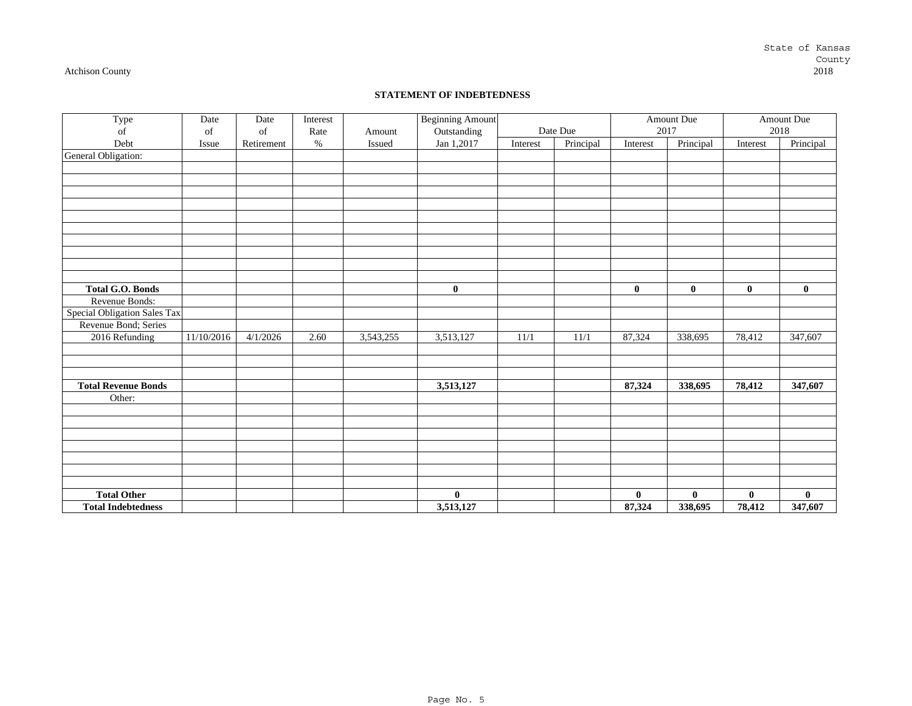# State of Kansas County<br>2018

#### Atchison County 2018

#### **STATEMENT OF INDEBTEDNESS**

| Type                         | Date       | Date       | Interest |           | <b>Beginning Amount</b> |          |           |          | Amount Due   |              | Amount Due   |
|------------------------------|------------|------------|----------|-----------|-------------------------|----------|-----------|----------|--------------|--------------|--------------|
| of                           | of         | of         | Rate     | Amount    | Outstanding             |          | Date Due  | 2017     |              |              | 2018         |
| Debt                         | Issue      | Retirement | $\%$     | Issued    | Jan 1,2017              | Interest | Principal | Interest | Principal    | Interest     | Principal    |
| General Obligation:          |            |            |          |           |                         |          |           |          |              |              |              |
|                              |            |            |          |           |                         |          |           |          |              |              |              |
|                              |            |            |          |           |                         |          |           |          |              |              |              |
|                              |            |            |          |           |                         |          |           |          |              |              |              |
|                              |            |            |          |           |                         |          |           |          |              |              |              |
|                              |            |            |          |           |                         |          |           |          |              |              |              |
|                              |            |            |          |           |                         |          |           |          |              |              |              |
|                              |            |            |          |           |                         |          |           |          |              |              |              |
|                              |            |            |          |           |                         |          |           |          |              |              |              |
|                              |            |            |          |           |                         |          |           |          |              |              |              |
|                              |            |            |          |           |                         |          |           |          |              |              |              |
| <b>Total G.O. Bonds</b>      |            |            |          |           | $\mathbf{0}$            |          |           | $\bf{0}$ | $\mathbf{0}$ | $\mathbf{0}$ | $\mathbf{0}$ |
| Revenue Bonds:               |            |            |          |           |                         |          |           |          |              |              |              |
| Special Obligation Sales Tax |            |            |          |           |                         |          |           |          |              |              |              |
| Revenue Bond; Series         |            |            |          |           |                         |          |           |          |              |              |              |
| 2016 Refunding               | 11/10/2016 | 4/1/2026   | 2.60     | 3,543,255 | 3,513,127               | 11/1     | 11/1      | 87,324   | 338,695      | 78,412       | 347,607      |
|                              |            |            |          |           |                         |          |           |          |              |              |              |
|                              |            |            |          |           |                         |          |           |          |              |              |              |
|                              |            |            |          |           |                         |          |           |          |              |              |              |
| <b>Total Revenue Bonds</b>   |            |            |          |           | 3,513,127               |          |           | 87,324   | 338,695      | 78,412       | 347,607      |
| Other:                       |            |            |          |           |                         |          |           |          |              |              |              |
|                              |            |            |          |           |                         |          |           |          |              |              |              |
|                              |            |            |          |           |                         |          |           |          |              |              |              |
|                              |            |            |          |           |                         |          |           |          |              |              |              |
|                              |            |            |          |           |                         |          |           |          |              |              |              |
|                              |            |            |          |           |                         |          |           |          |              |              |              |
|                              |            |            |          |           |                         |          |           |          |              |              |              |
|                              |            |            |          |           |                         |          |           |          |              |              |              |
| <b>Total Other</b>           |            |            |          |           | $\bf{0}$                |          |           | $\bf{0}$ | $\bf{0}$     | $\bf{0}$     | $\bf{0}$     |
| <b>Total Indebtedness</b>    |            |            |          |           | 3,513,127               |          |           | 87,324   | 338,695      | 78,412       | 347,607      |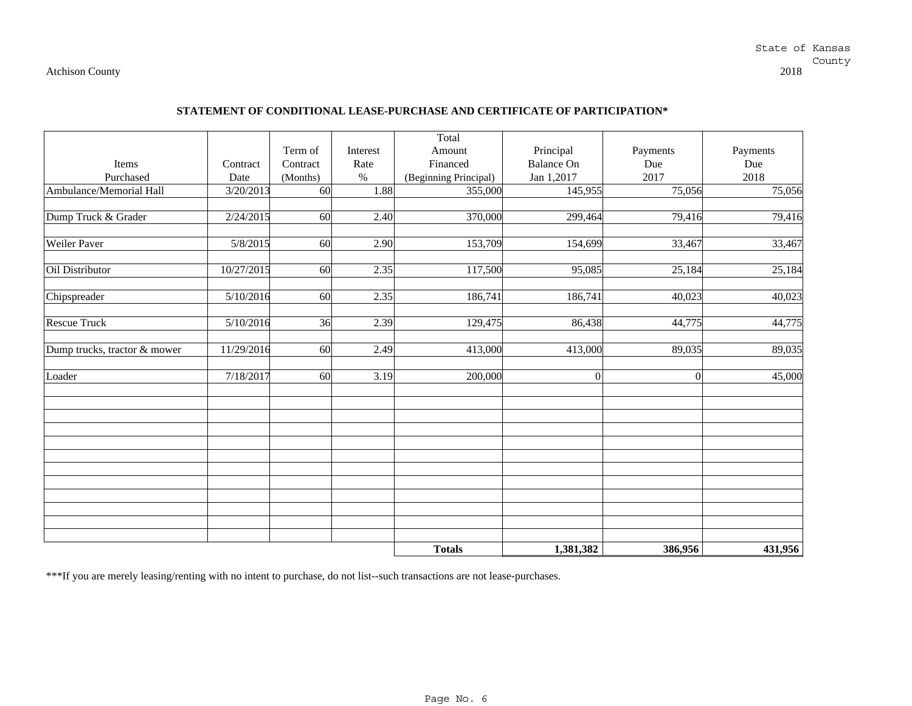#### **STATEMENT OF CONDITIONAL LEASE-PURCHASE AND CERTIFICATE OF PARTICIPATION\***

|                              |            |                 |          | Total                 |                   |          |                     |
|------------------------------|------------|-----------------|----------|-----------------------|-------------------|----------|---------------------|
|                              |            | Term of         | Interest | Amount                | Principal         | Payments | Payments            |
| Items                        | Contract   | Contract        | Rate     | Financed              | <b>Balance On</b> | Due      | Due                 |
| Purchased                    | Date       | (Months)        | $\%$     | (Beginning Principal) | Jan 1,2017        | 2017     | 2018                |
| Ambulance/Memorial Hall      | 3/20/2013  | $\overline{60}$ | 1.88     | 355,000               | 145,955           | 75,056   | 75,056              |
|                              |            |                 |          |                       |                   |          |                     |
| Dump Truck & Grader          | 2/24/2015  | 60              | 2.40     | 370,000               | 299,464           | 79,416   | 79,416              |
|                              |            |                 |          |                       |                   |          |                     |
| Weiler Paver                 | 5/8/2015   | 60              | 2.90     | 153,709               | 154,699           | 33,467   | 33,467              |
|                              |            |                 |          |                       |                   |          |                     |
| Oil Distributor              | 10/27/2015 | $\overline{60}$ | 2.35     | 117,500               | 95,085            | 25,184   | 25,184              |
|                              |            |                 |          |                       |                   |          |                     |
| Chipspreader                 | 5/10/2016  | 60              | 2.35     | 186,741               | 186,741           | 40,023   | $\overline{40,023}$ |
|                              |            |                 |          |                       |                   |          |                     |
| <b>Rescue Truck</b>          | 5/10/2016  | $\overline{36}$ | 2.39     | 129,475               | 86,438            | 44,775   | 44,775              |
|                              |            |                 |          |                       |                   |          |                     |
| Dump trucks, tractor & mower | 11/29/2016 | 60              | 2.49     | 413,000               | 413,000           | 89,035   | 89,035              |
|                              |            |                 |          |                       |                   |          |                     |
| Loader                       | 7/18/2017  | 60              | 3.19     | 200,000               | $\overline{0}$    | $\theta$ | 45,000              |
|                              |            |                 |          |                       |                   |          |                     |
|                              |            |                 |          |                       |                   |          |                     |
|                              |            |                 |          |                       |                   |          |                     |
|                              |            |                 |          |                       |                   |          |                     |
|                              |            |                 |          |                       |                   |          |                     |
|                              |            |                 |          |                       |                   |          |                     |
|                              |            |                 |          |                       |                   |          |                     |
|                              |            |                 |          |                       |                   |          |                     |
|                              |            |                 |          |                       |                   |          |                     |
|                              |            |                 |          |                       |                   |          |                     |
|                              |            |                 |          |                       |                   |          |                     |
|                              |            |                 |          |                       |                   |          |                     |
|                              |            |                 |          | <b>Totals</b>         | 1,381,382         | 386,956  | 431,956             |

\*\*\*If you are merely leasing/renting with no intent to purchase, do not list--such transactions are not lease-purchases.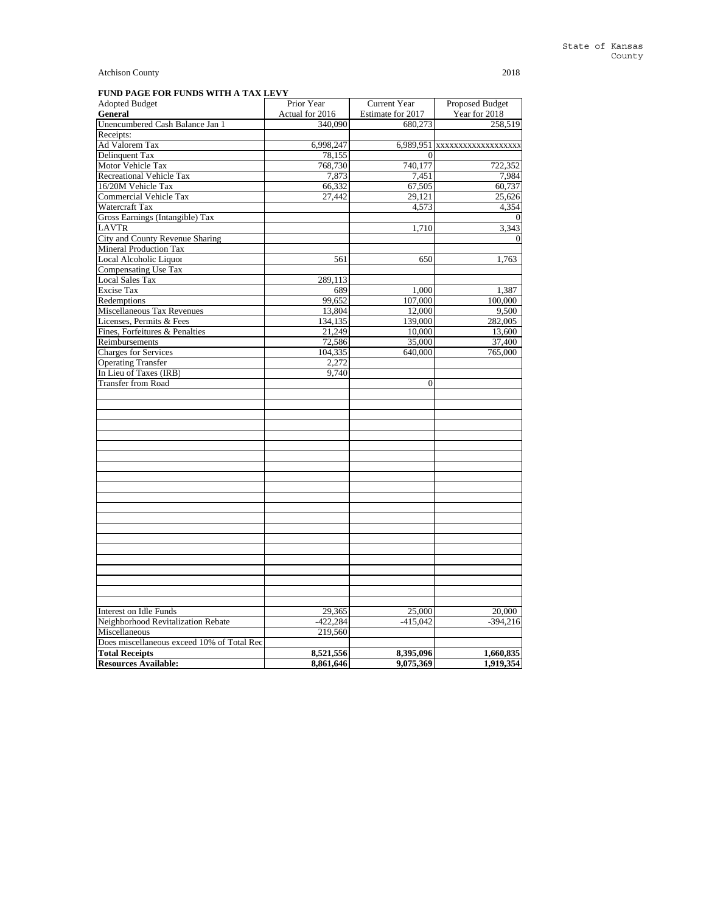| Actual for 2016<br>Estimate for 2017<br>Year for 2018<br>General<br>Unencumbered Cash Balance Jan 1<br>340,090<br>680,273<br>258,519<br>6,998,247<br>6,989,951 xxxxxxxxxxxxxxxxxxx<br>78.155<br>$\Omega$<br>740,177<br>722,352<br>768,730<br>7,873<br>7,451<br>7,984<br>66,332<br>67,505<br>60,737<br>27,442<br>29,121<br>25,626<br>Watercraft Tax<br>4,573<br>4,354<br>Gross Earnings (Intangible) Tax<br>1,710<br>3,343<br>City and County Revenue Sharing<br><b>Mineral Production Tax</b><br>561<br>650<br>1,763<br>289,113<br>689<br>1,000<br>1,387<br>99.652<br>107,000<br>100,000<br>13,804<br>12,000<br>9,500<br>134,135<br>139,000<br>282,005<br>21,249<br>10,000<br>13,600<br>72,586<br>35,000<br>37,400<br>640,000<br>104,335<br>765,000<br>2,272<br>9.740<br>$\mathbf{0}$<br><b>Interest on Idle Funds</b><br>29,365<br>25,000<br>20,000<br>Neighborhood Revitalization Rebate<br>$-422,284$<br>$-415,042$<br>$-394,216$<br>Miscellaneous<br>219,560<br>Does miscellaneous exceed 10% of Total Rec<br><b>Total Receipts</b><br>8,521,556<br>8,395,096<br>1,660,835 | <b>Adopted Budget</b>           | Prior Year | Current Year | <b>Proposed Budget</b> |
|--------------------------------------------------------------------------------------------------------------------------------------------------------------------------------------------------------------------------------------------------------------------------------------------------------------------------------------------------------------------------------------------------------------------------------------------------------------------------------------------------------------------------------------------------------------------------------------------------------------------------------------------------------------------------------------------------------------------------------------------------------------------------------------------------------------------------------------------------------------------------------------------------------------------------------------------------------------------------------------------------------------------------------------------------------------------------------|---------------------------------|------------|--------------|------------------------|
|                                                                                                                                                                                                                                                                                                                                                                                                                                                                                                                                                                                                                                                                                                                                                                                                                                                                                                                                                                                                                                                                                |                                 |            |              |                        |
|                                                                                                                                                                                                                                                                                                                                                                                                                                                                                                                                                                                                                                                                                                                                                                                                                                                                                                                                                                                                                                                                                |                                 |            |              |                        |
|                                                                                                                                                                                                                                                                                                                                                                                                                                                                                                                                                                                                                                                                                                                                                                                                                                                                                                                                                                                                                                                                                | Receipts:                       |            |              |                        |
|                                                                                                                                                                                                                                                                                                                                                                                                                                                                                                                                                                                                                                                                                                                                                                                                                                                                                                                                                                                                                                                                                | Ad Valorem Tax                  |            |              |                        |
|                                                                                                                                                                                                                                                                                                                                                                                                                                                                                                                                                                                                                                                                                                                                                                                                                                                                                                                                                                                                                                                                                | <b>Delinquent Tax</b>           |            |              |                        |
|                                                                                                                                                                                                                                                                                                                                                                                                                                                                                                                                                                                                                                                                                                                                                                                                                                                                                                                                                                                                                                                                                | Motor Vehicle Tax               |            |              |                        |
|                                                                                                                                                                                                                                                                                                                                                                                                                                                                                                                                                                                                                                                                                                                                                                                                                                                                                                                                                                                                                                                                                | <b>Recreational Vehicle Tax</b> |            |              |                        |
|                                                                                                                                                                                                                                                                                                                                                                                                                                                                                                                                                                                                                                                                                                                                                                                                                                                                                                                                                                                                                                                                                | 16/20M Vehicle Tax              |            |              |                        |
|                                                                                                                                                                                                                                                                                                                                                                                                                                                                                                                                                                                                                                                                                                                                                                                                                                                                                                                                                                                                                                                                                | <b>Commercial Vehicle Tax</b>   |            |              |                        |
|                                                                                                                                                                                                                                                                                                                                                                                                                                                                                                                                                                                                                                                                                                                                                                                                                                                                                                                                                                                                                                                                                |                                 |            |              |                        |
|                                                                                                                                                                                                                                                                                                                                                                                                                                                                                                                                                                                                                                                                                                                                                                                                                                                                                                                                                                                                                                                                                |                                 |            |              |                        |
|                                                                                                                                                                                                                                                                                                                                                                                                                                                                                                                                                                                                                                                                                                                                                                                                                                                                                                                                                                                                                                                                                | <b>LAVTR</b>                    |            |              |                        |
|                                                                                                                                                                                                                                                                                                                                                                                                                                                                                                                                                                                                                                                                                                                                                                                                                                                                                                                                                                                                                                                                                |                                 |            |              |                        |
|                                                                                                                                                                                                                                                                                                                                                                                                                                                                                                                                                                                                                                                                                                                                                                                                                                                                                                                                                                                                                                                                                |                                 |            |              |                        |
|                                                                                                                                                                                                                                                                                                                                                                                                                                                                                                                                                                                                                                                                                                                                                                                                                                                                                                                                                                                                                                                                                | Local Alcoholic Liquor          |            |              |                        |
|                                                                                                                                                                                                                                                                                                                                                                                                                                                                                                                                                                                                                                                                                                                                                                                                                                                                                                                                                                                                                                                                                | Compensating Use Tax            |            |              |                        |
|                                                                                                                                                                                                                                                                                                                                                                                                                                                                                                                                                                                                                                                                                                                                                                                                                                                                                                                                                                                                                                                                                | <b>Local Sales Tax</b>          |            |              |                        |
|                                                                                                                                                                                                                                                                                                                                                                                                                                                                                                                                                                                                                                                                                                                                                                                                                                                                                                                                                                                                                                                                                | <b>Excise Tax</b>               |            |              |                        |
|                                                                                                                                                                                                                                                                                                                                                                                                                                                                                                                                                                                                                                                                                                                                                                                                                                                                                                                                                                                                                                                                                | Redemptions                     |            |              |                        |
|                                                                                                                                                                                                                                                                                                                                                                                                                                                                                                                                                                                                                                                                                                                                                                                                                                                                                                                                                                                                                                                                                | Miscellaneous Tax Revenues      |            |              |                        |
|                                                                                                                                                                                                                                                                                                                                                                                                                                                                                                                                                                                                                                                                                                                                                                                                                                                                                                                                                                                                                                                                                | Licenses, Permits & Fees        |            |              |                        |
|                                                                                                                                                                                                                                                                                                                                                                                                                                                                                                                                                                                                                                                                                                                                                                                                                                                                                                                                                                                                                                                                                | Fines, Forfeitures & Penalties  |            |              |                        |
|                                                                                                                                                                                                                                                                                                                                                                                                                                                                                                                                                                                                                                                                                                                                                                                                                                                                                                                                                                                                                                                                                | Reimbursements                  |            |              |                        |
|                                                                                                                                                                                                                                                                                                                                                                                                                                                                                                                                                                                                                                                                                                                                                                                                                                                                                                                                                                                                                                                                                | <b>Charges for Services</b>     |            |              |                        |
|                                                                                                                                                                                                                                                                                                                                                                                                                                                                                                                                                                                                                                                                                                                                                                                                                                                                                                                                                                                                                                                                                | <b>Operating Transfer</b>       |            |              |                        |
|                                                                                                                                                                                                                                                                                                                                                                                                                                                                                                                                                                                                                                                                                                                                                                                                                                                                                                                                                                                                                                                                                | In Lieu of Taxes (IRB)          |            |              |                        |
|                                                                                                                                                                                                                                                                                                                                                                                                                                                                                                                                                                                                                                                                                                                                                                                                                                                                                                                                                                                                                                                                                | <b>Transfer from Road</b>       |            |              |                        |
|                                                                                                                                                                                                                                                                                                                                                                                                                                                                                                                                                                                                                                                                                                                                                                                                                                                                                                                                                                                                                                                                                |                                 |            |              |                        |
|                                                                                                                                                                                                                                                                                                                                                                                                                                                                                                                                                                                                                                                                                                                                                                                                                                                                                                                                                                                                                                                                                |                                 |            |              |                        |
|                                                                                                                                                                                                                                                                                                                                                                                                                                                                                                                                                                                                                                                                                                                                                                                                                                                                                                                                                                                                                                                                                |                                 |            |              |                        |
|                                                                                                                                                                                                                                                                                                                                                                                                                                                                                                                                                                                                                                                                                                                                                                                                                                                                                                                                                                                                                                                                                |                                 |            |              |                        |
|                                                                                                                                                                                                                                                                                                                                                                                                                                                                                                                                                                                                                                                                                                                                                                                                                                                                                                                                                                                                                                                                                |                                 |            |              |                        |
|                                                                                                                                                                                                                                                                                                                                                                                                                                                                                                                                                                                                                                                                                                                                                                                                                                                                                                                                                                                                                                                                                |                                 |            |              |                        |
|                                                                                                                                                                                                                                                                                                                                                                                                                                                                                                                                                                                                                                                                                                                                                                                                                                                                                                                                                                                                                                                                                |                                 |            |              |                        |
|                                                                                                                                                                                                                                                                                                                                                                                                                                                                                                                                                                                                                                                                                                                                                                                                                                                                                                                                                                                                                                                                                |                                 |            |              |                        |
|                                                                                                                                                                                                                                                                                                                                                                                                                                                                                                                                                                                                                                                                                                                                                                                                                                                                                                                                                                                                                                                                                |                                 |            |              |                        |
|                                                                                                                                                                                                                                                                                                                                                                                                                                                                                                                                                                                                                                                                                                                                                                                                                                                                                                                                                                                                                                                                                |                                 |            |              |                        |
|                                                                                                                                                                                                                                                                                                                                                                                                                                                                                                                                                                                                                                                                                                                                                                                                                                                                                                                                                                                                                                                                                |                                 |            |              |                        |
|                                                                                                                                                                                                                                                                                                                                                                                                                                                                                                                                                                                                                                                                                                                                                                                                                                                                                                                                                                                                                                                                                |                                 |            |              |                        |
|                                                                                                                                                                                                                                                                                                                                                                                                                                                                                                                                                                                                                                                                                                                                                                                                                                                                                                                                                                                                                                                                                |                                 |            |              |                        |
|                                                                                                                                                                                                                                                                                                                                                                                                                                                                                                                                                                                                                                                                                                                                                                                                                                                                                                                                                                                                                                                                                |                                 |            |              |                        |
|                                                                                                                                                                                                                                                                                                                                                                                                                                                                                                                                                                                                                                                                                                                                                                                                                                                                                                                                                                                                                                                                                |                                 |            |              |                        |
|                                                                                                                                                                                                                                                                                                                                                                                                                                                                                                                                                                                                                                                                                                                                                                                                                                                                                                                                                                                                                                                                                |                                 |            |              |                        |
|                                                                                                                                                                                                                                                                                                                                                                                                                                                                                                                                                                                                                                                                                                                                                                                                                                                                                                                                                                                                                                                                                |                                 |            |              |                        |
|                                                                                                                                                                                                                                                                                                                                                                                                                                                                                                                                                                                                                                                                                                                                                                                                                                                                                                                                                                                                                                                                                |                                 |            |              |                        |
|                                                                                                                                                                                                                                                                                                                                                                                                                                                                                                                                                                                                                                                                                                                                                                                                                                                                                                                                                                                                                                                                                |                                 |            |              |                        |
|                                                                                                                                                                                                                                                                                                                                                                                                                                                                                                                                                                                                                                                                                                                                                                                                                                                                                                                                                                                                                                                                                |                                 |            |              |                        |
|                                                                                                                                                                                                                                                                                                                                                                                                                                                                                                                                                                                                                                                                                                                                                                                                                                                                                                                                                                                                                                                                                |                                 |            |              |                        |
|                                                                                                                                                                                                                                                                                                                                                                                                                                                                                                                                                                                                                                                                                                                                                                                                                                                                                                                                                                                                                                                                                |                                 |            |              |                        |
|                                                                                                                                                                                                                                                                                                                                                                                                                                                                                                                                                                                                                                                                                                                                                                                                                                                                                                                                                                                                                                                                                |                                 |            |              |                        |
|                                                                                                                                                                                                                                                                                                                                                                                                                                                                                                                                                                                                                                                                                                                                                                                                                                                                                                                                                                                                                                                                                |                                 |            |              |                        |
|                                                                                                                                                                                                                                                                                                                                                                                                                                                                                                                                                                                                                                                                                                                                                                                                                                                                                                                                                                                                                                                                                |                                 |            |              |                        |
|                                                                                                                                                                                                                                                                                                                                                                                                                                                                                                                                                                                                                                                                                                                                                                                                                                                                                                                                                                                                                                                                                |                                 |            |              |                        |
|                                                                                                                                                                                                                                                                                                                                                                                                                                                                                                                                                                                                                                                                                                                                                                                                                                                                                                                                                                                                                                                                                | <b>Resources Available:</b>     | 8,861,646  | 9,075,369    | 1,919,354              |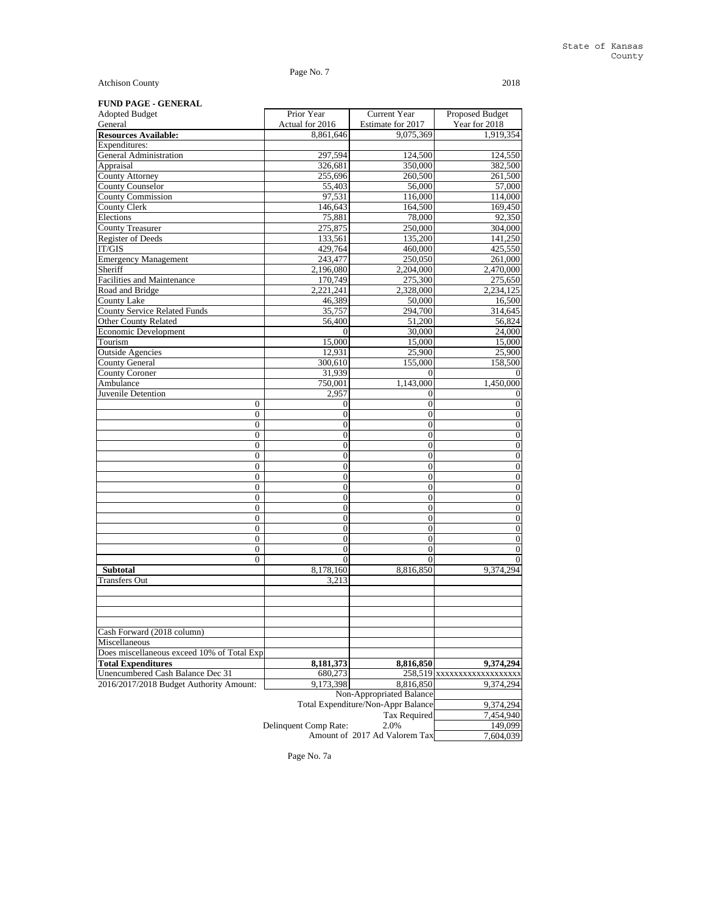# Page No. 7

Atchison County 2018

# **FUND PAGE - GENERAL**

| I UND FAGE - GENEKAL                       | Prior Year                                | Current Year                       | <b>Proposed Budget</b>     |
|--------------------------------------------|-------------------------------------------|------------------------------------|----------------------------|
| <b>Adopted Budget</b><br>General           |                                           | Estimate for 2017                  | Year for 2018              |
| <b>Resources Available:</b>                | Actual for 2016<br>$\overline{8,861,646}$ | 9,075,369                          | 1,919,354                  |
| Expenditures:                              |                                           |                                    |                            |
| General Administration                     | 297,594                                   | 124,500                            | 124,550                    |
| Appraisal                                  | 326,681                                   | 350,000                            | 382,500                    |
| County Attorney                            | 255,696                                   | 260,500                            | 261,500                    |
| <b>County Counselor</b>                    | 55,403                                    | 56,000                             | 57,000                     |
| <b>County Commission</b>                   | 97,531                                    | 116,000                            | 114,000                    |
| <b>County Clerk</b>                        | 146,643                                   | 164,500                            | 169,450                    |
| Elections                                  | 75,881                                    | 78,000                             | 92,350                     |
| <b>County Treasurer</b>                    | 275,875                                   | 250,000                            | 304,000                    |
| <b>Register of Deeds</b>                   | 133,561                                   | 135,200                            | 141,250                    |
| IT/GIS                                     | 429,764                                   | 460,000                            | 425,550                    |
| <b>Emergency Management</b>                | 243,477                                   | 250,050                            | 261,000                    |
| Sheriff                                    | 2,196,080                                 | 2,204,000                          |                            |
| Facilities and Maintenance                 | 170,749                                   | 275,300                            | 2,470,000                  |
|                                            |                                           |                                    | 275,650                    |
| Road and Bridge                            | 2,221,241                                 | 2,328,000                          | 2,234,125                  |
| County Lake                                | 46,389                                    | 50,000                             | 16,500                     |
| <b>County Service Related Funds</b>        | 35,757                                    | 294,700                            | 314,645                    |
| Other County Related                       | 56,400                                    | 51,200                             | 56,824                     |
| Economic Development                       | $\Omega$                                  | 30,000                             | 24,000                     |
| Tourism                                    | 15,000                                    | 15,000                             | 15,000                     |
| <b>Outside Agencies</b>                    | 12,931                                    | 25,900                             | 25,900                     |
| <b>County General</b>                      | 300,610                                   | 155,000                            | 158,500                    |
| <b>County Coroner</b>                      | 31,939                                    | $\Omega$                           |                            |
| Ambulance                                  | 750,001                                   | 1,143,000                          | 1,450,000                  |
| Juvenile Detention                         | 2,957                                     | $\mathbf{0}$                       | 0                          |
| $\overline{0}$                             | 0                                         | $\mathbf{0}$                       | $\mathbf{0}$               |
| $\overline{0}$                             | 0                                         | $\boldsymbol{0}$                   | $\boldsymbol{0}$           |
| $\overline{0}$                             | $\overline{0}$                            | $\boldsymbol{0}$                   | $\overline{0}$             |
| $\overline{0}$                             | $\overline{0}$                            | $\boldsymbol{0}$                   | $\boldsymbol{0}$           |
| $\overline{0}$                             | $\boldsymbol{0}$                          | $\boldsymbol{0}$                   | $\boldsymbol{0}$           |
| $\overline{0}$                             | $\overline{0}$                            | $\boldsymbol{0}$                   | $\boldsymbol{0}$           |
| $\overline{0}$                             | $\overline{0}$                            | $\boldsymbol{0}$                   | $\boldsymbol{0}$           |
| $\overline{0}$                             | $\overline{0}$                            | $\boldsymbol{0}$                   | $\boldsymbol{0}$           |
| $\overline{0}$                             | $\boldsymbol{0}$                          | $\boldsymbol{0}$                   | $\boldsymbol{0}$           |
| $\overline{0}$                             | $\overline{0}$                            | $\boldsymbol{0}$                   | $\boldsymbol{0}$           |
| $\overline{0}$                             | $\overline{0}$                            | $\boldsymbol{0}$                   | $\boldsymbol{0}$           |
| $\overline{0}$                             | $\overline{0}$                            | $\boldsymbol{0}$                   | $\boldsymbol{0}$           |
| $\overline{0}$                             | $\overline{0}$                            | $\boldsymbol{0}$                   | $\boldsymbol{0}$           |
| $\overline{0}$                             | $\overline{0}$                            | $\mathbf{0}$                       | $\boldsymbol{0}$           |
| $\overline{0}$                             | $\overline{0}$                            | $\mathbf{0}$                       | $\theta$                   |
| $\Omega$                                   | $\Omega$                                  | $\Omega$                           |                            |
| <b>Subtotal</b>                            | 8,178,160                                 | 8,816,850                          | 9,374,294                  |
| <b>Transfers Out</b>                       | 3,213                                     |                                    |                            |
|                                            |                                           |                                    |                            |
|                                            |                                           |                                    |                            |
|                                            |                                           |                                    |                            |
|                                            |                                           |                                    |                            |
| Cash Forward (2018 column)                 |                                           |                                    |                            |
| Miscellaneous                              |                                           |                                    |                            |
| Does miscellaneous exceed 10% of Total Exp |                                           |                                    |                            |
| <b>Total Expenditures</b>                  | 8,181,373                                 | 8,816,850                          | 9,374,294                  |
| Unencumbered Cash Balance Dec 31           | 680,273                                   |                                    | 258,519 xxxxxxxxxxxxxxxxxx |
| 2016/2017/2018 Budget Authority Amount:    | 9,173,398                                 | 8,816,850                          | 9,374,294                  |
|                                            |                                           | Non-Appropriated Balance           |                            |
|                                            |                                           | Total Expenditure/Non-Appr Balance | 9,374,294                  |
|                                            |                                           | <b>Tax Required</b>                | 7,454,940                  |
|                                            | Delinquent Comp Rate:                     | 2.0%                               | 149,099                    |
|                                            |                                           | Amount of 2017 Ad Valorem Tax      | 7,604,039                  |

Page No. 7a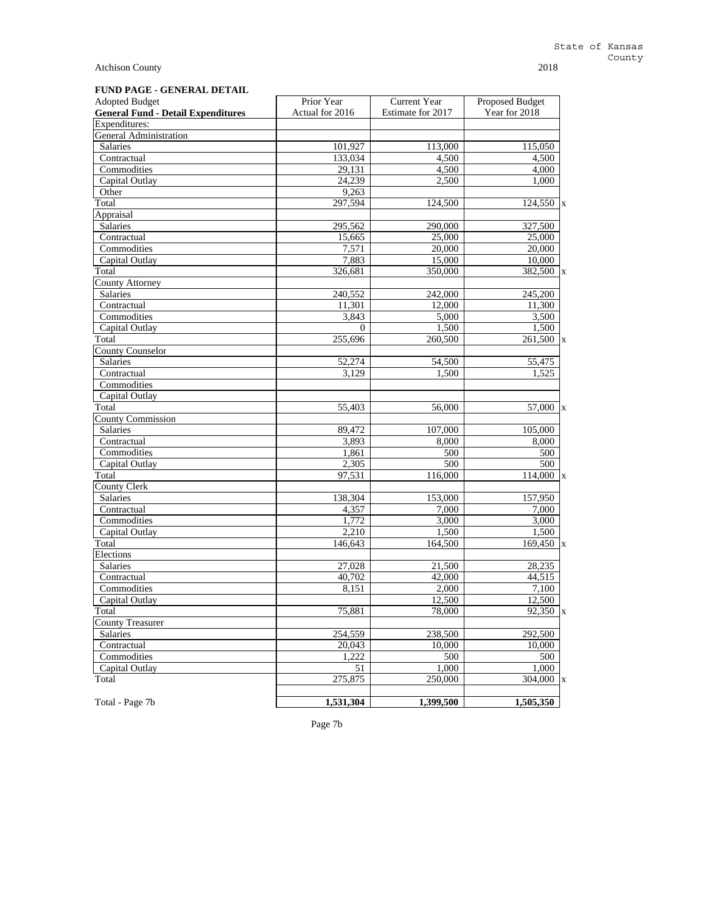# **FUND PAGE - GENERAL DETAIL**

| <b>Adopted Budget</b>                     | Prior Year      | Current Year         | <b>Proposed Budget</b>  |
|-------------------------------------------|-----------------|----------------------|-------------------------|
| <b>General Fund - Detail Expenditures</b> | Actual for 2016 | Estimate for 2017    | Year for 2018           |
| Expenditures:                             |                 |                      |                         |
| <b>General Administration</b>             |                 |                      |                         |
| Salaries                                  | 101,927         | 113,000              | 115,050                 |
| Contractual                               | 133,034         | 4,500                | 4,500                   |
| Commodities                               | 29,131          | 4,500                | 4,000                   |
| Capital Outlay                            | 24.239          | 2,500                | 1,000                   |
| Other                                     | 9,263           |                      |                         |
| Total                                     | 297,594         | 124,500              | 124,550<br>$\mathbf{x}$ |
| Appraisal                                 |                 |                      |                         |
| Salaries                                  | 295,562         | 290,000              | 327,500                 |
| Contractual                               | 15,665          | 25,000               | 25,000                  |
| Commodities                               | 7,571           | 20,000               | 20,000                  |
| Capital Outlay                            | 7,883           | 15,000               | 10,000                  |
| Total                                     | 326,681         | 350,000              | $382,500$ x             |
| <b>County Attorney</b>                    |                 |                      |                         |
| Salaries                                  | 240,552         | $\overline{242,000}$ | 245,200                 |
| Contractual                               | 11,301          | 12,000               | 11,300                  |
| Commodities                               | 3,843           | 5,000                | 3,500                   |
| Capital Outlay                            | $\mathbf{0}$    | 1,500                | 1,500                   |
| Total                                     | 255,696         | 260,500              | 261,500 x               |
| <b>County Counselor</b>                   |                 |                      |                         |
| <b>Salaries</b>                           | 52,274          | 54,500               | 55,475                  |
| Contractual                               | 3,129           | 1,500                | 1,525                   |
| Commodities                               |                 |                      |                         |
| Capital Outlay                            |                 |                      |                         |
| Total                                     | 55,403          | 56,000               | 57,000 x                |
| <b>County Commission</b>                  |                 |                      |                         |
| <b>Salaries</b>                           | 89.472          | 107,000              | 105,000                 |
| Contractual                               | 3,893           | 8,000                | 8,000                   |
| Commodities                               | 1,861           | 500                  | 500                     |
| Capital Outlay                            | 2,305           | 500                  | 500                     |
| Total                                     | 97,531          | 116,000              | $114,000$ x             |
| <b>County Clerk</b>                       |                 |                      |                         |
| <b>Salaries</b>                           | 138,304         | 153,000              | 157,950                 |
| Contractual                               | 4,357           | 7,000                | 7,000                   |
| Commodities                               | 1,772           | 3,000                | 3,000                   |
| Capital Outlay                            | 2,210           | 1,500                | 1,500                   |
| Total                                     | 146,643         | 164,500              | $169,450$ x             |
| Elections                                 |                 |                      |                         |
| Salaries                                  | 27,028          | 21,500               | 28,235                  |
| Contractual                               | 40,702          | 42,000               | 44,515                  |
| Commodities                               | 8.151           | 2,000                | 7,100                   |
| Capital Outlay                            |                 | 12,500               | 12,500                  |
| Total                                     | 75,881          | 78,000               | 92,350 x                |
| <b>County Treasurer</b>                   |                 |                      |                         |
| Salaries                                  | 254,559         | 238,500              | 292,500                 |
| Contractual                               | 20,043          | 10,000               | 10,000                  |
| Commodities                               | 1,222           | 500                  | 500                     |
| Capital Outlay                            | 51              | 1,000                | 1,000                   |
| Total                                     | 275,875         | 250,000              | $304,000$ <sub>x</sub>  |
| Total - Page 7b                           | 1,531,304       | 1,399,500            | 1,505,350               |

Page 7b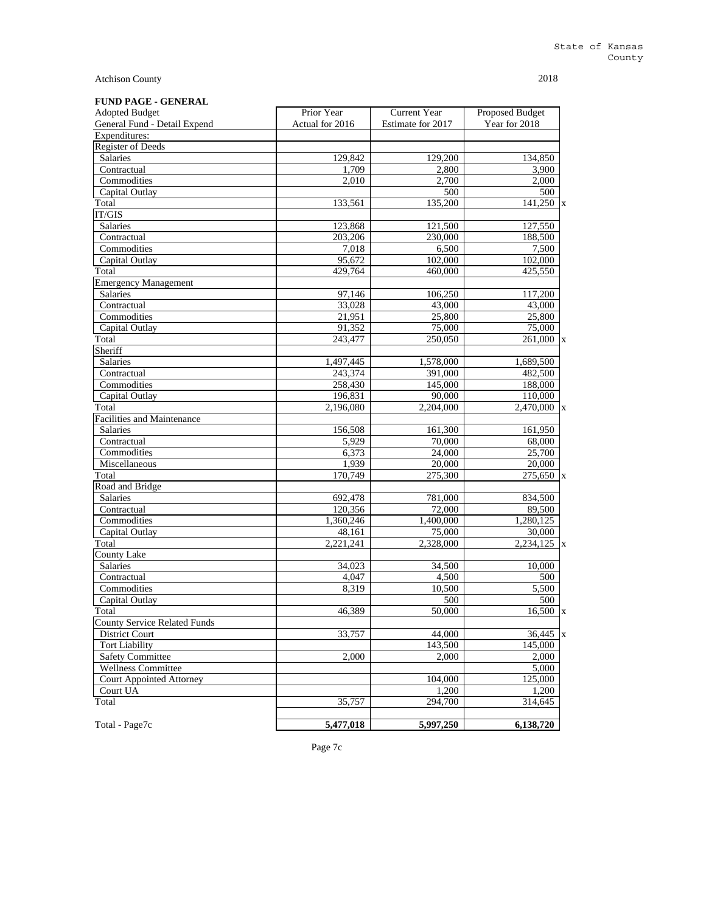| <b>FUND PAGE - GENERAL</b> |  |  |
|----------------------------|--|--|
|----------------------------|--|--|

| <b>Adopted Budget</b>               | Prior Year      | Current Year         | Proposed Budget      |
|-------------------------------------|-----------------|----------------------|----------------------|
| General Fund - Detail Expend        | Actual for 2016 | Estimate for 2017    | Year for 2018        |
| Expenditures:                       |                 |                      |                      |
| <b>Register of Deeds</b>            |                 |                      |                      |
| Salaries                            | 129,842         | 129,200              | 134,850              |
| Contractual                         | 1,709           | 2,800                | 3,900                |
| Commodities                         | 2,010           | 2,700                | 2,000                |
| Capital Outlay                      |                 | 500                  | 500                  |
| Total                               | 133,561         | 135,200              | $\frac{1}{41,250}$ x |
| <b>IT/GIS</b>                       |                 |                      |                      |
| Salaries                            | 123,868         | 121,500              | 127,550              |
| Contractual                         | 203,206         | 230,000              | 188,500              |
| Commodities                         | 7,018           | 6,500                | 7,500                |
| Capital Outlay                      | 95,672          | 102,000              | 102,000              |
| Total                               | 429,764         | 460,000              | 425,550              |
| <b>Emergency Management</b>         |                 |                      |                      |
| <b>Salaries</b>                     | 97,146          | 106,250              | 117,200              |
| Contractual                         | 33,028          | 43,000               | 43,000               |
| Commodities                         | 21,951          | 25,800               | 25,800               |
| Capital Outlay                      | 91,352          | 75,000               | 75,000               |
|                                     | 243,477         |                      |                      |
| Total<br>Sheriff                    |                 | 250,050              | $261,000$ x          |
|                                     |                 |                      |                      |
| <b>Salaries</b>                     | 1,497,445       | 1,578,000<br>391,000 | 1,689,500            |
| Contractual                         | 243,374         |                      | 482,500              |
| Commodities                         | 258,430         | 145,000              | 188,000              |
| Capital Outlay                      | 196,831         | 90,000               | 110,000              |
| Total                               | 2,196,080       | 2.204.000            | $2,470,000$ x        |
| <b>Facilities and Maintenance</b>   |                 |                      |                      |
| Salaries                            | 156,508         | 161,300              | 161,950              |
| Contractual                         | 5,929           | 70,000               | 68,000               |
| Commodities                         | 6,373           | 24,000               | 25,700               |
| Miscellaneous                       | 1,939           | 20,000               | 20,000               |
| Total                               | 170,749         | 275,300              | 275,650 x            |
| Road and Bridge                     |                 |                      |                      |
| Salaries                            | 692,478         | 781,000              | 834,500              |
| Contractual                         | 120,356         | 72,000               | 89,500               |
| Commodities                         | 1,360,246       | 1,400,000            | 1,280,125            |
| Capital Outlay                      | 48,161          | 75,000               | 30,000               |
| Total                               | 2,221,241       | 2,328,000            | $2,234,125$ x        |
| County Lake                         |                 |                      |                      |
| <b>Salaries</b>                     | 34,023          | 34,500               | 10,000               |
| Contractual                         | 4.047           | 4,500                | 500                  |
| Commodities                         | 8,319           | 10,500               | 5,500                |
| Capital Outlay                      |                 | 500                  | 500                  |
| Total                               | 46,389          | 50,000               | $16,500 \text{ x}$   |
| <b>County Service Related Funds</b> |                 |                      |                      |
| <b>District Court</b>               | 33,757          | 44.000               | $36,445$ x           |
| <b>Tort Liability</b>               |                 | 143,500              | 145,000              |
| <b>Safety Committee</b>             | 2,000           | 2,000                | 2.000                |
| Wellness Committee                  |                 |                      | 5,000                |
| <b>Court Appointed Attorney</b>     |                 | 104,000              | 125,000              |
| Court UA                            |                 | 1,200                | 1,200                |
| Total                               | 35,757          | 294,700              | 314,645              |
|                                     |                 |                      |                      |
| Total - Page7c                      | 5,477,018       | 5,997,250            | 6,138,720            |
|                                     |                 |                      |                      |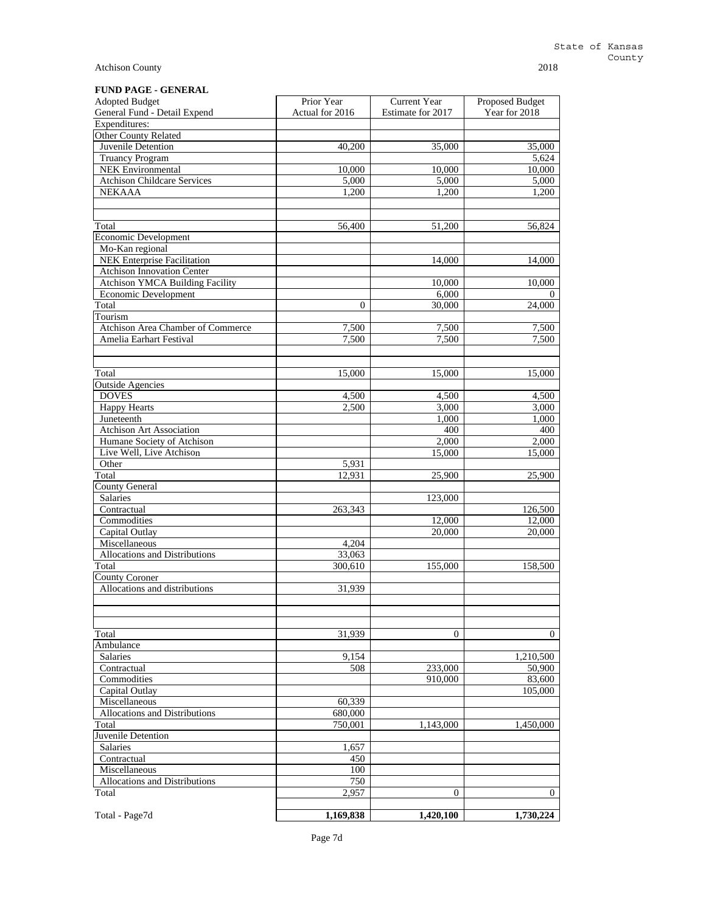# **FUND PAGE - GENERAL**

| <b>Adopted Budget</b>              | Prior Year      | <b>Current Year</b> | <b>Proposed Budget</b> |
|------------------------------------|-----------------|---------------------|------------------------|
| General Fund - Detail Expend       | Actual for 2016 | Estimate for 2017   | Year for 2018          |
| Expenditures:                      |                 |                     |                        |
| Other County Related               |                 |                     |                        |
| Juvenile Detention                 | 40,200          | 35,000              | 35,000                 |
| <b>Truancy Program</b>             |                 |                     | 5,624                  |
| <b>NEK</b> Environmental           | 10,000          | 10,000              | 10,000                 |
| <b>Atchison Childcare Services</b> | 5,000           | 5,000               | 5,000                  |
| <b>NEKAAA</b>                      | 1,200           | 1,200               | 1,200                  |
|                                    |                 |                     |                        |
| Total                              | 56,400          | 51,200              | 56,824                 |
| Economic Development               |                 |                     |                        |
| Mo-Kan regional                    |                 |                     |                        |
| NEK Enterprise Facilitation        |                 | 14,000              | 14,000                 |
| <b>Atchison Innovation Center</b>  |                 |                     |                        |
| Atchison YMCA Building Facility    |                 | 10,000              | 10,000                 |
| Economic Development               |                 | 6,000               | $\theta$               |
| Total                              | $\mathbf{0}$    | 30,000              | 24,000                 |
| Tourism                            |                 |                     |                        |
| Atchison Area Chamber of Commerce  | 7,500           | 7,500               | 7,500                  |
| Amelia Earhart Festival            | 7,500           | 7,500               | 7,500                  |
|                                    |                 |                     |                        |
|                                    |                 |                     |                        |
| Total                              | 15,000          | 15,000              | 15,000                 |
| <b>Outside Agencies</b>            |                 |                     |                        |
| <b>DOVES</b>                       | 4,500           | 4,500               | 4,500                  |
| <b>Happy Hearts</b>                | 2,500           | 3,000               | 3,000                  |
| Juneteenth                         |                 | 1,000               | 1,000                  |
| Atchison Art Association           |                 | 400                 | 400                    |
| Humane Society of Atchison         |                 | 2,000               | 2,000                  |
| Live Well, Live Atchison           |                 | 15,000              | 15,000                 |
| Other                              | 5,931<br>12.931 |                     |                        |
| Total<br><b>County General</b>     |                 | 25,900              | 25,900                 |
| Salaries                           |                 | 123,000             |                        |
| Contractual                        | 263,343         |                     | 126,500                |
| Commodities                        |                 | 12,000              | 12,000                 |
| Capital Outlay                     |                 | 20,000              | 20,000                 |
| Miscellaneous                      | 4,204           |                     |                        |
| Allocations and Distributions      | 33,063          |                     |                        |
| Total                              | 300,610         | 155,000             | 158,500                |
| <b>County Coroner</b>              |                 |                     |                        |
| Allocations and distributions      | 31,939          |                     |                        |
|                                    |                 |                     |                        |
|                                    |                 |                     |                        |
| Total                              | 31,939          | $\mathbf{0}$        | $\mathbf{0}$           |
| Ambulance                          |                 |                     |                        |
| Salaries                           | 9,154           |                     | 1,210,500              |
| Contractual                        | 508             | 233,000             | 50,900                 |
| Commodities                        |                 | 910,000             | 83,600                 |
| Capital Outlay                     |                 |                     | 105,000                |
| Miscellaneous                      | 60,339          |                     |                        |
| Allocations and Distributions      | 680,000         |                     |                        |
| Total                              | 750,001         | 1,143,000           | 1,450,000              |
| Juvenile Detention                 |                 |                     |                        |
| Salaries                           | 1,657           |                     |                        |
| Contractual                        | 450             |                     |                        |
| Miscellaneous                      | 100             |                     |                        |
| Allocations and Distributions      | 750             |                     |                        |
| Total                              | 2,957           | $\overline{0}$      | $\overline{0}$         |
|                                    |                 |                     |                        |
| Total - Page7d                     | 1,169,838       | 1,420,100           | 1,730,224              |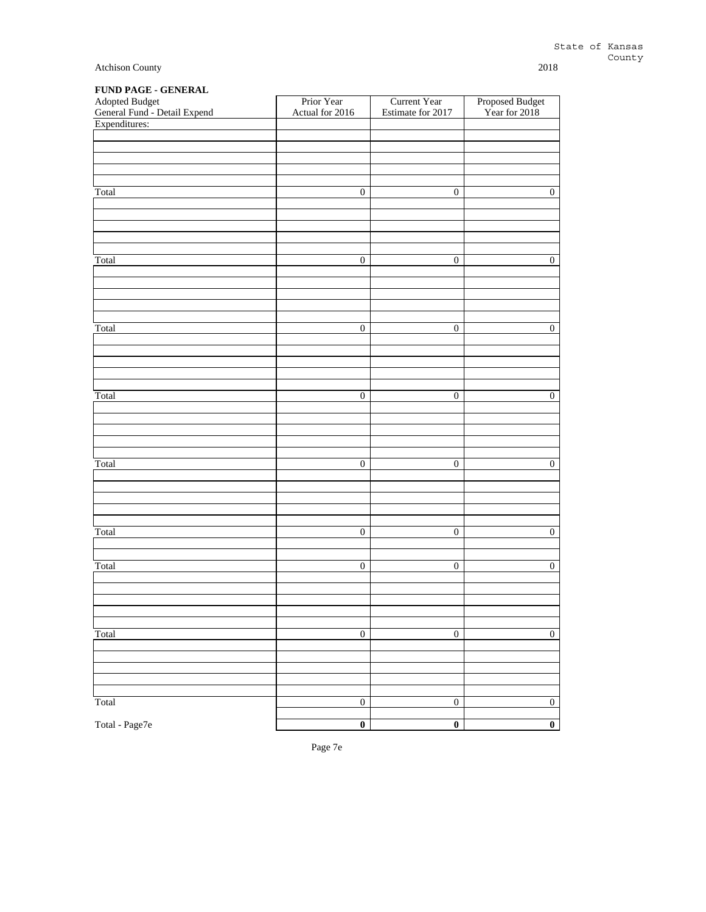|  |  | <b>FUND PAGE - GENERAL</b> |
|--|--|----------------------------|
|--|--|----------------------------|

| $\cdots$<br>$\overline{\phantom{a}}$<br>Adopted Budget<br>General Fund - Detail Expend | Prior Year<br>Actual for 2016 | <b>Current Year</b><br>Estimate for 2017 | Proposed Budget<br>Year for 2018 |
|----------------------------------------------------------------------------------------|-------------------------------|------------------------------------------|----------------------------------|
| Expenditures:                                                                          |                               |                                          |                                  |
|                                                                                        |                               |                                          |                                  |
|                                                                                        |                               |                                          |                                  |
|                                                                                        |                               |                                          |                                  |
|                                                                                        |                               |                                          |                                  |
| Total                                                                                  | $\boldsymbol{0}$              | $\boldsymbol{0}$                         | $\boldsymbol{0}$                 |
|                                                                                        |                               |                                          |                                  |
|                                                                                        |                               |                                          |                                  |
|                                                                                        |                               |                                          |                                  |
|                                                                                        |                               |                                          |                                  |
|                                                                                        |                               |                                          |                                  |
| Total                                                                                  | $\boldsymbol{0}$              | $\boldsymbol{0}$                         | $\overline{0}$                   |
|                                                                                        |                               |                                          |                                  |
|                                                                                        |                               |                                          |                                  |
|                                                                                        |                               |                                          |                                  |
|                                                                                        |                               |                                          |                                  |
| Total                                                                                  | $\overline{0}$                | $\overline{0}$                           | $\overline{0}$                   |
|                                                                                        |                               |                                          |                                  |
|                                                                                        |                               |                                          |                                  |
|                                                                                        |                               |                                          |                                  |
|                                                                                        |                               |                                          |                                  |
| Total                                                                                  | $\boldsymbol{0}$              | $\boldsymbol{0}$                         | $\boldsymbol{0}$                 |
|                                                                                        |                               |                                          |                                  |
|                                                                                        |                               |                                          |                                  |
|                                                                                        |                               |                                          |                                  |
|                                                                                        |                               |                                          |                                  |
|                                                                                        |                               |                                          |                                  |
| Total                                                                                  | $\overline{0}$                | $\overline{0}$                           | $\overline{0}$                   |
|                                                                                        |                               |                                          |                                  |
|                                                                                        |                               |                                          |                                  |
|                                                                                        |                               |                                          |                                  |
|                                                                                        |                               |                                          |                                  |
| Total                                                                                  | $\overline{0}$                | $\overline{0}$                           | $\overline{0}$                   |
|                                                                                        |                               |                                          |                                  |
| Total                                                                                  | $\overline{0}$                | $\overline{0}$                           | $\overline{0}$                   |
|                                                                                        |                               |                                          |                                  |
|                                                                                        |                               |                                          |                                  |
|                                                                                        |                               |                                          |                                  |
|                                                                                        |                               |                                          |                                  |
|                                                                                        |                               |                                          |                                  |
| Total                                                                                  | $\boldsymbol{0}$              | $\boldsymbol{0}$                         | $\boldsymbol{0}$                 |
|                                                                                        |                               |                                          |                                  |
|                                                                                        |                               |                                          |                                  |
|                                                                                        |                               |                                          |                                  |
|                                                                                        |                               |                                          |                                  |
| Total                                                                                  | $\boldsymbol{0}$              | $\boldsymbol{0}$                         | $\overline{0}$                   |
|                                                                                        |                               |                                          |                                  |
| Total - Page7e                                                                         | $\overline{\mathbf{0}}$       | $\overline{\mathbf{0}}$                  | $\overline{\mathbf{0}}$          |

Page 7e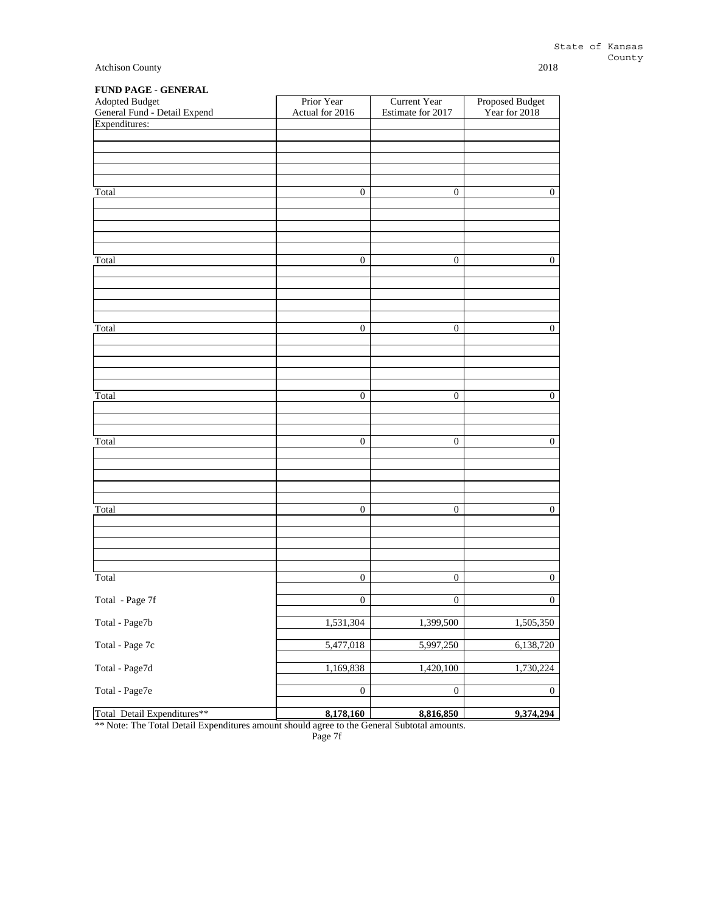|  | <b>FUND PAGE - GENERAL</b> |
|--|----------------------------|
|--|----------------------------|

| Adopted Budget<br>General Fund - Detail Expend | Prior Year<br>Actual for 2016 | Current Year<br>Estimate for 2017 | Proposed Budget<br>Year for 2018 |
|------------------------------------------------|-------------------------------|-----------------------------------|----------------------------------|
| Expenditures:                                  |                               |                                   |                                  |
|                                                |                               |                                   |                                  |
|                                                |                               |                                   |                                  |
| Total                                          | $\boldsymbol{0}$              | $\boldsymbol{0}$                  | $\boldsymbol{0}$                 |
|                                                |                               |                                   |                                  |
|                                                |                               |                                   |                                  |
|                                                |                               |                                   |                                  |
| Total                                          | $\boldsymbol{0}$              | $\boldsymbol{0}$                  | $\boldsymbol{0}$                 |
|                                                |                               |                                   |                                  |
|                                                |                               |                                   |                                  |
| Total                                          | $\boldsymbol{0}$              | $\boldsymbol{0}$                  | $\boldsymbol{0}$                 |
|                                                |                               |                                   |                                  |
|                                                |                               |                                   |                                  |
|                                                |                               |                                   |                                  |
| Total                                          | $\boldsymbol{0}$              | $\boldsymbol{0}$                  | $\mathbf{0}$                     |
|                                                |                               |                                   |                                  |
| Total                                          | $\boldsymbol{0}$              | $\boldsymbol{0}$                  | $\boldsymbol{0}$                 |
|                                                |                               |                                   |                                  |
|                                                |                               |                                   |                                  |
|                                                |                               |                                   |                                  |
| Total                                          | $\boldsymbol{0}$              | $\boldsymbol{0}$                  | $\boldsymbol{0}$                 |
|                                                |                               |                                   |                                  |
|                                                |                               |                                   |                                  |
| Total                                          | $\boldsymbol{0}$              | $\boldsymbol{0}$                  | $\boldsymbol{0}$                 |
| Total - Page 7f                                | $\boldsymbol{0}$              | $\boldsymbol{0}$                  | $\mathbf{0}$                     |
| Total - Page7b                                 | 1,531,304                     | 1,399,500                         | 1,505,350                        |
|                                                |                               |                                   |                                  |
| Total - Page 7c                                | 5,477,018                     | 5,997,250                         | 6,138,720                        |
| Total - Page7d                                 | 1,169,838                     | 1,420,100                         | 1,730,224                        |
| Total - Page7e                                 | $\boldsymbol{0}$              | $\boldsymbol{0}$                  | $\boldsymbol{0}$                 |
| Total Detail Expenditures**                    | 8,178,160                     | 8,816,850                         | 9,374,294                        |

\*\* Note: The Total Detail Expenditures amount should agree to the General Subtotal amounts.

Page 7f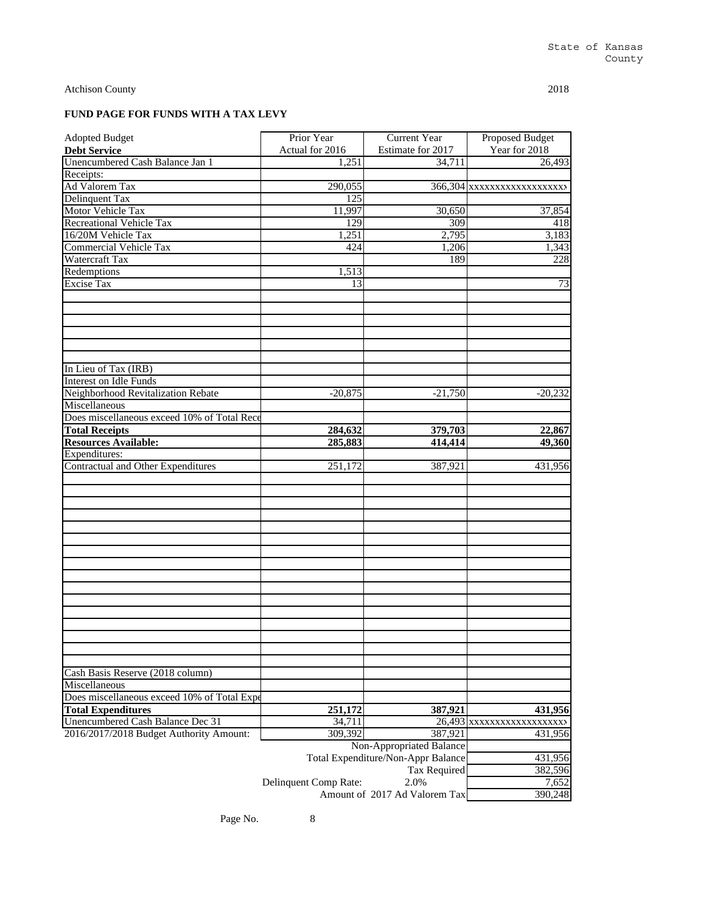# **FUND PAGE FOR FUNDS WITH A TAX LEVY**

| <b>Adopted Budget</b>                       | Prior Year            | Current Year                        | <b>Proposed Budget</b>     |
|---------------------------------------------|-----------------------|-------------------------------------|----------------------------|
| <b>Debt Service</b>                         | Actual for 2016       | Estimate for 2017                   | Year for 2018              |
| Unencumbered Cash Balance Jan 1             | 1,251                 | 34,711                              | 26,493                     |
| Receipts:                                   |                       |                                     |                            |
| <b>Ad Valorem Tax</b>                       | 290,055               |                                     | 366,304 xxxxxxxxxxxxxxxxxx |
| Delinquent Tax                              | 125                   |                                     |                            |
| Motor Vehicle Tax                           | 11,997                | 30,650                              | 37,854                     |
| <b>Recreational Vehicle Tax</b>             | 129                   | 309                                 | 418                        |
| 16/20M Vehicle Tax                          | 1,251                 | 2,795                               | 3,183                      |
| <b>Commercial Vehicle Tax</b>               | 424                   | 1,206                               | 1,343                      |
| Watercraft Tax                              |                       | 189                                 | 228                        |
| Redemptions                                 | 1,513                 |                                     |                            |
| <b>Excise Tax</b>                           | 13                    |                                     | 73                         |
|                                             |                       |                                     |                            |
|                                             |                       |                                     |                            |
|                                             |                       |                                     |                            |
|                                             |                       |                                     |                            |
|                                             |                       |                                     |                            |
|                                             |                       |                                     |                            |
| In Lieu of Tax (IRB)                        |                       |                                     |                            |
| <b>Interest on Idle Funds</b>               |                       |                                     |                            |
| Neighborhood Revitalization Rebate          | $-20,875$             | $-21,750$                           | $-20,232$                  |
| Miscellaneous                               |                       |                                     |                            |
| Does miscellaneous exceed 10% of Total Rece |                       |                                     |                            |
| <b>Total Receipts</b>                       | 284,632               | 379,703                             | 22,867                     |
| <b>Resources Available:</b>                 | 285,883               | 414,414                             | 49,360                     |
| Expenditures:                               |                       |                                     |                            |
| Contractual and Other Expenditures          | 251,172               | 387,921                             | 431,956                    |
|                                             |                       |                                     |                            |
|                                             |                       |                                     |                            |
|                                             |                       |                                     |                            |
|                                             |                       |                                     |                            |
|                                             |                       |                                     |                            |
|                                             |                       |                                     |                            |
|                                             |                       |                                     |                            |
|                                             |                       |                                     |                            |
|                                             |                       |                                     |                            |
|                                             |                       |                                     |                            |
|                                             |                       |                                     |                            |
|                                             |                       |                                     |                            |
|                                             |                       |                                     |                            |
|                                             |                       |                                     |                            |
|                                             |                       |                                     |                            |
|                                             |                       |                                     |                            |
| Cash Basis Reserve (2018 column)            |                       |                                     |                            |
| Miscellaneous                               |                       |                                     |                            |
| Does miscellaneous exceed 10% of Total Expe |                       |                                     |                            |
| <b>Total Expenditures</b>                   | 251,172               | 387,921                             | 431,956                    |
| Unencumbered Cash Balance Dec 31            | 34,711                |                                     | 26,493 xxxxxxxxxxxxxxxxx   |
| 2016/2017/2018 Budget Authority Amount:     | 309,392               | 387,921<br>Non-Appropriated Balance | 431,956                    |
|                                             |                       |                                     |                            |
|                                             |                       | Total Expenditure/Non-Appr Balance  | 431,956                    |
|                                             |                       | Tax Required<br>2.0%                | 382,596                    |
|                                             | Delinquent Comp Rate: | Amount of 2017 Ad Valorem Tax       | 7,652                      |
|                                             |                       |                                     | 390,248                    |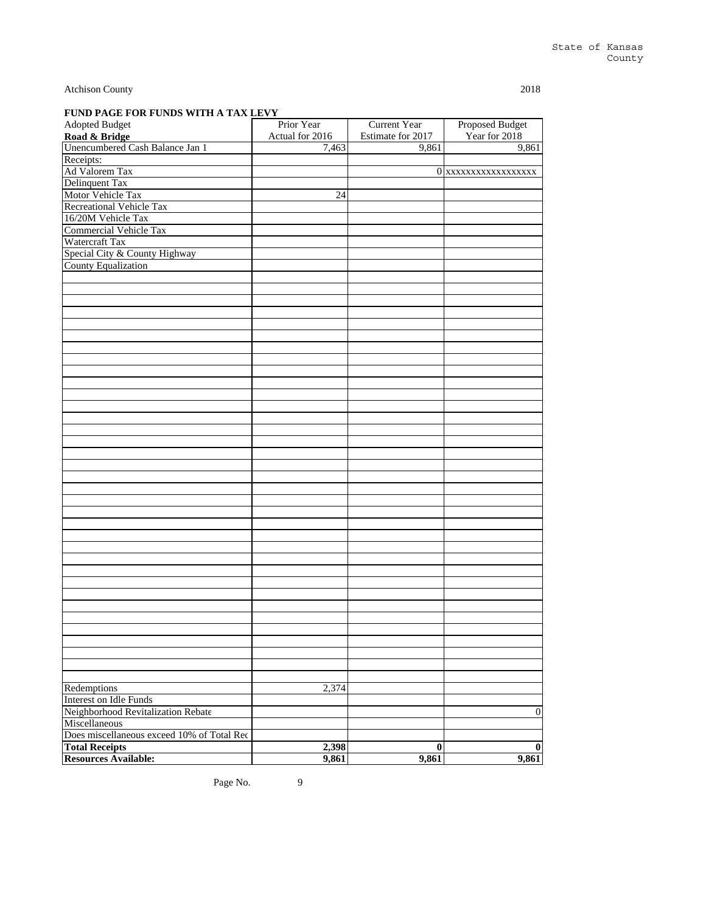| Adopted Budget                             | Prior Year      | <b>Current Year</b> | Proposed Budget     |
|--------------------------------------------|-----------------|---------------------|---------------------|
| Road & Bridge                              | Actual for 2016 | Estimate for 2017   | Year for 2018       |
| Unencumbered Cash Balance Jan 1            | 7,463           | 9,861               | 9,861               |
| Receipts:                                  |                 |                     |                     |
| Ad Valorem Tax                             |                 |                     | 0 xxxxxxxxxxxxxxxxx |
| Delinquent Tax                             |                 |                     |                     |
| Motor Vehicle Tax                          | 24              |                     |                     |
| <b>Recreational Vehicle Tax</b>            |                 |                     |                     |
| 16/20M Vehicle Tax                         |                 |                     |                     |
| <b>Commercial Vehicle Tax</b>              |                 |                     |                     |
| Watercraft Tax                             |                 |                     |                     |
| Special City & County Highway              |                 |                     |                     |
| <b>County Equalization</b>                 |                 |                     |                     |
|                                            |                 |                     |                     |
|                                            |                 |                     |                     |
|                                            |                 |                     |                     |
|                                            |                 |                     |                     |
|                                            |                 |                     |                     |
|                                            |                 |                     |                     |
|                                            |                 |                     |                     |
|                                            |                 |                     |                     |
|                                            |                 |                     |                     |
|                                            |                 |                     |                     |
|                                            |                 |                     |                     |
|                                            |                 |                     |                     |
|                                            |                 |                     |                     |
|                                            |                 |                     |                     |
|                                            |                 |                     |                     |
|                                            |                 |                     |                     |
|                                            |                 |                     |                     |
|                                            |                 |                     |                     |
|                                            |                 |                     |                     |
|                                            |                 |                     |                     |
|                                            |                 |                     |                     |
|                                            |                 |                     |                     |
|                                            |                 |                     |                     |
|                                            |                 |                     |                     |
|                                            |                 |                     |                     |
|                                            |                 |                     |                     |
|                                            |                 |                     |                     |
|                                            |                 |                     |                     |
|                                            |                 |                     |                     |
|                                            |                 |                     |                     |
|                                            |                 |                     |                     |
|                                            |                 |                     |                     |
|                                            |                 |                     |                     |
|                                            |                 |                     |                     |
|                                            |                 |                     |                     |
|                                            |                 |                     |                     |
| Redemptions                                | 2,374           |                     |                     |
| Interest on Idle Funds                     |                 |                     |                     |
| Neighborhood Revitalization Rebate         |                 |                     | $\overline{0}$      |
| Miscellaneous                              |                 |                     |                     |
| Does miscellaneous exceed 10% of Total Rec |                 |                     |                     |
|                                            |                 |                     |                     |
| <b>Total Receipts</b>                      | 2,398           | $\bf{0}$            | $\bf{0}$            |
| <b>Resources Available:</b>                | 9,861           | 9,861               | 9,861               |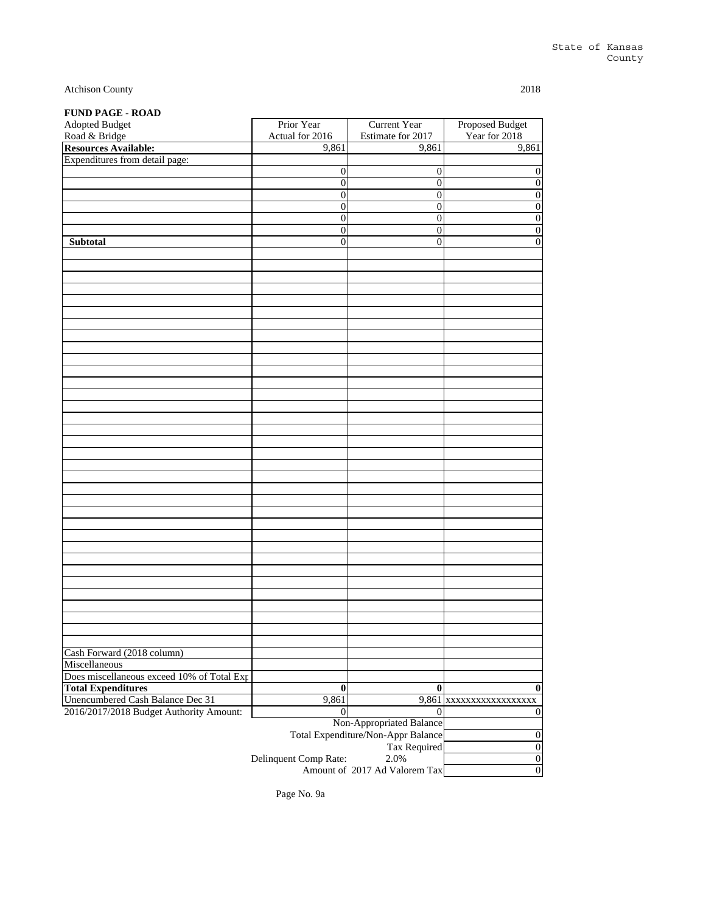# **FUND PAGE - ROAD**

| Adopted Budget                             | Prior Year            | <b>Current Year</b>                       | <b>Proposed Budget</b>  |
|--------------------------------------------|-----------------------|-------------------------------------------|-------------------------|
| Road & Bridge                              | Actual for 2016       | Estimate for 2017                         | Year for 2018           |
| <b>Resources Available:</b>                | 9,861                 | 9,861                                     | 9,861                   |
| Expenditures from detail page:             |                       |                                           |                         |
|                                            | 0                     | $\boldsymbol{0}$                          | $\boldsymbol{0}$        |
|                                            | $\boldsymbol{0}$      | $\overline{0}$                            | $\overline{0}$          |
|                                            | $\boldsymbol{0}$      | $\overline{0}$                            | $\overline{0}$          |
|                                            | $\overline{0}$        | $\overline{0}$                            | $\overline{0}$          |
|                                            | $\overline{0}$        | $\boldsymbol{0}$                          | $\boldsymbol{0}$        |
|                                            | 0                     | $\boldsymbol{0}$                          | $\boldsymbol{0}$        |
| Subtotal                                   | $\overline{0}$        | $\boldsymbol{0}$                          | $\overline{0}$          |
|                                            |                       |                                           |                         |
|                                            |                       |                                           |                         |
|                                            |                       |                                           |                         |
|                                            |                       |                                           |                         |
|                                            |                       |                                           |                         |
|                                            |                       |                                           |                         |
|                                            |                       |                                           |                         |
|                                            |                       |                                           |                         |
|                                            |                       |                                           |                         |
|                                            |                       |                                           |                         |
|                                            |                       |                                           |                         |
|                                            |                       |                                           |                         |
|                                            |                       |                                           |                         |
|                                            |                       |                                           |                         |
|                                            |                       |                                           |                         |
|                                            |                       |                                           |                         |
|                                            |                       |                                           |                         |
|                                            |                       |                                           |                         |
|                                            |                       |                                           |                         |
|                                            |                       |                                           |                         |
|                                            |                       |                                           |                         |
|                                            |                       |                                           |                         |
|                                            |                       |                                           |                         |
|                                            |                       |                                           |                         |
|                                            |                       |                                           |                         |
|                                            |                       |                                           |                         |
|                                            |                       |                                           |                         |
|                                            |                       |                                           |                         |
|                                            |                       |                                           |                         |
|                                            |                       |                                           |                         |
|                                            |                       |                                           |                         |
|                                            |                       |                                           |                         |
|                                            |                       |                                           |                         |
| Cash Forward (2018 column)                 |                       |                                           |                         |
| Miscellaneous                              |                       |                                           |                         |
| Does miscellaneous exceed 10% of Total Exp |                       |                                           |                         |
| <b>Total Expenditures</b>                  | $\bf{0}$              | $\bf{0}$                                  | $\bf{0}$                |
| Unencumbered Cash Balance Dec 31           | 9,861                 |                                           | 9,861 xxxxxxxxxxxxxxxxx |
| 2016/2017/2018 Budget Authority Amount:    | $\theta$              | $\Omega$                                  | $\boldsymbol{0}$        |
|                                            |                       | Non-Appropriated Balance                  |                         |
|                                            |                       | Total Expenditure/Non-Appr Balance        | $\boldsymbol{0}$        |
|                                            |                       | Tax Required                              | $\boldsymbol{0}$        |
|                                            | Delinquent Comp Rate: | 2.0%<br>$\epsilon$ 0017 A d Velement Term | $\boldsymbol{0}$        |

0 Amount of 2017 Ad Valorem Tax

Page No. 9a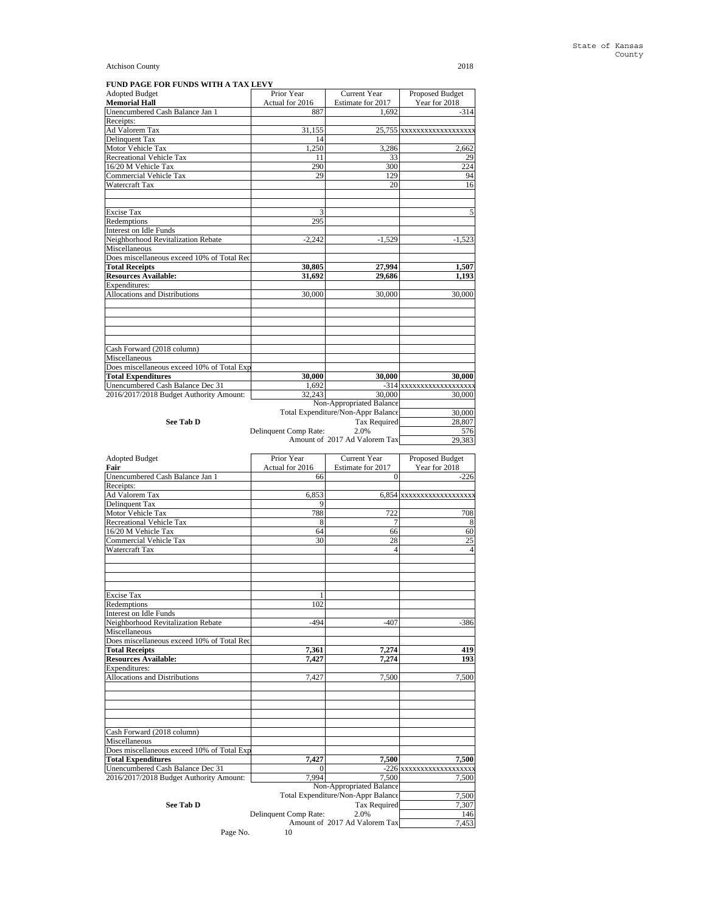| FUND PAGE FOR FUNDS WITH A TAX LEVY        |                       |                                    |                           |
|--------------------------------------------|-----------------------|------------------------------------|---------------------------|
| <b>Adopted Budget</b>                      | Prior Year            | <b>Current Year</b>                | Proposed Budget           |
| <b>Memorial Hall</b>                       | Actual for 2016       | Estimate for 2017                  | Year for 2018             |
| Unencumbered Cash Balance Jan 1            | 887                   | 1.692                              | $-314$                    |
| Receipts:                                  |                       |                                    |                           |
| <b>Ad Valorem Tax</b>                      | 31.155                |                                    | 25,755 xxxxxxxxxxxxxxxxxx |
| Delinquent Tax                             | 14                    |                                    |                           |
| Motor Vehicle Tax                          | 1,250                 | 3,286                              | 2,662                     |
| Recreational Vehicle Tax                   | 11                    | 33                                 | 29                        |
| 16/20 M Vehicle Tax                        | 290                   | 300                                | 224                       |
| Commercial Vehicle Tax                     | 29                    | 129                                | 94                        |
| Watercraft Tax                             |                       | 20                                 | 16                        |
|                                            |                       |                                    |                           |
| <b>Excise Tax</b>                          | 3                     |                                    | 5                         |
| Redemptions                                | 295                   |                                    |                           |
| Interest on Idle Funds                     |                       |                                    |                           |
| Neighborhood Revitalization Rebate         | $-2.242$              | $-1.529$                           | $-1.523$                  |
| Miscellaneous                              |                       |                                    |                           |
| Does miscellaneous exceed 10% of Total Rec |                       |                                    |                           |
| <b>Total Receipts</b>                      | 30.805                | 27.994                             | 1,507                     |
| <b>Resources Available:</b>                | 31,692                | 29,686                             | 1,193                     |
| Expenditures:                              |                       |                                    |                           |
| Allocations and Distributions              | 30,000                | 30,000                             | 30,000                    |
|                                            |                       |                                    |                           |
| Cash Forward (2018 column)                 |                       |                                    |                           |
| Miscellaneous                              |                       |                                    |                           |
| Does miscellaneous exceed 10% of Total Exp |                       |                                    |                           |
| <b>Total Expenditures</b>                  | 30,000                | 30.000                             | 30.000                    |
| Unencumbered Cash Balance Dec 31           | 1.692                 |                                    | -314 xxxxxxxxxxxxxxxxxx   |
| 2016/2017/2018 Budget Authority Amount:    | 32.243                | 30,000                             | 30,000                    |
|                                            |                       | Non-Appropriated Balance           |                           |
|                                            |                       | Total Expenditure/Non-Appr Balance | 30,000                    |
| See Tab D                                  |                       | <b>Tax Required</b>                | 28,807                    |
|                                            | Delinquent Comp Rate: | 2.0%                               | 576                       |
|                                            |                       | Amount of 2017 Ad Valorem Tax      | 29.383                    |

| <b>Adopted Budget</b>                          | Prior Year            | <b>Current Year</b>                | Proposed Budget          |
|------------------------------------------------|-----------------------|------------------------------------|--------------------------|
| Fair                                           | Actual for 2016       | Estimate for 2017                  | Year for 2018            |
| Unencumbered Cash Balance Jan 1                | 66                    | $\Omega$                           | $-226$                   |
| Receipts:                                      |                       |                                    |                          |
| <b>Ad Valorem Tax</b><br><b>Delinquent Tax</b> | 6.853                 |                                    | 6,854 xxxxxxxxxxxxxxxxxx |
|                                                | 9                     |                                    |                          |
| Motor Vehicle Tax                              | 788                   | 722                                | 708                      |
| Recreational Vehicle Tax                       | 8                     |                                    | 8                        |
| 16/20 M Vehicle Tax                            | 64                    | 66                                 | 60                       |
| <b>Commercial Vehicle Tax</b>                  | 30                    | 28                                 | $\overline{25}$          |
| Watercraft Tax                                 |                       | Δ                                  | $\overline{4}$           |
|                                                |                       |                                    |                          |
| <b>Excise Tax</b>                              |                       |                                    |                          |
| Redemptions                                    | 102                   |                                    |                          |
| Interest on Idle Funds                         |                       |                                    |                          |
| Neighborhood Revitalization Rebate             | $-494$                | $-407$                             | $-386$                   |
| Miscellaneous                                  |                       |                                    |                          |
| Does miscellaneous exceed 10% of Total Rec     |                       |                                    |                          |
| <b>Total Receipts</b>                          | 7,361                 | 7,274                              | 419                      |
|                                                | 7,427                 | 7,274                              | 193                      |
| Resources Available:<br>Expenditures:          |                       |                                    |                          |
| Allocations and Distributions                  | 7,427                 | 7,500                              | 7,500                    |
|                                                |                       |                                    |                          |
| Cash Forward (2018 column)                     |                       |                                    |                          |
| Miscellaneous                                  |                       |                                    |                          |
| Does miscellaneous exceed 10% of Total Exp     |                       |                                    |                          |
| <b>Total Expenditures</b>                      | 7,427                 | 7,500                              | 7,500                    |
| Unencumbered Cash Balance Dec 31               | $\Omega$              |                                    | -226 xxxxxxxxxxxxxxxxx   |
| 2016/2017/2018 Budget Authority Amount:        | 7.994                 | 7.500                              | 7,500                    |
|                                                |                       | Non-Appropriated Balance           |                          |
|                                                |                       | Total Expenditure/Non-Appr Balance | 7,500                    |
| See Tab D                                      |                       | <b>Tax Required</b>                | 7,307                    |
|                                                | Delinquent Comp Rate: | 2.0%                               | 146                      |
|                                                |                       | Amount of 2017 Ad Valorem Tax      | 7,453                    |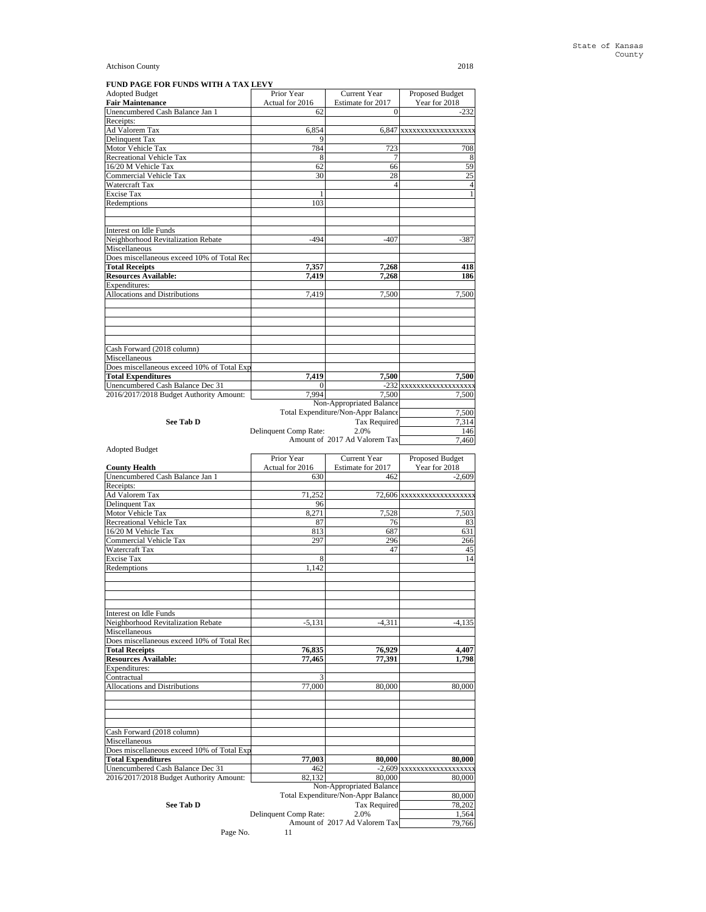| FUND PAGE FOR FUNDS WITH A TAX LEVY        |                       |                                    |                         |
|--------------------------------------------|-----------------------|------------------------------------|-------------------------|
| <b>Adopted Budget</b>                      | Prior Year            | <b>Current Year</b>                | Proposed Budget         |
| <b>Fair Maintenance</b>                    | Actual for 2016       | Estimate for 2017                  | Year for 2018           |
| Unencumbered Cash Balance Jan 1            | 62                    | $\theta$                           | $-232$                  |
| Receipts:                                  |                       |                                    |                         |
| Ad Valorem Tax                             | 6.854                 | 6.847                              | XXXXXXXXXXXXXXXXXX      |
| Delinquent Tax                             | 9                     |                                    |                         |
| Motor Vehicle Tax                          | 784                   | 723                                | 708                     |
| Recreational Vehicle Tax                   | 8                     | 7                                  | 8                       |
| 16/20 M Vehicle Tax                        | 62                    | 66                                 | 59                      |
| Commercial Vehicle Tax                     | 30                    | 28                                 | 25                      |
| Watercraft Tax                             |                       | 4                                  | $\overline{4}$          |
| <b>Excise Tax</b>                          |                       |                                    | $\mathbf{1}$            |
| Redemptions                                | 103                   |                                    |                         |
|                                            |                       |                                    |                         |
|                                            |                       |                                    |                         |
| Interest on Idle Funds                     |                       |                                    |                         |
| Neighborhood Revitalization Rebate         | $-494$                | -407                               | $-387$                  |
| Miscellaneous                              |                       |                                    |                         |
| Does miscellaneous exceed 10% of Total Rec |                       |                                    |                         |
| <b>Total Receipts</b>                      | 7,357                 | 7.268                              | 418                     |
| Resources Available:                       | 7.419                 | 7.268                              | 186                     |
| Expenditures:                              |                       |                                    |                         |
| Allocations and Distributions              | 7.419                 | 7.500                              | 7.500                   |
|                                            |                       |                                    |                         |
|                                            |                       |                                    |                         |
|                                            |                       |                                    |                         |
|                                            |                       |                                    |                         |
|                                            |                       |                                    |                         |
| Cash Forward (2018 column)                 |                       |                                    |                         |
| Miscellaneous                              |                       |                                    |                         |
| Does miscellaneous exceed 10% of Total Exp |                       |                                    |                         |
| <b>Total Expenditures</b>                  | 7,419                 | 7,500                              | 7.500                   |
| Unencumbered Cash Balance Dec 31           | 0                     |                                    | -232 xxxxxxxxxxxxxxxxxx |
| 2016/2017/2018 Budget Authority Amount:    | 7.994                 | 7,500                              | 7,500                   |
|                                            |                       | Non-Appropriated Balance           |                         |
|                                            |                       | Total Expenditure/Non-Appr Balance | 7,500                   |
| See Tab D                                  |                       | <b>Tax Required</b>                | 7,314                   |
|                                            | Delinquent Comp Rate: | 2.0%                               | 146                     |
|                                            |                       | Amount of 2017 Ad Valorem Tax      | 7.460                   |
| <b>Adopted Budget</b>                      |                       |                                    |                         |
|                                            |                       |                                    |                         |

|                                            | Prior Year            | <b>Current Year</b>                | Proposed Budget           |
|--------------------------------------------|-----------------------|------------------------------------|---------------------------|
| <b>County Health</b>                       | Actual for 2016       | Estimate for 2017                  | Year for 2018             |
| Unencumbered Cash Balance Jan 1            | 630                   | 462                                | $-2,609$                  |
| Receipts:                                  |                       |                                    |                           |
| Ad Valorem Tax                             | 71,252                |                                    | 72,606 xxxxxxxxxxxxxxxxxx |
| Delinquent Tax                             | 96                    |                                    |                           |
| Motor Vehicle Tax                          | 8,271                 | 7,528                              | 7,503                     |
| Recreational Vehicle Tax                   | 87                    | 76                                 | 83                        |
| 16/20 M Vehicle Tax                        | 813                   | 687                                | 631                       |
| Commercial Vehicle Tax                     | 297                   | 296                                | 266                       |
| Watercraft Tax                             |                       | 47                                 | 45                        |
| <b>Excise Tax</b>                          | 8                     |                                    | 14                        |
| Redemptions                                | 1.142                 |                                    |                           |
|                                            |                       |                                    |                           |
|                                            |                       |                                    |                           |
|                                            |                       |                                    |                           |
|                                            |                       |                                    |                           |
| Interest on Idle Funds                     |                       |                                    |                           |
| Neighborhood Revitalization Rebate         | $-5,131$              | $-4,311$                           | $-4,135$                  |
| Miscellaneous                              |                       |                                    |                           |
| Does miscellaneous exceed 10% of Total Rec |                       |                                    |                           |
| <b>Total Receipts</b>                      | 76,835                | 76,929                             | 4,407                     |
| <b>Resources Available:</b>                | 77.465                | 77,391                             | 1,798                     |
| Expenditures:                              |                       |                                    |                           |
| Contractual                                | 3                     |                                    |                           |
| Allocations and Distributions              | 77,000                | 80,000                             | 80,000                    |
|                                            |                       |                                    |                           |
|                                            |                       |                                    |                           |
|                                            |                       |                                    |                           |
|                                            |                       |                                    |                           |
| Cash Forward (2018 column)                 |                       |                                    |                           |
| Miscellaneous                              |                       |                                    |                           |
| Does miscellaneous exceed 10% of Total Exp |                       |                                    |                           |
| <b>Total Expenditures</b>                  | 77,003                | 80,000                             | 80,000                    |
| Unencumbered Cash Balance Dec 31           | 462                   |                                    | -2,609 xxxxxxxxxxxxxxxxxx |
| 2016/2017/2018 Budget Authority Amount:    | 82.132                | 80,000                             | 80,000                    |
|                                            |                       | Non-Appropriated Balance           |                           |
|                                            |                       | Total Expenditure/Non-Appr Balance | 80,000                    |
| <b>See Tab D</b>                           |                       | <b>Tax Required</b>                | 78.202                    |
|                                            | Delinquent Comp Rate: | 2.0%                               | 1,564                     |
|                                            |                       | Amount of 2017 Ad Valorem Tax      | 79,766                    |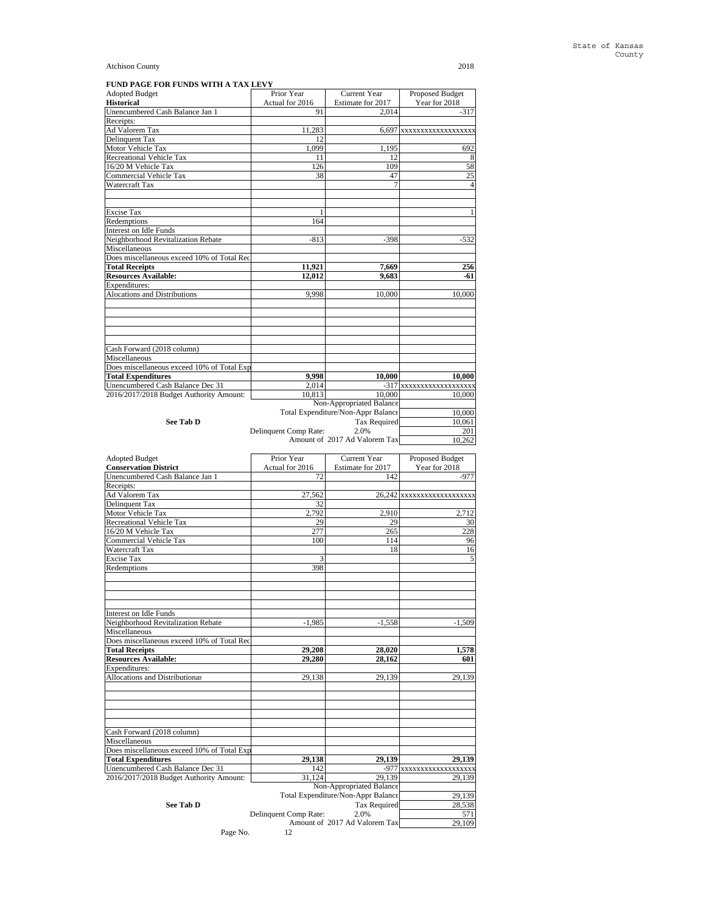| FUND PAGE FOR FUNDS WITH A TAX LEVY        |                       |                                    |                          |
|--------------------------------------------|-----------------------|------------------------------------|--------------------------|
| <b>Adopted Budget</b>                      | Prior Year            | <b>Current Year</b>                | Proposed Budget          |
| <b>Historical</b>                          | Actual for 2016       | Estimate for 2017                  | Year for 2018            |
| Unencumbered Cash Balance Jan 1            | 91                    | 2,014                              | $-317$                   |
| Receipts:                                  |                       |                                    |                          |
| <b>Ad Valorem Tax</b>                      | 11,283                |                                    | 6,697 xxxxxxxxxxxxxxxxxx |
| Delinquent Tax                             | 12                    |                                    |                          |
| Motor Vehicle Tax                          | 1.099                 | 1.195                              | 692                      |
| Recreational Vehicle Tax                   | 11                    | 12                                 | 8                        |
| 16/20 M Vehicle Tax                        | 126                   | 109                                | 58                       |
| Commercial Vehicle Tax                     | 38                    | 47                                 | 25                       |
| Watercraft Tax                             |                       |                                    | $\overline{4}$           |
| <b>Excise Tax</b>                          | 1                     |                                    | 1                        |
| Redemptions                                | 164                   |                                    |                          |
| Interest on Idle Funds                     |                       |                                    |                          |
| Neighborhood Revitalization Rebate         | $-813$                |                                    |                          |
| Miscellaneous                              |                       | $-398$                             | $-532$                   |
|                                            |                       |                                    |                          |
| Does miscellaneous exceed 10% of Total Rec |                       |                                    |                          |
| <b>Total Receipts</b>                      | 11,921                | 7,669                              | 256                      |
| <b>Resources Available:</b>                | 12,012                | 9.683                              | -61                      |
| Expenditures:                              |                       |                                    |                          |
| <b>Alocations and Distributions</b>        | 9.998                 | 10,000                             | 10,000                   |
|                                            |                       |                                    |                          |
| Cash Forward (2018 column)                 |                       |                                    |                          |
| Miscellaneous                              |                       |                                    |                          |
| Does miscellaneous exceed 10% of Total Exp |                       |                                    |                          |
| <b>Total Expenditures</b>                  | 9,998                 | 10,000                             | 10,000                   |
| Unencumbered Cash Balance Dec 31           | 2,014                 |                                    | -317 xxxxxxxxxxxxxxxxxxx |
| 2016/2017/2018 Budget Authority Amount:    | 10.813                | 10,000                             | 10,000                   |
|                                            |                       | Non-Appropriated Balance           |                          |
|                                            |                       | Total Expenditure/Non-Appr Balance | 10,000                   |
| See Tab D                                  |                       | <b>Tax Required</b>                | 10.061                   |
|                                            | Delinquent Comp Rate: | 2.0%                               | 201                      |
|                                            |                       | Amount of 2017 Ad Valorem Tax      | 10,262                   |

| <b>Adopted Budget</b>                         | Prior Year            | <b>Current Year</b>                | Proposed Budget          |
|-----------------------------------------------|-----------------------|------------------------------------|--------------------------|
| <b>Conservation District</b>                  | Actual for 2016       | Estimate for 2017                  | Year for 2018            |
| Unencumbered Cash Balance Jan 1               | 72                    | 142                                | $-977$                   |
| Receipts:<br>Ad Valorem Tax<br>Delinquent Tax |                       |                                    |                          |
|                                               | 27,562                |                                    | 26,242 XXXXXXXXXXXXXXXXX |
|                                               | 32                    |                                    |                          |
| Motor Vehicle Tax                             | 2,792                 | 2,910                              | 2,712                    |
| <b>Recreational Vehicle Tax</b>               | 29                    | 29                                 | 30                       |
| 16/20 M Vehicle Tax                           | 277                   | 265                                | 228                      |
| Commercial Vehicle Tax                        | 100                   | 114                                | 96                       |
| Watercraft Tax                                |                       | 18                                 | 16                       |
| <b>Excise Tax</b>                             | 3                     |                                    | 5                        |
| Redemptions                                   | 398                   |                                    |                          |
|                                               |                       |                                    |                          |
|                                               |                       |                                    |                          |
|                                               |                       |                                    |                          |
| <b>Interest on Idle Funds</b>                 |                       |                                    |                          |
| Neighborhood Revitalization Rebate            | $-1,985$              | $-1,558$                           | $-1,509$                 |
| Miscellaneous                                 |                       |                                    |                          |
| Does miscellaneous exceed 10% of Total Rec    |                       |                                    |                          |
| <b>Total Receipts</b>                         | 29,208                | 28,020                             | 1,578                    |
| <b>Resources Available:</b>                   | 29,280                | 28.162                             | 601                      |
| Expenditures:                                 |                       |                                    |                          |
| Allocations and Distributionas                | 29,138                | 29,139                             | 29,139                   |
|                                               |                       |                                    |                          |
|                                               |                       |                                    |                          |
|                                               |                       |                                    |                          |
| Cash Forward (2018 column)<br>Miscellaneous   |                       |                                    |                          |
| Does miscellaneous exceed 10% of Total Exp    |                       |                                    |                          |
|                                               |                       |                                    |                          |
| <b>Total Expenditures</b>                     | 29,138<br>142         | 29,139                             | 29.139                   |
| Unencumbered Cash Balance Dec 31              |                       |                                    | -977 xxxxxxxxxxxxxxxxxx  |
| 2016/2017/2018 Budget Authority Amount:       | 31.124                | 29,139                             | 29,139                   |
|                                               |                       | Non-Appropriated Balance           |                          |
|                                               |                       | Total Expenditure/Non-Appr Balance | 29,139                   |
| See Tab D                                     |                       | Tax Required                       | 28,538                   |
|                                               | Delinquent Comp Rate: | 2.0%                               | 571                      |
|                                               |                       | Amount of 2017 Ad Valorem Tax      | 29.109                   |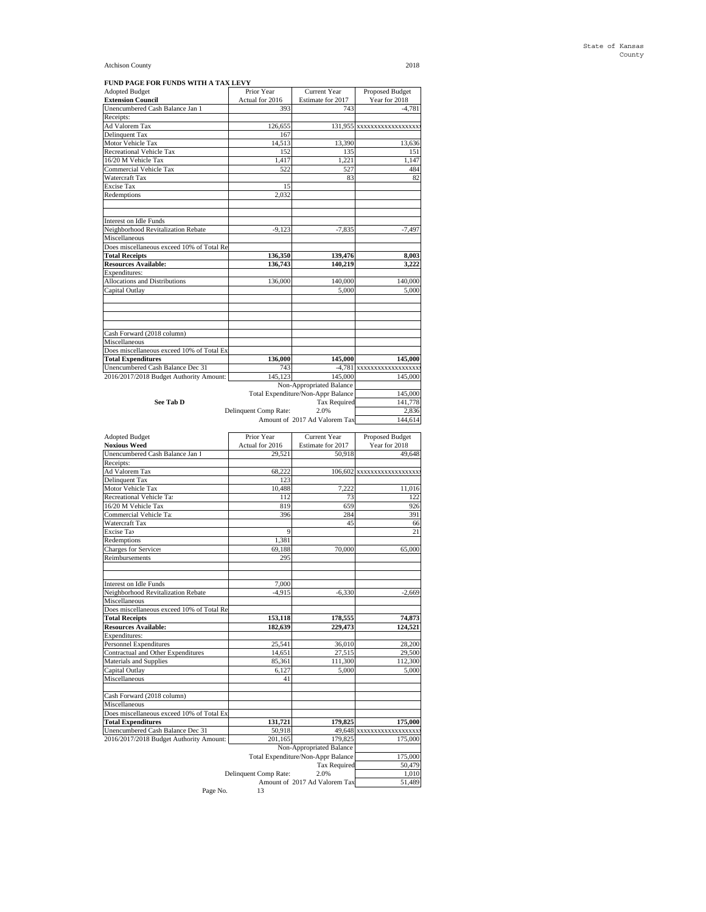**FUND PAGE FOR FUNDS WITH A TAX LEVY**

| <b>Adopted Budget</b>                                                                                                                                                                                                                                                                                                                                                                                                                                                                                                                                                                                                                                                                                                                                                               | Prior Year            | Current Year                                              | Proposed Budget           |
|-------------------------------------------------------------------------------------------------------------------------------------------------------------------------------------------------------------------------------------------------------------------------------------------------------------------------------------------------------------------------------------------------------------------------------------------------------------------------------------------------------------------------------------------------------------------------------------------------------------------------------------------------------------------------------------------------------------------------------------------------------------------------------------|-----------------------|-----------------------------------------------------------|---------------------------|
| <b>Extension Council</b>                                                                                                                                                                                                                                                                                                                                                                                                                                                                                                                                                                                                                                                                                                                                                            | Actual for 2016       | Estimate for 2017                                         | Year for 2018             |
| Unencumbered Cash Balance Jan 1                                                                                                                                                                                                                                                                                                                                                                                                                                                                                                                                                                                                                                                                                                                                                     | 393                   | 743                                                       | $-4,781$                  |
| Receipts:                                                                                                                                                                                                                                                                                                                                                                                                                                                                                                                                                                                                                                                                                                                                                                           |                       |                                                           |                           |
| Ad Valorem Tax                                                                                                                                                                                                                                                                                                                                                                                                                                                                                                                                                                                                                                                                                                                                                                      | 126,655               |                                                           | 131,955 xxxxxxxxxxxxxxxxx |
| Delinquent Tax                                                                                                                                                                                                                                                                                                                                                                                                                                                                                                                                                                                                                                                                                                                                                                      | 167                   |                                                           |                           |
| Motor Vehicle Tax                                                                                                                                                                                                                                                                                                                                                                                                                                                                                                                                                                                                                                                                                                                                                                   | 14,513                | 13,390                                                    | 13,636                    |
| Recreational Vehicle Tax                                                                                                                                                                                                                                                                                                                                                                                                                                                                                                                                                                                                                                                                                                                                                            | 152                   | 135                                                       | 151                       |
| 16/20 M Vehicle Tax                                                                                                                                                                                                                                                                                                                                                                                                                                                                                                                                                                                                                                                                                                                                                                 | 1,417                 | 1,221                                                     | 1,147                     |
| Commercial Vehicle Tax                                                                                                                                                                                                                                                                                                                                                                                                                                                                                                                                                                                                                                                                                                                                                              | 522                   | 527                                                       | 484                       |
| Watercraft Tax                                                                                                                                                                                                                                                                                                                                                                                                                                                                                                                                                                                                                                                                                                                                                                      |                       | 83                                                        | 82                        |
| Excise Tax                                                                                                                                                                                                                                                                                                                                                                                                                                                                                                                                                                                                                                                                                                                                                                          | 15                    |                                                           |                           |
| Redemptions                                                                                                                                                                                                                                                                                                                                                                                                                                                                                                                                                                                                                                                                                                                                                                         | 2,032                 |                                                           |                           |
|                                                                                                                                                                                                                                                                                                                                                                                                                                                                                                                                                                                                                                                                                                                                                                                     |                       |                                                           |                           |
| Interest on Idle Funds                                                                                                                                                                                                                                                                                                                                                                                                                                                                                                                                                                                                                                                                                                                                                              |                       |                                                           |                           |
| Neighborhood Revitalization Rebate                                                                                                                                                                                                                                                                                                                                                                                                                                                                                                                                                                                                                                                                                                                                                  | $-9,123$              | $-7,835$                                                  | $-7,497$                  |
| Miscellaneous                                                                                                                                                                                                                                                                                                                                                                                                                                                                                                                                                                                                                                                                                                                                                                       |                       |                                                           |                           |
| Does miscellaneous exceed 10% of Total Re                                                                                                                                                                                                                                                                                                                                                                                                                                                                                                                                                                                                                                                                                                                                           |                       |                                                           |                           |
| <b>Total Receipts</b>                                                                                                                                                                                                                                                                                                                                                                                                                                                                                                                                                                                                                                                                                                                                                               | 136,350               | 139,476                                                   | 8,003                     |
| <b>Resources Available:</b>                                                                                                                                                                                                                                                                                                                                                                                                                                                                                                                                                                                                                                                                                                                                                         | 136,743               | 140,219                                                   | 3,222                     |
| Expenditures:                                                                                                                                                                                                                                                                                                                                                                                                                                                                                                                                                                                                                                                                                                                                                                       |                       |                                                           |                           |
| Allocations and Distributions                                                                                                                                                                                                                                                                                                                                                                                                                                                                                                                                                                                                                                                                                                                                                       | 136,000               | 140,000                                                   | 140,000                   |
| Capital Outlay                                                                                                                                                                                                                                                                                                                                                                                                                                                                                                                                                                                                                                                                                                                                                                      |                       | 5,000                                                     | 5,000                     |
|                                                                                                                                                                                                                                                                                                                                                                                                                                                                                                                                                                                                                                                                                                                                                                                     |                       |                                                           |                           |
|                                                                                                                                                                                                                                                                                                                                                                                                                                                                                                                                                                                                                                                                                                                                                                                     |                       |                                                           |                           |
|                                                                                                                                                                                                                                                                                                                                                                                                                                                                                                                                                                                                                                                                                                                                                                                     |                       |                                                           |                           |
|                                                                                                                                                                                                                                                                                                                                                                                                                                                                                                                                                                                                                                                                                                                                                                                     |                       |                                                           |                           |
|                                                                                                                                                                                                                                                                                                                                                                                                                                                                                                                                                                                                                                                                                                                                                                                     |                       |                                                           |                           |
| Cash Forward (2018 column)<br>Miscellaneous                                                                                                                                                                                                                                                                                                                                                                                                                                                                                                                                                                                                                                                                                                                                         |                       |                                                           |                           |
|                                                                                                                                                                                                                                                                                                                                                                                                                                                                                                                                                                                                                                                                                                                                                                                     |                       |                                                           |                           |
| Does miscellaneous exceed 10% of Total Ex<br><b>Total Expenditures</b>                                                                                                                                                                                                                                                                                                                                                                                                                                                                                                                                                                                                                                                                                                              | 136,000               | 145,000                                                   | 145,000                   |
|                                                                                                                                                                                                                                                                                                                                                                                                                                                                                                                                                                                                                                                                                                                                                                                     |                       |                                                           |                           |
| Unencumbered Cash Balance Dec 31                                                                                                                                                                                                                                                                                                                                                                                                                                                                                                                                                                                                                                                                                                                                                    | 743                   | $-4,781$                                                  | XXXXXXXXXXXXXXXXX         |
| 2016/2017/2018 Budget Authority Amount:                                                                                                                                                                                                                                                                                                                                                                                                                                                                                                                                                                                                                                                                                                                                             | 145,123               | 145,000                                                   | 145,000                   |
|                                                                                                                                                                                                                                                                                                                                                                                                                                                                                                                                                                                                                                                                                                                                                                                     |                       | Non-Appropriated Balance                                  |                           |
|                                                                                                                                                                                                                                                                                                                                                                                                                                                                                                                                                                                                                                                                                                                                                                                     |                       | Total Expenditure/Non-Appr Balance<br><b>Tax Required</b> | 145,000                   |
| See Tab D                                                                                                                                                                                                                                                                                                                                                                                                                                                                                                                                                                                                                                                                                                                                                                           |                       | 141,778                                                   |                           |
|                                                                                                                                                                                                                                                                                                                                                                                                                                                                                                                                                                                                                                                                                                                                                                                     | Delinquent Comp Rate: | 2.0%                                                      | 2,836                     |
|                                                                                                                                                                                                                                                                                                                                                                                                                                                                                                                                                                                                                                                                                                                                                                                     |                       | Amount of 2017 Ad Valorem Tax                             | 144,614                   |
|                                                                                                                                                                                                                                                                                                                                                                                                                                                                                                                                                                                                                                                                                                                                                                                     |                       |                                                           |                           |
|                                                                                                                                                                                                                                                                                                                                                                                                                                                                                                                                                                                                                                                                                                                                                                                     |                       |                                                           |                           |
|                                                                                                                                                                                                                                                                                                                                                                                                                                                                                                                                                                                                                                                                                                                                                                                     | Prior Year            | Current Year                                              | Proposed Budget           |
|                                                                                                                                                                                                                                                                                                                                                                                                                                                                                                                                                                                                                                                                                                                                                                                     | Actual for 2016       | Estimate for 2017                                         | Year for 2018             |
| <b>Adopted Budget</b><br><b>Noxious Weed</b><br>Unencumbered Cash Balance Jan 1                                                                                                                                                                                                                                                                                                                                                                                                                                                                                                                                                                                                                                                                                                     | 29,521                | 50,918                                                    | 49,648                    |
|                                                                                                                                                                                                                                                                                                                                                                                                                                                                                                                                                                                                                                                                                                                                                                                     |                       |                                                           |                           |
|                                                                                                                                                                                                                                                                                                                                                                                                                                                                                                                                                                                                                                                                                                                                                                                     | 68,222                |                                                           | 106,602 xxxxxxxxxxxxxxxxx |
|                                                                                                                                                                                                                                                                                                                                                                                                                                                                                                                                                                                                                                                                                                                                                                                     | 123                   |                                                           |                           |
|                                                                                                                                                                                                                                                                                                                                                                                                                                                                                                                                                                                                                                                                                                                                                                                     | 10,488                | 7,222                                                     | 11,016                    |
|                                                                                                                                                                                                                                                                                                                                                                                                                                                                                                                                                                                                                                                                                                                                                                                     | 112                   | 73                                                        | 122                       |
|                                                                                                                                                                                                                                                                                                                                                                                                                                                                                                                                                                                                                                                                                                                                                                                     | 819                   | 659                                                       | 926                       |
|                                                                                                                                                                                                                                                                                                                                                                                                                                                                                                                                                                                                                                                                                                                                                                                     | 396                   | 284                                                       | 391                       |
|                                                                                                                                                                                                                                                                                                                                                                                                                                                                                                                                                                                                                                                                                                                                                                                     |                       | 45                                                        | 66                        |
|                                                                                                                                                                                                                                                                                                                                                                                                                                                                                                                                                                                                                                                                                                                                                                                     | 9                     |                                                           | 21                        |
|                                                                                                                                                                                                                                                                                                                                                                                                                                                                                                                                                                                                                                                                                                                                                                                     | 1,381                 |                                                           |                           |
|                                                                                                                                                                                                                                                                                                                                                                                                                                                                                                                                                                                                                                                                                                                                                                                     | 69,188                | 70,000                                                    | 65,000                    |
|                                                                                                                                                                                                                                                                                                                                                                                                                                                                                                                                                                                                                                                                                                                                                                                     | 295                   |                                                           |                           |
|                                                                                                                                                                                                                                                                                                                                                                                                                                                                                                                                                                                                                                                                                                                                                                                     |                       |                                                           |                           |
|                                                                                                                                                                                                                                                                                                                                                                                                                                                                                                                                                                                                                                                                                                                                                                                     |                       |                                                           |                           |
|                                                                                                                                                                                                                                                                                                                                                                                                                                                                                                                                                                                                                                                                                                                                                                                     | 7,000                 |                                                           |                           |
|                                                                                                                                                                                                                                                                                                                                                                                                                                                                                                                                                                                                                                                                                                                                                                                     | $-4,915$              | $-6,330$                                                  | $-2,669$                  |
|                                                                                                                                                                                                                                                                                                                                                                                                                                                                                                                                                                                                                                                                                                                                                                                     |                       |                                                           |                           |
|                                                                                                                                                                                                                                                                                                                                                                                                                                                                                                                                                                                                                                                                                                                                                                                     |                       |                                                           |                           |
|                                                                                                                                                                                                                                                                                                                                                                                                                                                                                                                                                                                                                                                                                                                                                                                     | 153,118               | 178,555                                                   | 74,873                    |
|                                                                                                                                                                                                                                                                                                                                                                                                                                                                                                                                                                                                                                                                                                                                                                                     | 182,639               | 229,473                                                   | 124,521                   |
|                                                                                                                                                                                                                                                                                                                                                                                                                                                                                                                                                                                                                                                                                                                                                                                     |                       |                                                           |                           |
|                                                                                                                                                                                                                                                                                                                                                                                                                                                                                                                                                                                                                                                                                                                                                                                     | 25,541                | 36,010                                                    | 28,200                    |
|                                                                                                                                                                                                                                                                                                                                                                                                                                                                                                                                                                                                                                                                                                                                                                                     | 14,651                | 27,515                                                    | 29,500                    |
|                                                                                                                                                                                                                                                                                                                                                                                                                                                                                                                                                                                                                                                                                                                                                                                     | 85,361                | 111,300                                                   | 112,300                   |
|                                                                                                                                                                                                                                                                                                                                                                                                                                                                                                                                                                                                                                                                                                                                                                                     | 6,127                 | 5,000                                                     | 5,000                     |
|                                                                                                                                                                                                                                                                                                                                                                                                                                                                                                                                                                                                                                                                                                                                                                                     | 41                    |                                                           |                           |
|                                                                                                                                                                                                                                                                                                                                                                                                                                                                                                                                                                                                                                                                                                                                                                                     |                       |                                                           |                           |
|                                                                                                                                                                                                                                                                                                                                                                                                                                                                                                                                                                                                                                                                                                                                                                                     |                       |                                                           |                           |
|                                                                                                                                                                                                                                                                                                                                                                                                                                                                                                                                                                                                                                                                                                                                                                                     |                       |                                                           |                           |
|                                                                                                                                                                                                                                                                                                                                                                                                                                                                                                                                                                                                                                                                                                                                                                                     |                       |                                                           |                           |
|                                                                                                                                                                                                                                                                                                                                                                                                                                                                                                                                                                                                                                                                                                                                                                                     | 131,721               | 179,825                                                   | 175,000                   |
|                                                                                                                                                                                                                                                                                                                                                                                                                                                                                                                                                                                                                                                                                                                                                                                     | 50,918                | 49,648                                                    | XXXXXXXXXXXXXXXXXX        |
|                                                                                                                                                                                                                                                                                                                                                                                                                                                                                                                                                                                                                                                                                                                                                                                     | 201,165               | 179,825                                                   | 175,000                   |
|                                                                                                                                                                                                                                                                                                                                                                                                                                                                                                                                                                                                                                                                                                                                                                                     |                       | Non-Appropriated Balance                                  |                           |
|                                                                                                                                                                                                                                                                                                                                                                                                                                                                                                                                                                                                                                                                                                                                                                                     |                       | Total Expenditure/Non-Appr Balance                        | 175,000                   |
|                                                                                                                                                                                                                                                                                                                                                                                                                                                                                                                                                                                                                                                                                                                                                                                     |                       | Tax Required                                              | 50,479                    |
| Receipts:<br>Ad Valorem Tax<br>Delinquent Tax<br>Motor Vehicle Tax<br>Recreational Vehicle Ta:<br>16/20 M Vehicle Tax<br>Commercial Vehicle Ta<br>Watercraft Tax<br>Excise Tax<br>Redemptions<br>Charges for Services<br>Reimbursements<br>Interest on Idle Funds<br>Neighborhood Revitalization Rebate<br>Miscellaneous<br>Does miscellaneous exceed 10% of Total Re<br><b>Total Receipts</b><br><b>Resources Available:</b><br>Expenditures:<br>Personnel Expenditures<br>Contractual and Other Expenditures<br>Materials and Supplies<br>Capital Outlay<br>Miscellaneous<br>Cash Forward (2018 column)<br>Miscellaneous<br>Does miscellaneous exceed 10% of Total Ex<br><b>Total Expenditures</b><br>Unencumbered Cash Balance Dec 31<br>2016/2017/2018 Budget Authority Amount: | Delinquent Comp Rate: | 2.0%<br>Amount of 2017 Ad Valorem Tax                     | 1,010<br>51,489           |

Amount of 2017 Ad Valorem Tax<br>Page No. 13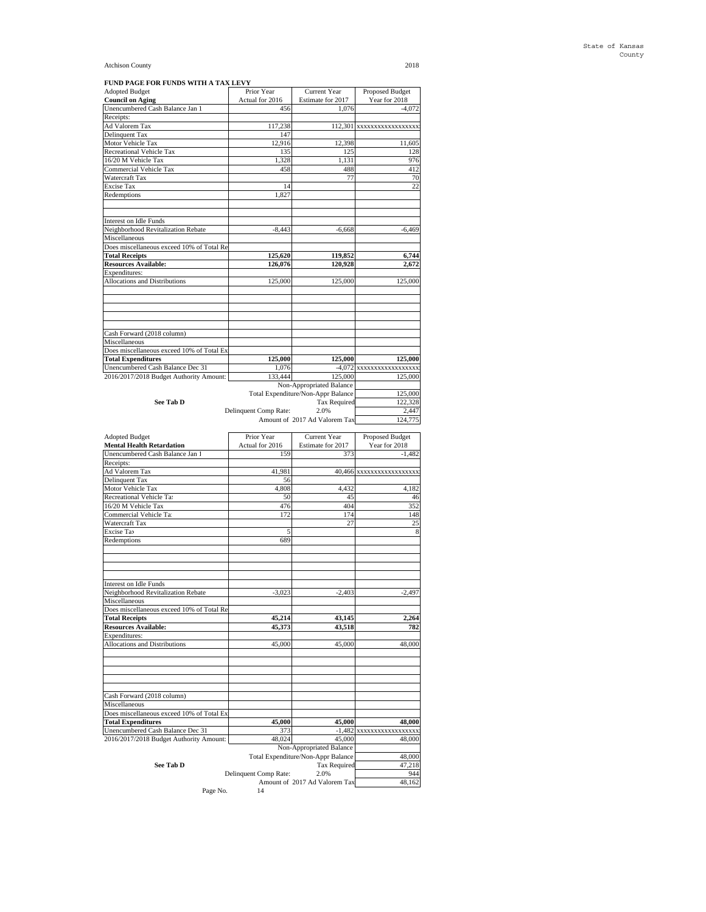**FUND PAGE FOR FUNDS WITH A TAX LEVY**

| <b>Adopted Budget</b>                                                                                                                                                                                                                                                                                                                                                                                                                                                                                                                       | Prior Year            | Current Year                                              | Proposed Budget             |
|---------------------------------------------------------------------------------------------------------------------------------------------------------------------------------------------------------------------------------------------------------------------------------------------------------------------------------------------------------------------------------------------------------------------------------------------------------------------------------------------------------------------------------------------|-----------------------|-----------------------------------------------------------|-----------------------------|
| <b>Council on Aging</b><br>Unencumbered Cash Balance Jan 1                                                                                                                                                                                                                                                                                                                                                                                                                                                                                  | Actual for 2016       | Estimate for 2017<br>1,076                                | Year for 2018<br>$-4,072$   |
| Receipts:                                                                                                                                                                                                                                                                                                                                                                                                                                                                                                                                   | 456                   |                                                           |                             |
| Ad Valorem Tax                                                                                                                                                                                                                                                                                                                                                                                                                                                                                                                              | 117,238               |                                                           | 112,301 XXXXXXXXXXXXXXXX    |
| Delinquent Tax                                                                                                                                                                                                                                                                                                                                                                                                                                                                                                                              | 147                   |                                                           |                             |
| Motor Vehicle Tax                                                                                                                                                                                                                                                                                                                                                                                                                                                                                                                           | 12,916                | 12,398                                                    | 11,605                      |
| Recreational Vehicle Tax                                                                                                                                                                                                                                                                                                                                                                                                                                                                                                                    | 135                   | 125                                                       | 128                         |
| 16/20 M Vehicle Tax<br><b>Commercial Vehicle Tax</b>                                                                                                                                                                                                                                                                                                                                                                                                                                                                                        | 1,328<br>458          | 1,131<br>488                                              | 976<br>412                  |
| Watercraft Tax                                                                                                                                                                                                                                                                                                                                                                                                                                                                                                                              |                       | 77                                                        | 70                          |
| Excise Tax                                                                                                                                                                                                                                                                                                                                                                                                                                                                                                                                  | 14                    |                                                           | 22                          |
| Redemptions                                                                                                                                                                                                                                                                                                                                                                                                                                                                                                                                 | 1,827                 |                                                           |                             |
|                                                                                                                                                                                                                                                                                                                                                                                                                                                                                                                                             |                       |                                                           |                             |
|                                                                                                                                                                                                                                                                                                                                                                                                                                                                                                                                             |                       |                                                           |                             |
| <b>Interest on Idle Funds</b>                                                                                                                                                                                                                                                                                                                                                                                                                                                                                                               |                       |                                                           |                             |
| Neighborhood Revitalization Rebate                                                                                                                                                                                                                                                                                                                                                                                                                                                                                                          | $-8,443$              | $-6,668$                                                  | $-6,469$                    |
| Miscellaneous<br>Does miscellaneous exceed 10% of Total Re                                                                                                                                                                                                                                                                                                                                                                                                                                                                                  |                       |                                                           |                             |
| <b>Total Receipts</b>                                                                                                                                                                                                                                                                                                                                                                                                                                                                                                                       | 125,620               | 119,852                                                   | 6,744                       |
| <b>Resources Available:</b>                                                                                                                                                                                                                                                                                                                                                                                                                                                                                                                 | 126,076               | 120,928                                                   | 2,672                       |
| Expenditures:                                                                                                                                                                                                                                                                                                                                                                                                                                                                                                                               |                       |                                                           |                             |
| Allocations and Distributions                                                                                                                                                                                                                                                                                                                                                                                                                                                                                                               | 125,000               | 125,000                                                   | 125,000                     |
|                                                                                                                                                                                                                                                                                                                                                                                                                                                                                                                                             |                       |                                                           |                             |
|                                                                                                                                                                                                                                                                                                                                                                                                                                                                                                                                             |                       |                                                           |                             |
|                                                                                                                                                                                                                                                                                                                                                                                                                                                                                                                                             |                       |                                                           |                             |
|                                                                                                                                                                                                                                                                                                                                                                                                                                                                                                                                             |                       |                                                           |                             |
| Cash Forward (2018 column)                                                                                                                                                                                                                                                                                                                                                                                                                                                                                                                  |                       |                                                           |                             |
| Miscellaneous                                                                                                                                                                                                                                                                                                                                                                                                                                                                                                                               |                       |                                                           |                             |
| Does miscellaneous exceed 10% of Total Ex                                                                                                                                                                                                                                                                                                                                                                                                                                                                                                   |                       |                                                           |                             |
| <b>Total Expenditures</b>                                                                                                                                                                                                                                                                                                                                                                                                                                                                                                                   | 125,000               | 125,000                                                   | 125,000                     |
| Unencumbered Cash Balance Dec 31                                                                                                                                                                                                                                                                                                                                                                                                                                                                                                            | 1,076                 |                                                           | $-4,072$ xxxxxxxxxxxxxxxxxx |
| 2016/2017/2018 Budget Authority Amount:                                                                                                                                                                                                                                                                                                                                                                                                                                                                                                     | 133,444               | 125,000                                                   | 125,000                     |
|                                                                                                                                                                                                                                                                                                                                                                                                                                                                                                                                             |                       | Non-Appropriated Balance                                  |                             |
| See Tab D                                                                                                                                                                                                                                                                                                                                                                                                                                                                                                                                   |                       | Total Expenditure/Non-Appr Balance<br><b>Tax Required</b> | 125,000<br>122,328          |
|                                                                                                                                                                                                                                                                                                                                                                                                                                                                                                                                             | Delinquent Comp Rate: | 2.0%                                                      | 2.447                       |
|                                                                                                                                                                                                                                                                                                                                                                                                                                                                                                                                             |                       | Amount of 2017 Ad Valorem Tax                             | 124,775                     |
|                                                                                                                                                                                                                                                                                                                                                                                                                                                                                                                                             |                       |                                                           |                             |
| <b>Adopted Budget</b>                                                                                                                                                                                                                                                                                                                                                                                                                                                                                                                       | Prior Year            | Current Year                                              | Proposed Budget             |
|                                                                                                                                                                                                                                                                                                                                                                                                                                                                                                                                             |                       |                                                           |                             |
|                                                                                                                                                                                                                                                                                                                                                                                                                                                                                                                                             | Actual for 2016       | Estimate for 2017                                         | Year for 2018               |
|                                                                                                                                                                                                                                                                                                                                                                                                                                                                                                                                             | 159                   | 373                                                       | $-1,482$                    |
|                                                                                                                                                                                                                                                                                                                                                                                                                                                                                                                                             |                       |                                                           |                             |
|                                                                                                                                                                                                                                                                                                                                                                                                                                                                                                                                             | 41,981                |                                                           | 40,466 xxxxxxxxxxxxxxxxx    |
|                                                                                                                                                                                                                                                                                                                                                                                                                                                                                                                                             | 56                    |                                                           |                             |
| <b>Mental Health Retardation</b><br>Unencumbered Cash Balance Jan 1<br>Receipts:<br>Ad Valorem Tax<br>Delinquent Tax<br>Motor Vehicle Tax<br>Recreational Vehicle Ta:                                                                                                                                                                                                                                                                                                                                                                       | 4,808<br>50           | 4,432<br>45                                               | 4,182<br>46                 |
|                                                                                                                                                                                                                                                                                                                                                                                                                                                                                                                                             | 476                   | 404                                                       | 352                         |
|                                                                                                                                                                                                                                                                                                                                                                                                                                                                                                                                             | 172                   | 174                                                       | 148                         |
|                                                                                                                                                                                                                                                                                                                                                                                                                                                                                                                                             |                       | 27                                                        | 25                          |
|                                                                                                                                                                                                                                                                                                                                                                                                                                                                                                                                             | 5                     |                                                           | 8                           |
|                                                                                                                                                                                                                                                                                                                                                                                                                                                                                                                                             | 689                   |                                                           |                             |
|                                                                                                                                                                                                                                                                                                                                                                                                                                                                                                                                             |                       |                                                           |                             |
|                                                                                                                                                                                                                                                                                                                                                                                                                                                                                                                                             |                       |                                                           |                             |
|                                                                                                                                                                                                                                                                                                                                                                                                                                                                                                                                             |                       |                                                           |                             |
|                                                                                                                                                                                                                                                                                                                                                                                                                                                                                                                                             |                       |                                                           |                             |
|                                                                                                                                                                                                                                                                                                                                                                                                                                                                                                                                             | $-3.023$              | $-2,403$                                                  | $-2,497$                    |
|                                                                                                                                                                                                                                                                                                                                                                                                                                                                                                                                             |                       |                                                           |                             |
|                                                                                                                                                                                                                                                                                                                                                                                                                                                                                                                                             |                       |                                                           |                             |
|                                                                                                                                                                                                                                                                                                                                                                                                                                                                                                                                             | 45,214                | 43,145                                                    | 2,264                       |
|                                                                                                                                                                                                                                                                                                                                                                                                                                                                                                                                             | 45,373                | 43,518                                                    | 782                         |
|                                                                                                                                                                                                                                                                                                                                                                                                                                                                                                                                             |                       |                                                           |                             |
|                                                                                                                                                                                                                                                                                                                                                                                                                                                                                                                                             | 45,000                | 45,000                                                    | 48,000                      |
|                                                                                                                                                                                                                                                                                                                                                                                                                                                                                                                                             |                       |                                                           |                             |
|                                                                                                                                                                                                                                                                                                                                                                                                                                                                                                                                             |                       |                                                           |                             |
|                                                                                                                                                                                                                                                                                                                                                                                                                                                                                                                                             |                       |                                                           |                             |
|                                                                                                                                                                                                                                                                                                                                                                                                                                                                                                                                             |                       |                                                           |                             |
|                                                                                                                                                                                                                                                                                                                                                                                                                                                                                                                                             |                       |                                                           |                             |
|                                                                                                                                                                                                                                                                                                                                                                                                                                                                                                                                             |                       |                                                           |                             |
|                                                                                                                                                                                                                                                                                                                                                                                                                                                                                                                                             |                       |                                                           |                             |
|                                                                                                                                                                                                                                                                                                                                                                                                                                                                                                                                             | 45,000                | 45,000                                                    | 48,000                      |
|                                                                                                                                                                                                                                                                                                                                                                                                                                                                                                                                             | 373<br>48,024         | $-1,482$<br>45,000                                        | XXXXXXXXXXXXXXXXX<br>48,000 |
| 16/20 M Vehicle Tax<br>Commercial Vehicle Ta<br>Watercraft Tax<br>Excise Tax<br>Redemptions<br>Interest on Idle Funds<br>Neighborhood Revitalization Rebate<br>Miscellaneous<br>Does miscellaneous exceed 10% of Total Re<br><b>Total Receipts</b><br><b>Resources Available:</b><br>Expenditures:<br>Allocations and Distributions<br>Cash Forward (2018 column)<br>Miscellaneous<br>Does miscellaneous exceed 10% of Total Ex<br><b>Total Expenditures</b><br>Unencumbered Cash Balance Dec 31<br>2016/2017/2018 Budget Authority Amount: |                       | Non-Appropriated Balance                                  |                             |
|                                                                                                                                                                                                                                                                                                                                                                                                                                                                                                                                             |                       | Total Expenditure/Non-Appr Balance                        | 48,000                      |
| See Tab D                                                                                                                                                                                                                                                                                                                                                                                                                                                                                                                                   |                       | Tax Required                                              | 47,218                      |
|                                                                                                                                                                                                                                                                                                                                                                                                                                                                                                                                             | Delinquent Comp Rate: | 2.0%<br>Amount of 2017 Ad Valorem Tax                     | 944<br>48,162               |

Page No.  $\,$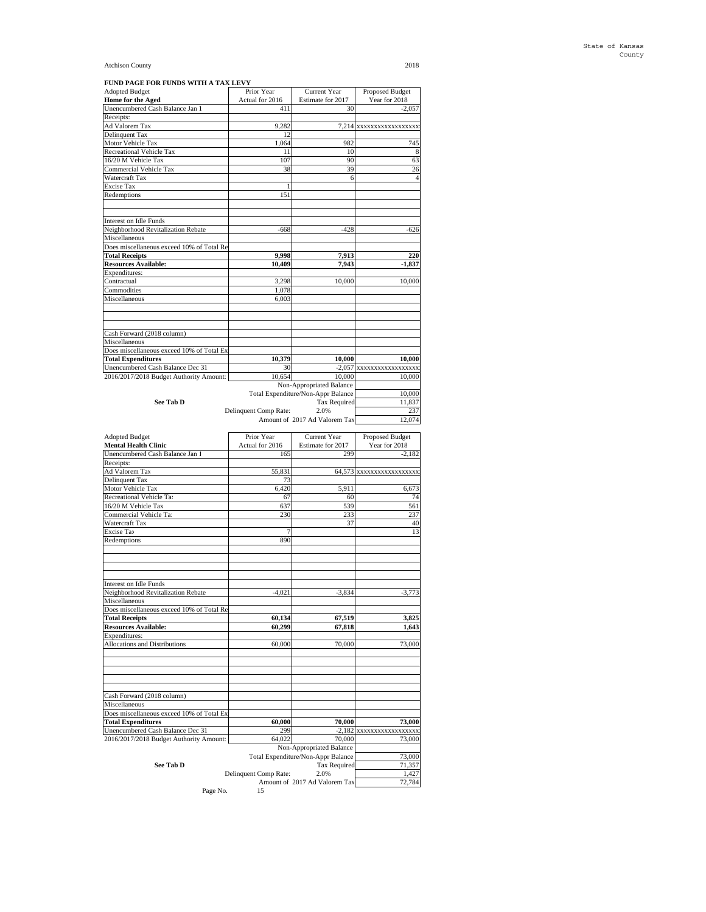**FUND PAGE FOR FUNDS WITH A TAX LEVY**

| <b>Adopted Budget</b>                                                                                                                                                                                                                                  | Prior Year            | Current Year                          | Proposed Budget             |
|--------------------------------------------------------------------------------------------------------------------------------------------------------------------------------------------------------------------------------------------------------|-----------------------|---------------------------------------|-----------------------------|
| Home for the Aged                                                                                                                                                                                                                                      | Actual for 2016       | Estimate for 2017                     | Year for 2018               |
| Unencumbered Cash Balance Jan 1<br>Receipts:                                                                                                                                                                                                           | 411                   | 30                                    | $-2,057$                    |
| Ad Valorem Tax                                                                                                                                                                                                                                         | 9,282                 |                                       | 7,214 xxxxxxxxxxxxxxxxx     |
| Delinquent Tax                                                                                                                                                                                                                                         | 12                    |                                       |                             |
| Motor Vehicle Tax                                                                                                                                                                                                                                      | 1,064                 | 982                                   | 745                         |
| Recreational Vehicle Tax                                                                                                                                                                                                                               | 11                    | 10                                    | 8                           |
| 16/20 M Vehicle Tax                                                                                                                                                                                                                                    | 107                   | 90                                    | 63                          |
| Commercial Vehicle Tax                                                                                                                                                                                                                                 | 38                    | 39                                    | 26                          |
| Watercraft Tax                                                                                                                                                                                                                                         |                       | 6                                     | $\overline{4}$              |
| Excise Tax<br>Redemptions                                                                                                                                                                                                                              | 1<br>151              |                                       |                             |
|                                                                                                                                                                                                                                                        |                       |                                       |                             |
|                                                                                                                                                                                                                                                        |                       |                                       |                             |
| Interest on Idle Funds                                                                                                                                                                                                                                 |                       |                                       |                             |
| Neighborhood Revitalization Rebate                                                                                                                                                                                                                     | $-668$                | $-428$                                | $-626$                      |
| Miscellaneous                                                                                                                                                                                                                                          |                       |                                       |                             |
| Does miscellaneous exceed 10% of Total Re                                                                                                                                                                                                              |                       |                                       |                             |
| <b>Total Receipts</b>                                                                                                                                                                                                                                  | 9,998                 | 7,913                                 | 220                         |
| <b>Resources Available:</b><br>Expenditures:                                                                                                                                                                                                           | 10,409                | 7,943                                 | $-1,837$                    |
| Contractual                                                                                                                                                                                                                                            | 3,298                 | 10,000                                | 10,000                      |
| Commodities                                                                                                                                                                                                                                            | 1,078                 |                                       |                             |
| Miscellaneous                                                                                                                                                                                                                                          | 6,003                 |                                       |                             |
|                                                                                                                                                                                                                                                        |                       |                                       |                             |
|                                                                                                                                                                                                                                                        |                       |                                       |                             |
|                                                                                                                                                                                                                                                        |                       |                                       |                             |
| Cash Forward (2018 column)                                                                                                                                                                                                                             |                       |                                       |                             |
| Miscellaneous                                                                                                                                                                                                                                          |                       |                                       |                             |
| Does miscellaneous exceed 10% of Total Ex<br><b>Total Expenditures</b>                                                                                                                                                                                 | 10,379                | 10,000                                | 10,000                      |
| Unencumbered Cash Balance Dec 31                                                                                                                                                                                                                       | 30                    |                                       | -2,057 XXXXXXXXXXXXXXXX     |
| 2016/2017/2018 Budget Authority Amount:                                                                                                                                                                                                                | 10,654                | 10,000                                | 10,000                      |
|                                                                                                                                                                                                                                                        |                       | Non-Appropriated Balance              |                             |
|                                                                                                                                                                                                                                                        |                       | Total Expenditure/Non-Appr Balance    | 10,000                      |
| See Tab D                                                                                                                                                                                                                                              |                       | <b>Tax Required</b>                   | 11,837                      |
|                                                                                                                                                                                                                                                        | Delinquent Comp Rate: | 2.0%                                  | 237                         |
|                                                                                                                                                                                                                                                        |                       | Amount of 2017 Ad Valorem Tax         | 12,074                      |
|                                                                                                                                                                                                                                                        |                       |                                       |                             |
|                                                                                                                                                                                                                                                        |                       |                                       |                             |
| <b>Adopted Budget</b>                                                                                                                                                                                                                                  | Prior Year            | Current Year                          | Proposed Budget             |
| <b>Mental Health Clinic</b>                                                                                                                                                                                                                            | Actual for 2016       | Estimate for 2017                     | Year for 2018               |
| Unencumbered Cash Balance Jan 1                                                                                                                                                                                                                        | 165                   | 299                                   | $-2,182$                    |
| Receipts:                                                                                                                                                                                                                                              | 55,831                |                                       |                             |
|                                                                                                                                                                                                                                                        | 73                    |                                       | 64,573 xxxxxxxxxxxxxxxxx    |
| Ad Valorem Tax<br>Delinquent Tax<br>Motor Vehicle Tax                                                                                                                                                                                                  | 6,420                 | 5,911                                 | 6,673                       |
| Recreational Vehicle Ta:                                                                                                                                                                                                                               | 67                    | 60                                    | 74                          |
| 16/20 M Vehicle Tax                                                                                                                                                                                                                                    | 637                   | 539                                   | 561                         |
| Commercial Vehicle Ta                                                                                                                                                                                                                                  | 230                   | 233                                   | 237                         |
|                                                                                                                                                                                                                                                        |                       | 37                                    | 40                          |
|                                                                                                                                                                                                                                                        |                       |                                       | 13                          |
|                                                                                                                                                                                                                                                        | 890                   |                                       |                             |
|                                                                                                                                                                                                                                                        |                       |                                       |                             |
|                                                                                                                                                                                                                                                        |                       |                                       |                             |
|                                                                                                                                                                                                                                                        |                       |                                       |                             |
|                                                                                                                                                                                                                                                        |                       |                                       |                             |
|                                                                                                                                                                                                                                                        | $-4.021$              | $-3,834$                              | $-3,773$                    |
|                                                                                                                                                                                                                                                        |                       |                                       |                             |
|                                                                                                                                                                                                                                                        |                       |                                       |                             |
| Watercraft Tax<br><b>Excise Tax</b><br>Redemptions<br>Interest on Idle Funds<br>Neighborhood Revitalization Rebate<br>Miscellaneous<br>Does miscellaneous exceed 10% of Total Re<br><b>Total Receipts</b>                                              | 60,134                | 67,519                                | 3.825                       |
| <b>Resources Available:</b>                                                                                                                                                                                                                            | 60,299                | 67,818                                | 1,643                       |
|                                                                                                                                                                                                                                                        | 60,000                | 70,000                                | 73,000                      |
|                                                                                                                                                                                                                                                        |                       |                                       |                             |
|                                                                                                                                                                                                                                                        |                       |                                       |                             |
|                                                                                                                                                                                                                                                        |                       |                                       |                             |
|                                                                                                                                                                                                                                                        |                       |                                       |                             |
|                                                                                                                                                                                                                                                        |                       |                                       |                             |
|                                                                                                                                                                                                                                                        |                       |                                       |                             |
|                                                                                                                                                                                                                                                        |                       |                                       |                             |
|                                                                                                                                                                                                                                                        |                       |                                       |                             |
|                                                                                                                                                                                                                                                        | 60,000<br>299         | 70,000                                | 73,000                      |
|                                                                                                                                                                                                                                                        | 64,022                | $-2,182$<br>70,000                    | xxxxxxxxxxxxxxxxx<br>73,000 |
| Expenditures:<br>Allocations and Distributions<br>Cash Forward (2018 column)<br>Miscellaneous<br>Does miscellaneous exceed 10% of Total Ex<br><b>Total Expenditures</b><br>Unencumbered Cash Balance Dec 31<br>2016/2017/2018 Budget Authority Amount: |                       | Non-Appropriated Balance              |                             |
|                                                                                                                                                                                                                                                        |                       | Total Expenditure/Non-Appr Balance    | 73,000                      |
| See Tab D                                                                                                                                                                                                                                              |                       | Tax Required                          | 71,357                      |
|                                                                                                                                                                                                                                                        | Delinquent Comp Rate: | 2.0%<br>Amount of 2017 Ad Valorem Tax | 1,427<br>72,784             |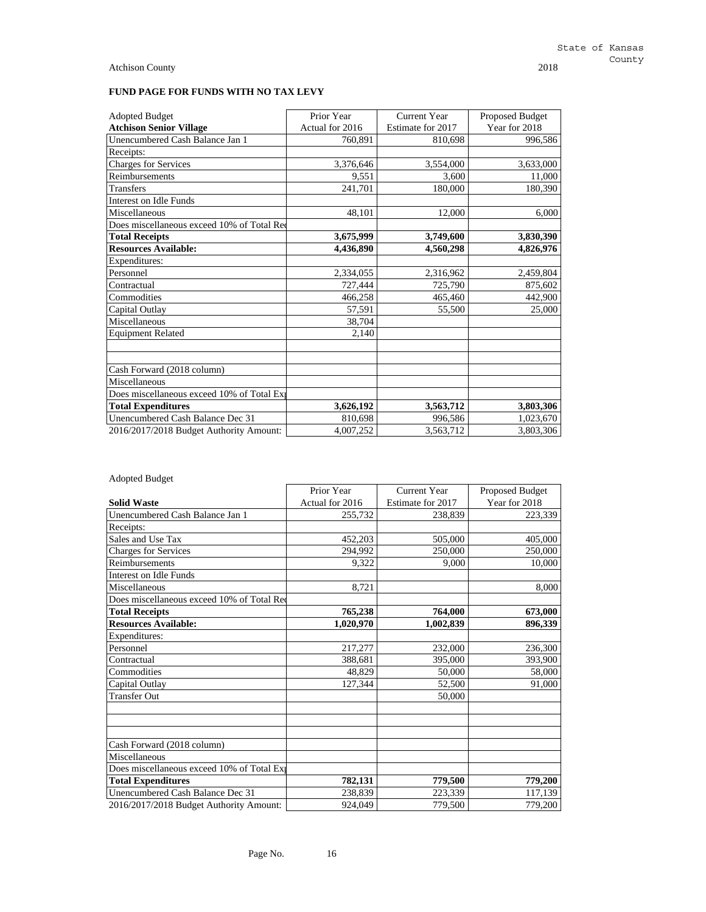# **FUND PAGE FOR FUNDS WITH NO TAX LEVY**

| <b>Adopted Budget</b>                      | Prior Year      | <b>Current Year</b> | Proposed Budget |
|--------------------------------------------|-----------------|---------------------|-----------------|
| <b>Atchison Senior Village</b>             | Actual for 2016 | Estimate for 2017   | Year for 2018   |
| Unencumbered Cash Balance Jan 1            | 760,891         | 810,698             | 996,586         |
| Receipts:                                  |                 |                     |                 |
| <b>Charges for Services</b>                | 3,376,646       | 3,554,000           | 3,633,000       |
| Reimbursements                             | 9,551           | 3,600               | 11,000          |
| <b>Transfers</b>                           | 241,701         | 180,000             | 180,390         |
| Interest on Idle Funds                     |                 |                     |                 |
| Miscellaneous                              | 48,101          | 12,000              | 6,000           |
| Does miscellaneous exceed 10% of Total Red |                 |                     |                 |
| <b>Total Receipts</b>                      | 3,675,999       | 3,749,600           | 3,830,390       |
| <b>Resources Available:</b>                | 4,436,890       | 4,560,298           | 4,826,976       |
| Expenditures:                              |                 |                     |                 |
| Personnel                                  | 2,334,055       | 2,316,962           | 2,459,804       |
| Contractual                                | 727,444         | 725,790             | 875,602         |
| Commodities                                | 466,258         | 465,460             | 442,900         |
| Capital Outlay                             | 57,591          | 55,500              | 25,000          |
| Miscellaneous                              | 38,704          |                     |                 |
| <b>Equipment Related</b>                   | 2,140           |                     |                 |
| Cash Forward (2018 column)                 |                 |                     |                 |
| Miscellaneous                              |                 |                     |                 |
| Does miscellaneous exceed 10% of Total Exp |                 |                     |                 |
| <b>Total Expenditures</b>                  | 3,626,192       | 3,563,712           | 3,803,306       |
| Unencumbered Cash Balance Dec 31           | 810,698         | 996,586             | 1,023,670       |
| 2016/2017/2018 Budget Authority Amount:    | 4,007,252       | 3,563,712           | 3,803,306       |

# Adopted Budget

|                                            | Prior Year      | <b>Current Year</b> | Proposed Budget |
|--------------------------------------------|-----------------|---------------------|-----------------|
| <b>Solid Waste</b>                         | Actual for 2016 | Estimate for 2017   | Year for 2018   |
| Unencumbered Cash Balance Jan 1            | 255,732         | 238,839             | 223,339         |
| Receipts:                                  |                 |                     |                 |
| Sales and Use Tax                          | 452,203         | 505,000             | 405,000         |
| <b>Charges for Services</b>                | 294.992         | 250,000             | 250,000         |
| Reimbursements                             | 9,322           | 9.000               | 10,000          |
| Interest on Idle Funds                     |                 |                     |                 |
| Miscellaneous                              | 8,721           |                     | 8,000           |
| Does miscellaneous exceed 10% of Total Red |                 |                     |                 |
| <b>Total Receipts</b>                      | 765,238         | 764,000             | 673,000         |
| <b>Resources Available:</b>                | 1,020,970       | 1,002,839           | 896,339         |
| Expenditures:                              |                 |                     |                 |
| Personnel                                  | 217,277         | 232,000             | 236,300         |
| Contractual                                | 388,681         | 395,000             | 393,900         |
| Commodities                                | 48,829          | 50,000              | 58,000          |
| Capital Outlay                             | 127,344         | 52,500              | 91,000          |
| <b>Transfer Out</b>                        |                 | 50,000              |                 |
|                                            |                 |                     |                 |
| Cash Forward (2018 column)                 |                 |                     |                 |
| Miscellaneous                              |                 |                     |                 |
| Does miscellaneous exceed 10% of Total Exp |                 |                     |                 |
| <b>Total Expenditures</b>                  | 782,131         | 779,500             | 779,200         |
| Unencumbered Cash Balance Dec 31           | 238,839         | 223,339             | 117,139         |
| 2016/2017/2018 Budget Authority Amount:    | 924,049         | 779,500             | 779,200         |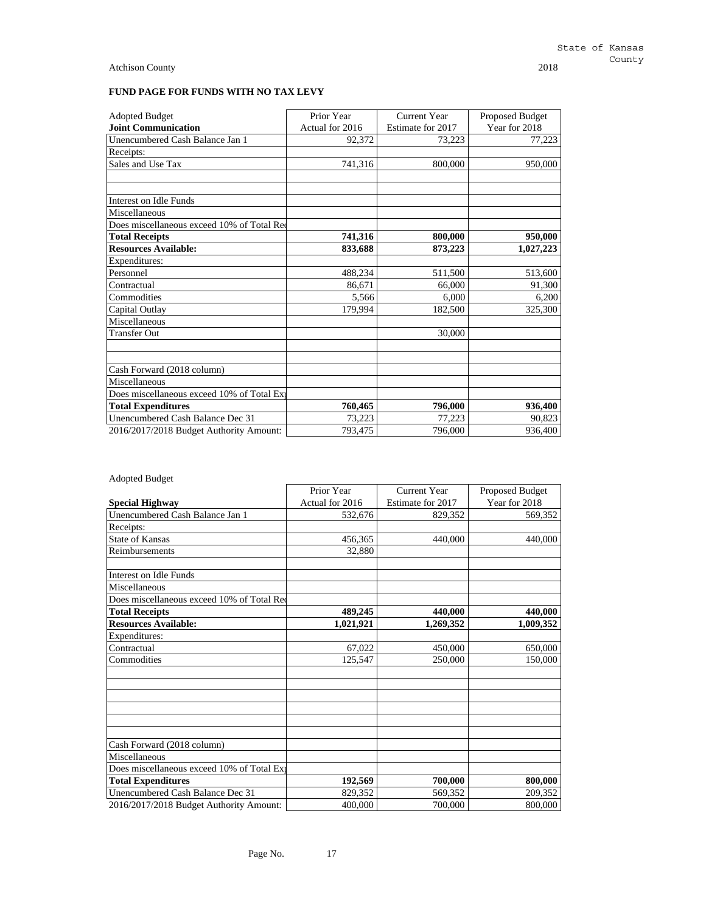| <b>Adopted Budget</b>                      | Prior Year      | <b>Current Year</b> | Proposed Budget |
|--------------------------------------------|-----------------|---------------------|-----------------|
| <b>Joint Communication</b>                 | Actual for 2016 | Estimate for 2017   | Year for 2018   |
| Unencumbered Cash Balance Jan 1            | 92,372          | 73,223              | 77,223          |
| Receipts:                                  |                 |                     |                 |
| Sales and Use Tax                          | 741,316         | 800,000             | 950,000         |
|                                            |                 |                     |                 |
| Interest on Idle Funds                     |                 |                     |                 |
| Miscellaneous                              |                 |                     |                 |
| Does miscellaneous exceed 10% of Total Red |                 |                     |                 |
| <b>Total Receipts</b>                      | 741,316         | 800,000             | 950,000         |
| <b>Resources Available:</b>                | 833,688         | 873,223             | 1,027,223       |
| Expenditures:                              |                 |                     |                 |
| Personnel                                  | 488,234         | 511,500             | 513,600         |
| Contractual                                | 86,671          | 66,000              | 91,300          |
| Commodities                                | 5,566           | 6,000               | 6,200           |
| Capital Outlay                             | 179,994         | 182,500             | 325,300         |
| Miscellaneous                              |                 |                     |                 |
| <b>Transfer Out</b>                        |                 | 30,000              |                 |
| Cash Forward (2018 column)                 |                 |                     |                 |
| Miscellaneous                              |                 |                     |                 |
| Does miscellaneous exceed 10% of Total Exp |                 |                     |                 |
| <b>Total Expenditures</b>                  | 760,465         | 796,000             | 936,400         |
| Unencumbered Cash Balance Dec 31           | 73,223          | 77,223              | 90,823          |
| 2016/2017/2018 Budget Authority Amount:    | 793,475         | 796,000             | 936,400         |

| <b>Adopted Budget</b> |  |
|-----------------------|--|
|-----------------------|--|

|                                            | Prior Year      | <b>Current Year</b> | Proposed Budget |
|--------------------------------------------|-----------------|---------------------|-----------------|
| <b>Special Highway</b>                     | Actual for 2016 | Estimate for 2017   | Year for 2018   |
| Unencumbered Cash Balance Jan 1            | 532,676         | 829,352             | 569,352         |
| Receipts:                                  |                 |                     |                 |
| <b>State of Kansas</b>                     | 456,365         | 440,000             | 440,000         |
| Reimbursements                             | 32,880          |                     |                 |
| Interest on Idle Funds                     |                 |                     |                 |
| Miscellaneous                              |                 |                     |                 |
| Does miscellaneous exceed 10% of Total Red |                 |                     |                 |
| <b>Total Receipts</b>                      | 489,245         | 440,000             | 440,000         |
| <b>Resources Available:</b>                | 1,021,921       | 1,269,352           | 1,009,352       |
| Expenditures:                              |                 |                     |                 |
| Contractual                                | 67,022          | 450,000             | 650,000         |
| Commodities                                | 125,547         | 250,000             | 150,000         |
|                                            |                 |                     |                 |
|                                            |                 |                     |                 |
| Cash Forward (2018 column)                 |                 |                     |                 |
| Miscellaneous                              |                 |                     |                 |
| Does miscellaneous exceed 10% of Total Exp |                 |                     |                 |
| <b>Total Expenditures</b>                  | 192,569         | 700,000             | 800,000         |
| Unencumbered Cash Balance Dec 31           | 829,352         | 569,352             | 209,352         |
| 2016/2017/2018 Budget Authority Amount:    | 400,000         | 700,000             | 800,000         |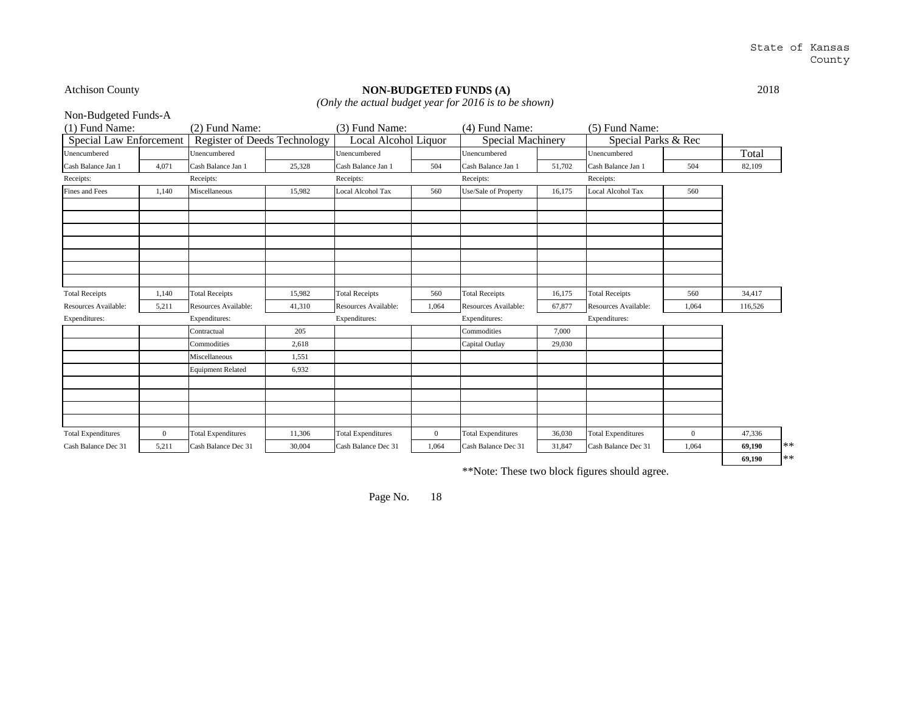# Atchison County **NON-BUDGETED FUNDS (A)** 2018

*(Only the actual budget year for 2016 is to be shown)*

| Non-Budgeted Funds-A      |              |                                     |        |                           |              |                           |        |                           |                |         |               |
|---------------------------|--------------|-------------------------------------|--------|---------------------------|--------------|---------------------------|--------|---------------------------|----------------|---------|---------------|
| (1) Fund Name:            |              | (2) Fund Name:                      |        | (3) Fund Name:            |              | (4) Fund Name:            |        | $(5)$ Fund Name:          |                |         |               |
| Special Law Enforcement   |              | <b>Register of Deeds Technology</b> |        | Local Alcohol Liquor      |              | <b>Special Machinery</b>  |        | Special Parks & Rec       |                |         |               |
| Unencumbered              |              | Unencumbered                        |        | Unencumbered              |              | Unencumbered              |        | Unencumbered              |                | Total   |               |
| Cash Balance Jan 1        | 4,071        | Cash Balance Jan 1                  | 25,328 | Cash Balance Jan 1        | 504          | Cash Balance Jan 1        | 51,702 | Cash Balance Jan 1        | 504            | 82,109  |               |
| Receipts:                 |              | Receipts:                           |        | Receipts:                 |              | Receipts:                 |        | Receipts:                 |                |         |               |
| Fines and Fees            | 1,140        | Miscellaneous                       | 15,982 | <b>Local Alcohol Tax</b>  | 560          | Use/Sale of Property      | 16,175 | Local Alcohol Tax         | 560            |         |               |
|                           |              |                                     |        |                           |              |                           |        |                           |                |         |               |
|                           |              |                                     |        |                           |              |                           |        |                           |                |         |               |
|                           |              |                                     |        |                           |              |                           |        |                           |                |         |               |
|                           |              |                                     |        |                           |              |                           |        |                           |                |         |               |
|                           |              |                                     |        |                           |              |                           |        |                           |                |         |               |
|                           |              |                                     |        |                           |              |                           |        |                           |                |         |               |
|                           |              |                                     |        |                           |              |                           |        |                           |                |         |               |
| <b>Total Receipts</b>     | 1,140        | <b>Total Receipts</b>               | 15,982 | <b>Total Receipts</b>     | 560          | <b>Total Receipts</b>     | 16,175 | <b>Total Receipts</b>     | 560            | 34.417  |               |
| Resources Available:      | 5,211        | Resources Available:                | 41,310 | Resources Available:      | 1.064        | Resources Available:      | 67,877 | Resources Available:      | 1,064          | 116.526 |               |
| Expenditures:             |              | Expenditures:                       |        | Expenditures:             |              | Expenditures:             |        | Expenditures:             |                |         |               |
|                           |              | Contractual                         | 205    |                           |              | Commodities               | 7.000  |                           |                |         |               |
|                           |              | Commodities                         | 2,618  |                           |              | Capital Outlay            | 29,030 |                           |                |         |               |
|                           |              | Miscellaneous                       | 1,551  |                           |              |                           |        |                           |                |         |               |
|                           |              | <b>Equipment Related</b>            | 6,932  |                           |              |                           |        |                           |                |         |               |
|                           |              |                                     |        |                           |              |                           |        |                           |                |         |               |
|                           |              |                                     |        |                           |              |                           |        |                           |                |         |               |
|                           |              |                                     |        |                           |              |                           |        |                           |                |         |               |
|                           |              |                                     |        |                           |              |                           |        |                           |                |         |               |
| <b>Total Expenditures</b> | $\mathbf{0}$ | <b>Total Expenditures</b>           | 11,306 | <b>Total Expenditures</b> | $\mathbf{0}$ | <b>Total Expenditures</b> | 36,030 | <b>Total Expenditures</b> | $\overline{0}$ | 47,336  |               |
| Cash Balance Dec 31       | 5,211        | Cash Balance Dec 31                 | 30,004 | Cash Balance Dec 31       | 1,064        | Cash Balance Dec 31       | 31,847 | Cash Balance Dec 31       | 1,064          | 69,190  | $\ast$ $\ast$ |
|                           |              |                                     |        |                           |              |                           |        |                           |                | 69.190  | $\ast$ $\ast$ |

\*\*Note: These two block figures should agree.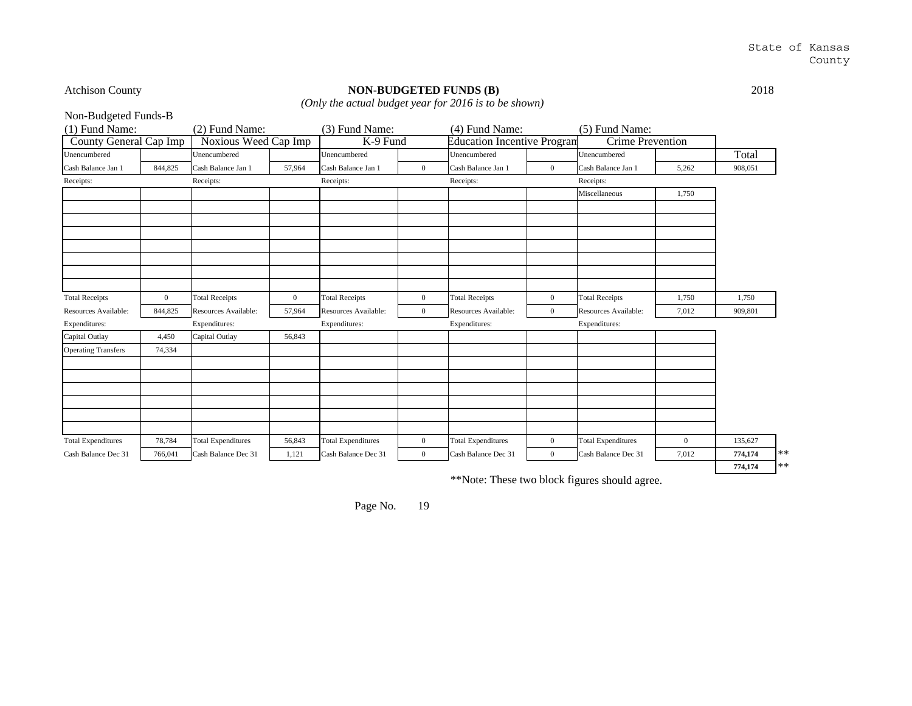# Atchison County **NON-BUDGETED FUNDS (B)** 2018

*(Only the actual budget year for 2016 is to be shown)*

| Non-Budgeted Funds-B       |                |                           |                |                           |                  |                                    |                |                           |              |         |       |
|----------------------------|----------------|---------------------------|----------------|---------------------------|------------------|------------------------------------|----------------|---------------------------|--------------|---------|-------|
| (1) Fund Name:             |                | (2) Fund Name:            |                | (3) Fund Name:            |                  | (4) Fund Name:                     |                | (5) Fund Name:            |              |         |       |
| County General Cap Imp     |                | Noxious Weed Cap Imp      |                | K-9 Fund                  |                  | <b>Education Incentive Program</b> |                | <b>Crime Prevention</b>   |              |         |       |
| Unencumbered               |                | Unencumbered              |                | Unencumbered              |                  | Unencumbered                       |                | Unencumbered              |              | Total   |       |
| Cash Balance Jan 1         | 844,825        | Cash Balance Jan 1        | 57,964         | Cash Balance Jan 1        | $\overline{0}$   | Cash Balance Jan 1                 | $\overline{0}$ | Cash Balance Jan 1        | 5,262        | 908,051 |       |
| Receipts:                  |                | Receipts:                 |                | Receipts:                 |                  | Receipts:                          |                | Receipts:                 |              |         |       |
|                            |                |                           |                |                           |                  |                                    |                | Miscellaneous             | 1,750        |         |       |
|                            |                |                           |                |                           |                  |                                    |                |                           |              |         |       |
|                            |                |                           |                |                           |                  |                                    |                |                           |              |         |       |
|                            |                |                           |                |                           |                  |                                    |                |                           |              |         |       |
|                            |                |                           |                |                           |                  |                                    |                |                           |              |         |       |
|                            |                |                           |                |                           |                  |                                    |                |                           |              |         |       |
|                            |                |                           |                |                           |                  |                                    |                |                           |              |         |       |
|                            |                |                           |                |                           |                  |                                    |                |                           |              |         |       |
| <b>Total Receipts</b>      | $\overline{0}$ | <b>Total Receipts</b>     | $\overline{0}$ | <b>Total Receipts</b>     | $\overline{0}$   | <b>Total Receipts</b>              | $\mathbf{0}$   | <b>Total Receipts</b>     | 1,750        | 1,750   |       |
| Resources Available:       | 844,825        | Resources Available:      | 57,964         | Resources Available:      | $\overline{0}$   | Resources Available:               | $\mathbf{0}$   | Resources Available:      | 7,012        | 909,801 |       |
| Expenditures:              |                | Expenditures:             |                | Expenditures:             |                  | Expenditures:                      |                | Expenditures:             |              |         |       |
| Capital Outlay             | 4,450          | Capital Outlay            | 56,843         |                           |                  |                                    |                |                           |              |         |       |
| <b>Operating Transfers</b> | 74,334         |                           |                |                           |                  |                                    |                |                           |              |         |       |
|                            |                |                           |                |                           |                  |                                    |                |                           |              |         |       |
|                            |                |                           |                |                           |                  |                                    |                |                           |              |         |       |
|                            |                |                           |                |                           |                  |                                    |                |                           |              |         |       |
|                            |                |                           |                |                           |                  |                                    |                |                           |              |         |       |
|                            |                |                           |                |                           |                  |                                    |                |                           |              |         |       |
|                            |                |                           |                |                           |                  |                                    |                |                           |              |         |       |
| <b>Total Expenditures</b>  | 78,784         | <b>Total Expenditures</b> | 56,843         | <b>Total Expenditures</b> | $\boldsymbol{0}$ | <b>Total Expenditures</b>          | $\mathbf{0}$   | <b>Total Expenditures</b> | $\mathbf{0}$ | 135,627 |       |
| Cash Balance Dec 31        | 766,041        | Cash Balance Dec 31       | 1,121          | Cash Balance Dec 31       | $\overline{0}$   | Cash Balance Dec 31                | $\overline{0}$ | Cash Balance Dec 31       | 7,012        | 774,174 | $***$ |
|                            |                |                           |                |                           |                  |                                    |                |                           |              | 774,174 | $**$  |

\*\*Note: These two block figures should agree.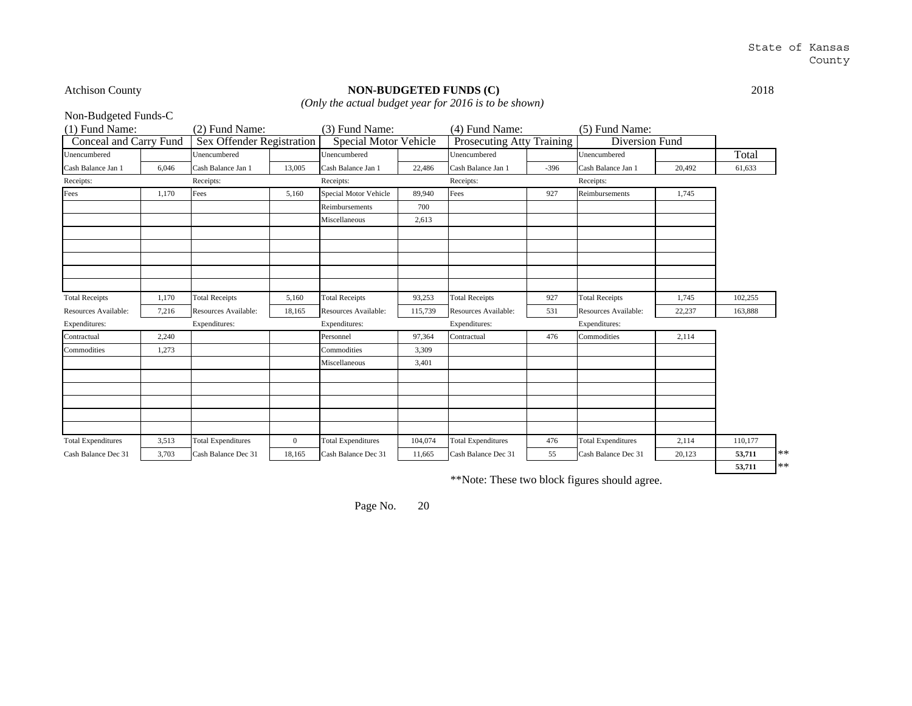# Atchison County **NON-BUDGETED FUNDS (C)** 2018 *(Only the actual budget year for 2016 is to be shown)*

**53,711** \*\*

Non-Budgeted Funds-C

| <b>NOII-DUARELEA FUILAS-C</b> |       |                           |                |                           |         |                           |          |                           |        |         |
|-------------------------------|-------|---------------------------|----------------|---------------------------|---------|---------------------------|----------|---------------------------|--------|---------|
| (1) Fund Name:                |       | $(2)$ Fund Name:          |                | (3) Fund Name:            |         | (4) Fund Name:            |          | $(5)$ Fund Name:          |        |         |
| Conceal and Carry Fund        |       | Sex Offender Registration |                | Special Motor Vehicle     |         | Prosecuting Atty          | Training | Diversion Fund            |        |         |
| Unencumbered                  |       | Unencumbered              |                | Unencumbered              |         | Unencumbered              |          | Unencumbered              |        | Total   |
| Cash Balance Jan 1            | 6,046 | Cash Balance Jan 1        | 13,005         | Cash Balance Jan 1        | 22,486  | Cash Balance Jan 1        | $-396$   | Cash Balance Jan 1        | 20,492 | 61,633  |
| Receipts:                     |       | Receipts:                 |                | Receipts:                 |         | Receipts:                 |          | Receipts:                 |        |         |
| Fees                          | 1,170 | Fees                      | 5,160          | Special Motor Vehicle     | 89,940  | Fees                      | 927      | Reimbursements            | 1,745  |         |
|                               |       |                           |                | Reimbursements            | 700     |                           |          |                           |        |         |
|                               |       |                           |                | Miscellaneous             | 2,613   |                           |          |                           |        |         |
|                               |       |                           |                |                           |         |                           |          |                           |        |         |
|                               |       |                           |                |                           |         |                           |          |                           |        |         |
|                               |       |                           |                |                           |         |                           |          |                           |        |         |
|                               |       |                           |                |                           |         |                           |          |                           |        |         |
|                               |       |                           |                |                           |         |                           |          |                           |        |         |
| <b>Total Receipts</b>         | 1.170 | <b>Total Receipts</b>     | 5,160          | <b>Total Receipts</b>     | 93,253  | <b>Total Receipts</b>     | 927      | <b>Total Receipts</b>     | 1.745  | 102.255 |
| Resources Available:          | 7,216 | Resources Available:      | 18.165         | Resources Available:      | 115,739 | Resources Available:      | 531      | Resources Available:      | 22,237 | 163,888 |
| Expenditures:                 |       | Expenditures:             |                | Expenditures:             |         | Expenditures:             |          | Expenditures:             |        |         |
| Contractual                   | 2,240 |                           |                | Personnel                 | 97,364  | Contractual               | 476      | Commodities               | 2,114  |         |
| Commodities                   | 1,273 |                           |                | Commodities               | 3,309   |                           |          |                           |        |         |
|                               |       |                           |                | Miscellaneous             | 3,401   |                           |          |                           |        |         |
|                               |       |                           |                |                           |         |                           |          |                           |        |         |
|                               |       |                           |                |                           |         |                           |          |                           |        |         |
|                               |       |                           |                |                           |         |                           |          |                           |        |         |
|                               |       |                           |                |                           |         |                           |          |                           |        |         |
|                               |       |                           |                |                           |         |                           |          |                           |        |         |
| <b>Total Expenditures</b>     | 3,513 | <b>Total Expenditures</b> | $\overline{0}$ | <b>Total Expenditures</b> | 104,074 | <b>Total Expenditures</b> | 476      | <b>Total Expenditures</b> | 2,114  | 110,177 |
| Cash Balance Dec 31           | 3,703 | Cash Balance Dec 31       | 18,165         | Cash Balance Dec 31       | 11,665  | Cash Balance Dec 31       | 55       | Cash Balance Dec 31       | 20,123 | 53,711  |
|                               |       |                           |                |                           |         |                           |          |                           |        |         |

\*\*Note: These two block figures should agree.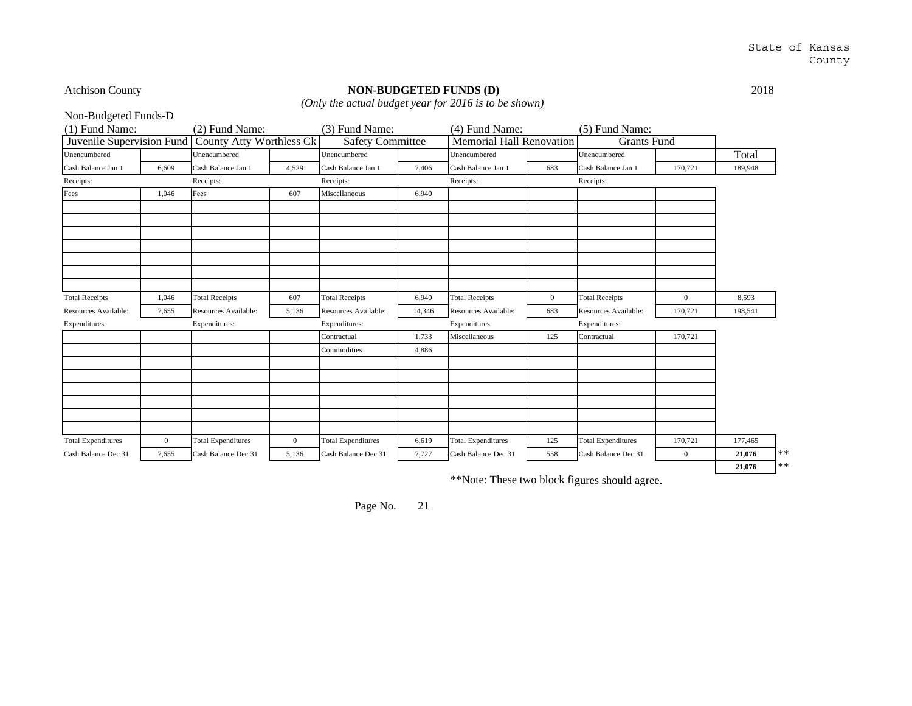# Atchison County **NON-BUDGETED FUNDS (D)** 2018 *(Only the actual budget year for 2016 is to be shown)*

Non-Budgeted Funds-D

(1) Fund Name: (2) Fund Name: (3) Fund Name: (4) Fund Name: (5) Fund Name: (5) Fund Name: (5) Fund Name: (5) Fund Name: (5) Fund Name: (5) Fund Name: (5) Fund Name: (5) Fund Name: (5) Fund Name: (5) Fund Name: (5) Fund Nam Unencumbered Unencumbered Unencumbered Unencumbered Unencumbered TotalTotal Cash Balance Jan 1 | 6,609 | Cash Balance Jan 1 | 4,529 | Cash Balance Jan 1 | 7,406 | Cash Balance Jan 1 | 683 | Cash Balance Jan 1 | 170,721 | 189,948 Receipts: Receipts: Receipts: Receipts: Receipts: Fees 1,046 Fees 1,046 Fees 507 Miscellaneous 6,940 Total Receipts 1,046 Total Receipts 607 Total Receipts 6,940 Total Receipts 0 Total Receipts 0 8,593 Resources Available: 7,655 Resources Available: 5,136 Resources Available: 14,346 Resources Available: 683 Resources Available: 170,721 198,541 Expenditures: Expenditures: Expenditures: Expenditures: Expenditures: Contractual 1,733 Miscellaneous 125 Contractual 170,721 Commodities 4,886 Total Expenditures 0 Total Expenditures 0 Total Expenditures 6,619 Total Expenditures 125 Total Expenditures 170,721 177,465 Cash Balance Dec 31 | 7,655 Cash Balance Dec 31 | 5,136 Cash Balance Dec 31 | 7,727 | Cash Balance Dec 31 | 558 | Cash Balance Dec 31 | 0 | 21,076 | \*\* **21,076** \*\*Juvenile Supervision Fund County Atty Worthless Ck Safety Committee Memorial Hall Renovation Grants Fund

\*\*Note: These two block figures should agree.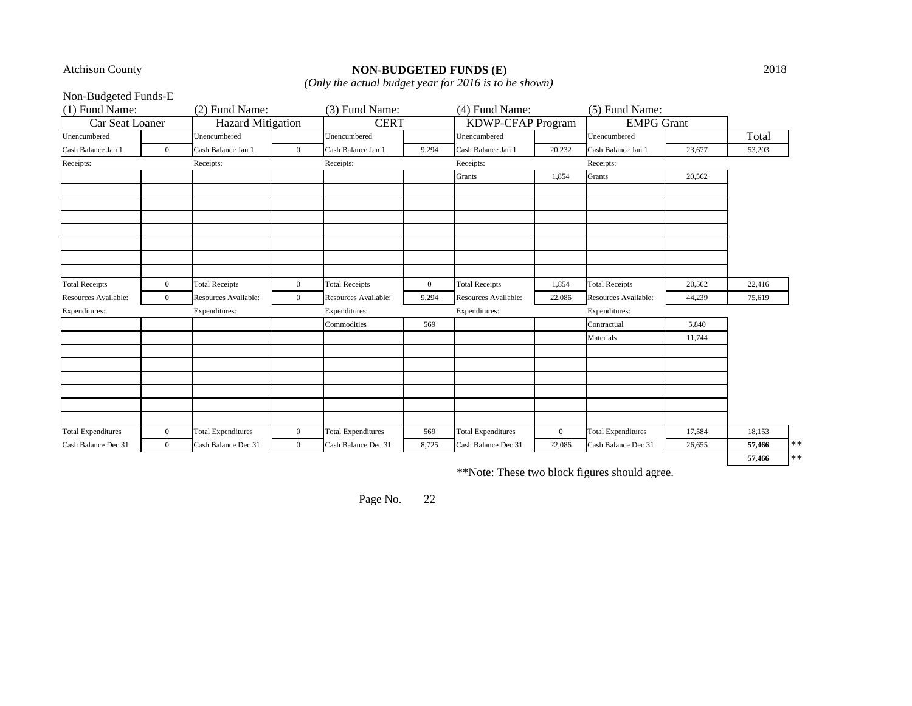# Atchison County **NON-BUDGETED FUNDS (E)** 2018

*(Only the actual budget year for 2016 is to be shown)*

Non-Budgeted Funds-E

| $(1)$ Fund Name:          |                | (2) Fund Name:            |                | (3) Fund Name:            |              | (4) Fund Name:            |              | (5) Fund Name:            |        |        |            |
|---------------------------|----------------|---------------------------|----------------|---------------------------|--------------|---------------------------|--------------|---------------------------|--------|--------|------------|
| Car Seat Loaner           |                | Hazard Mitigation         |                | <b>CERT</b>               |              | <b>KDWP-CFAP Program</b>  |              | <b>EMPG</b> Grant         |        |        |            |
| Unencumbered              |                | Unencumbered              |                | Unencumbered              |              | Unencumbered              |              | Unencumbered              |        | Total  |            |
| Cash Balance Jan 1        | $\overline{0}$ | Cash Balance Jan 1        | $\overline{0}$ | Cash Balance Jan 1        | 9,294        | Cash Balance Jan 1        | 20,232       | Cash Balance Jan 1        | 23,677 | 53,203 |            |
| Receipts:                 |                | Receipts:                 |                | Receipts:                 |              | Receipts:                 |              | Receipts:                 |        |        |            |
|                           |                |                           |                |                           |              | Grants                    | 1,854        | Grants                    | 20,562 |        |            |
|                           |                |                           |                |                           |              |                           |              |                           |        |        |            |
|                           |                |                           |                |                           |              |                           |              |                           |        |        |            |
|                           |                |                           |                |                           |              |                           |              |                           |        |        |            |
|                           |                |                           |                |                           |              |                           |              |                           |        |        |            |
|                           |                |                           |                |                           |              |                           |              |                           |        |        |            |
|                           |                |                           |                |                           |              |                           |              |                           |        |        |            |
|                           |                |                           |                |                           |              |                           |              |                           |        |        |            |
| <b>Total Receipts</b>     | $\overline{0}$ | <b>Total Receipts</b>     | $\mathbf{0}$   | <b>Total Receipts</b>     | $\mathbf{0}$ | <b>Total Receipts</b>     | 1,854        | <b>Total Receipts</b>     | 20,562 | 22,416 |            |
| Resources Available:      | $\overline{0}$ | Resources Available:      | $\overline{0}$ | Resources Available:      | 9,294        | Resources Available:      | 22,086       | Resources Available:      | 44,239 | 75,619 |            |
| Expenditures:             |                | Expenditures:             |                | Expenditures:             |              | Expenditures:             |              | Expenditures:             |        |        |            |
|                           |                |                           |                | Commodities               | 569          |                           |              | Contractual               | 5,840  |        |            |
|                           |                |                           |                |                           |              |                           |              | Materials                 | 11,744 |        |            |
|                           |                |                           |                |                           |              |                           |              |                           |        |        |            |
|                           |                |                           |                |                           |              |                           |              |                           |        |        |            |
|                           |                |                           |                |                           |              |                           |              |                           |        |        |            |
|                           |                |                           |                |                           |              |                           |              |                           |        |        |            |
|                           |                |                           |                |                           |              |                           |              |                           |        |        |            |
|                           |                |                           |                |                           |              |                           |              |                           |        |        |            |
| <b>Total Expenditures</b> | $\overline{0}$ | <b>Total Expenditures</b> | $\overline{0}$ | <b>Total Expenditures</b> | 569          | <b>Total Expenditures</b> | $\mathbf{0}$ | <b>Total Expenditures</b> | 17,584 | 18,153 |            |
| Cash Balance Dec 31       | $\overline{0}$ | Cash Balance Dec 31       | $\mathbf{0}$   | Cash Balance Dec 31       | 8,725        | Cash Balance Dec 31       | 22,086       | Cash Balance Dec 31       | 26,655 | 57,466 | $***$      |
|                           |                |                           |                |                           |              |                           |              |                           |        | 57,466 | $\ast\ast$ |

\*\*Note: These two block figures should agree.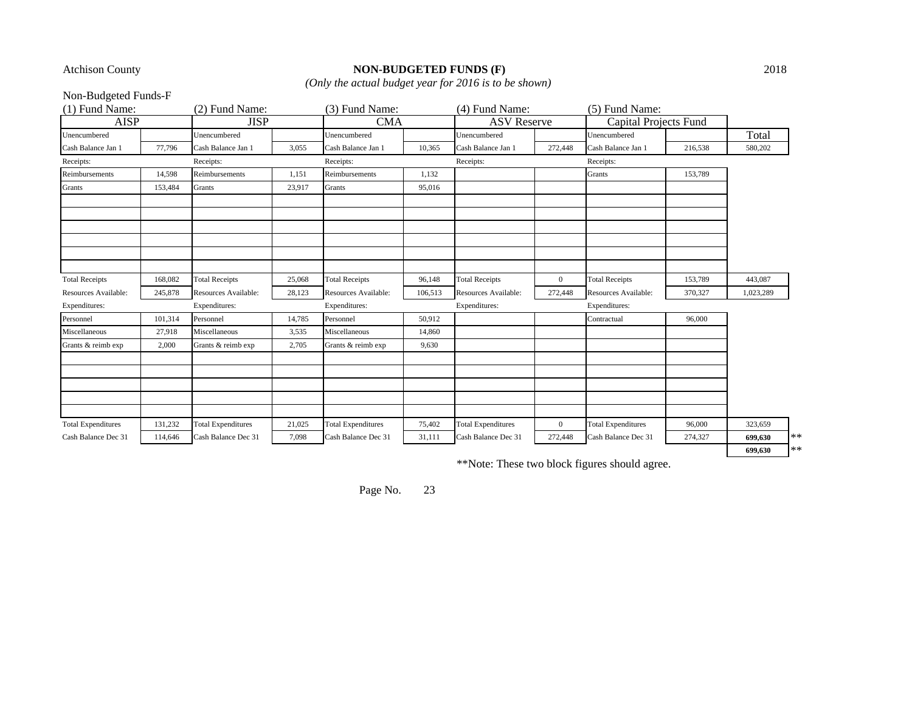# Atchison County **NON-BUDGETED FUNDS (F)** 2018

*(Only the actual budget year for 2016 is to be shown)*

Non-Budgeted Funds-F

| (1) Fund Name:            |         | (2) Fund Name:            |        | (3) Fund Name:            |         | (4) Fund Name:            |                | (5) Fund Name:            |         |           |       |
|---------------------------|---------|---------------------------|--------|---------------------------|---------|---------------------------|----------------|---------------------------|---------|-----------|-------|
| <b>AISP</b>               |         | <b>JISP</b>               |        | <b>CMA</b>                |         | <b>ASV</b> Reserve        |                | Capital Projects Fund     |         |           |       |
| Unencumbered              |         | Unencumbered              |        | Unencumbered              |         | Unencumbered              |                | Unencumbered              |         | Total     |       |
| Cash Balance Jan 1        | 77,796  | Cash Balance Jan 1        | 3,055  | Cash Balance Jan 1        | 10,365  | Cash Balance Jan 1        | 272,448        | Cash Balance Jan 1        | 216,538 | 580,202   |       |
| Receipts:                 |         | Receipts:                 |        | Receipts:                 |         | Receipts:                 |                | Receipts:                 |         |           |       |
| Reimbursements            | 14,598  | Reimbursements            | 1,151  | Reimbursements            | 1,132   |                           |                | Grants                    | 153,789 |           |       |
| Grants                    | 153,484 | Grants                    | 23,917 | Grants                    | 95,016  |                           |                |                           |         |           |       |
|                           |         |                           |        |                           |         |                           |                |                           |         |           |       |
|                           |         |                           |        |                           |         |                           |                |                           |         |           |       |
|                           |         |                           |        |                           |         |                           |                |                           |         |           |       |
| <b>Total Receipts</b>     | 168,082 | <b>Total Receipts</b>     | 25,068 | <b>Total Receipts</b>     | 96,148  | <b>Total Receipts</b>     | $\overline{0}$ | <b>Total Receipts</b>     | 153,789 | 443,087   |       |
| Resources Available:      | 245,878 | Resources Available:      | 28,123 | Resources Available:      | 106,513 | Resources Available:      | 272,448        | Resources Available:      | 370,327 | 1,023,289 |       |
| Expenditures:             |         | Expenditures:             |        | Expenditures:             |         | Expenditures:             |                | Expenditures:             |         |           |       |
| Personnel                 | 101,314 | Personnel                 | 14,785 | Personnel                 | 50,912  |                           |                | Contractual               | 96,000  |           |       |
| Miscellaneous             | 27,918  | Miscellaneous             | 3,535  | Miscellaneous             | 14,860  |                           |                |                           |         |           |       |
| Grants & reimb exp        | 2,000   | Grants & reimb exp        | 2,705  | Grants & reimb exp        | 9,630   |                           |                |                           |         |           |       |
|                           |         |                           |        |                           |         |                           |                |                           |         |           |       |
|                           |         |                           |        |                           |         |                           |                |                           |         |           |       |
| <b>Total Expenditures</b> | 131,232 | <b>Total Expenditures</b> | 21,025 | <b>Total Expenditures</b> | 75,402  | <b>Total Expenditures</b> | $\overline{0}$ | <b>Total Expenditures</b> | 96,000  | 323,659   |       |
| Cash Balance Dec 31       | 114,646 | Cash Balance Dec 31       | 7,098  | Cash Balance Dec 31       | 31,111  | Cash Balance Dec 31       | 272,448        | Cash Balance Dec 31       | 274,327 | 699.630   | $***$ |
|                           |         |                           |        |                           |         |                           |                |                           |         | 699,630   | $**$  |

\*\*Note: These two block figures should agree.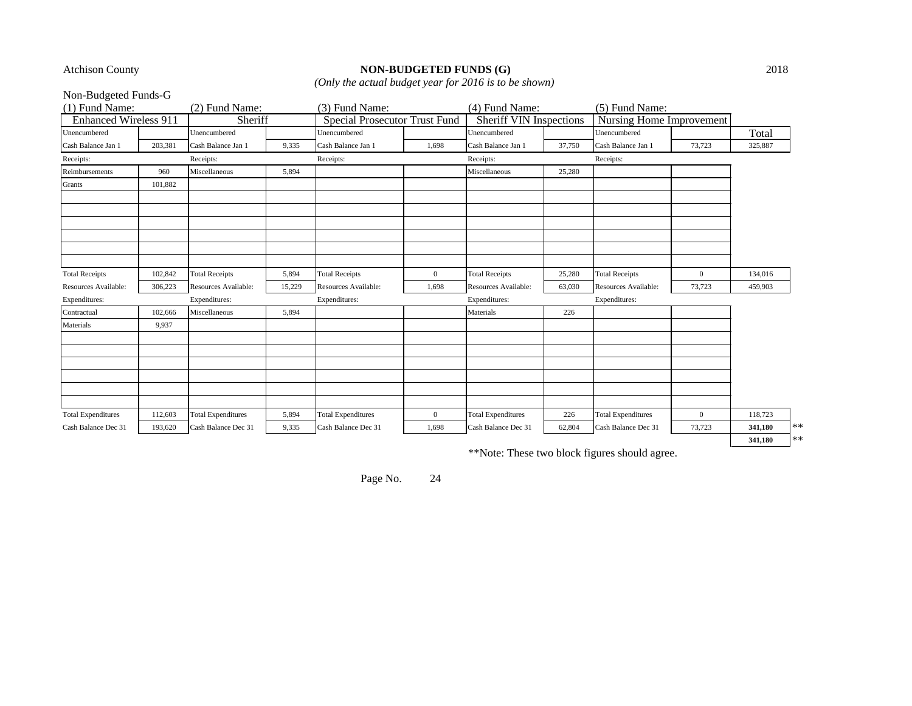# Atchison County **NON-BUDGETED FUNDS (G)** 2018

*(Only the actual budget year for 2016 is to be shown)*

Non-Budgeted Funds-G

| (1) Fund Name:               |         | (2) Fund Name:            |        | (3) Fund Name:                       |                  | (4) Fund Name:                 |        | (5) Fund Name:            |                  |         |      |
|------------------------------|---------|---------------------------|--------|--------------------------------------|------------------|--------------------------------|--------|---------------------------|------------------|---------|------|
| <b>Enhanced Wireless 911</b> |         | Sheriff                   |        | <b>Special Prosecutor Trust Fund</b> |                  | <b>Sheriff VIN Inspections</b> |        | Nursing Home Improvement  |                  |         |      |
| Unencumbered                 |         | Unencumbered              |        | Unencumbered                         |                  | Unencumbered                   |        | Unencumbered              |                  | Total   |      |
| Cash Balance Jan 1           | 203,381 | Cash Balance Jan 1        | 9,335  | Cash Balance Jan 1                   | 1,698            | Cash Balance Jan 1             | 37,750 | Cash Balance Jan 1        | 73,723           | 325,887 |      |
| Receipts:                    |         | Receipts:                 |        | Receipts:                            |                  | Receipts:                      |        | Receipts:                 |                  |         |      |
| Reimbursements               | 960     | Miscellaneous             | 5,894  |                                      |                  | Miscellaneous                  | 25,280 |                           |                  |         |      |
| Grants                       | 101,882 |                           |        |                                      |                  |                                |        |                           |                  |         |      |
|                              |         |                           |        |                                      |                  |                                |        |                           |                  |         |      |
|                              |         |                           |        |                                      |                  |                                |        |                           |                  |         |      |
|                              |         |                           |        |                                      |                  |                                |        |                           |                  |         |      |
|                              |         |                           |        |                                      |                  |                                |        |                           |                  |         |      |
|                              |         |                           |        |                                      |                  |                                |        |                           |                  |         |      |
|                              |         |                           |        |                                      |                  |                                |        |                           |                  |         |      |
| <b>Total Receipts</b>        | 102,842 | <b>Total Receipts</b>     | 5,894  | <b>Total Receipts</b>                | $\overline{0}$   | <b>Total Receipts</b>          | 25,280 | <b>Total Receipts</b>     | $\mathbf{0}$     | 134,016 |      |
| Resources Available:         | 306,223 | Resources Available:      | 15,229 | Resources Available:                 | 1,698            | Resources Available:           | 63,030 | Resources Available:      | 73,723           | 459,903 |      |
| Expenditures:                |         | Expenditures:             |        | Expenditures:                        |                  | Expenditures:                  |        | Expenditures:             |                  |         |      |
| Contractual                  | 102,666 | Miscellaneous             | 5,894  |                                      |                  | Materials                      | 226    |                           |                  |         |      |
| Materials                    | 9,937   |                           |        |                                      |                  |                                |        |                           |                  |         |      |
|                              |         |                           |        |                                      |                  |                                |        |                           |                  |         |      |
|                              |         |                           |        |                                      |                  |                                |        |                           |                  |         |      |
|                              |         |                           |        |                                      |                  |                                |        |                           |                  |         |      |
|                              |         |                           |        |                                      |                  |                                |        |                           |                  |         |      |
|                              |         |                           |        |                                      |                  |                                |        |                           |                  |         |      |
|                              |         |                           |        |                                      |                  |                                |        |                           |                  |         |      |
| <b>Total Expenditures</b>    | 112,603 | <b>Total Expenditures</b> | 5,894  | <b>Total Expenditures</b>            | $\boldsymbol{0}$ | <b>Total Expenditures</b>      | 226    | <b>Total Expenditures</b> | $\boldsymbol{0}$ | 118,723 |      |
| Cash Balance Dec 31          | 193,620 | Cash Balance Dec 31       | 9,335  | Cash Balance Dec 31                  | 1,698            | Cash Balance Dec 31            | 62,804 | Cash Balance Dec 31       | 73,723           | 341,180 | $**$ |
|                              |         |                           |        |                                      |                  |                                |        |                           |                  | 341,180 | $**$ |

\*\*Note: These two block figures should agree.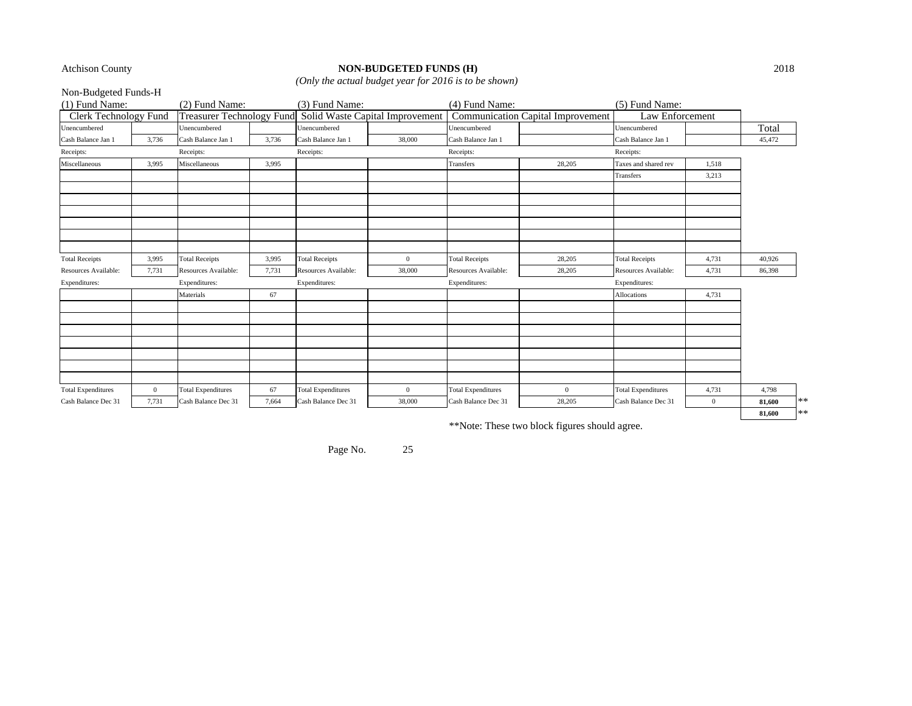#### Atchison County **NON-BUDGETED FUNDS (H)** 2018

*(Only the actual budget year for 2016 is to be shown)*

| Non-Budgeted Funds-H         |                |                           |       |                                                           |                |                           |                                   |                           |                |        |      |
|------------------------------|----------------|---------------------------|-------|-----------------------------------------------------------|----------------|---------------------------|-----------------------------------|---------------------------|----------------|--------|------|
| (1) Fund Name:               |                | (2) Fund Name:            |       | (3) Fund Name:                                            |                | (4) Fund Name:            |                                   | (5) Fund Name:            |                |        |      |
| <b>Clerk Technology Fund</b> |                |                           |       | Treasurer Technology Fund Solid Waste Capital Improvement |                |                           | Communication Capital Improvement | Law Enforcement           |                |        |      |
| Unencumbered                 |                | Unencumbered              |       | Unencumbered                                              |                | Unencumbered              |                                   | Unencumbered              |                | Total  |      |
| Cash Balance Jan 1           | 3,736          | Cash Balance Jan 1        | 3,736 | Cash Balance Jan 1                                        | 38,000         | Cash Balance Jan 1        |                                   | Cash Balance Jan 1        |                | 45,472 |      |
| Receipts:                    |                | Receipts:                 |       | Receipts:                                                 |                | Receipts:                 |                                   | Receipts:                 |                |        |      |
| Miscellaneous                | 3,995          | Miscellaneous             | 3,995 |                                                           |                | Transfers                 | 28,205                            | Taxes and shared rev      | 1,518          |        |      |
|                              |                |                           |       |                                                           |                |                           |                                   | Transfers                 | 3,213          |        |      |
|                              |                |                           |       |                                                           |                |                           |                                   |                           |                |        |      |
|                              |                |                           |       |                                                           |                |                           |                                   |                           |                |        |      |
|                              |                |                           |       |                                                           |                |                           |                                   |                           |                |        |      |
| <b>Total Receipts</b>        | 3,995          | <b>Total Receipts</b>     | 3,995 | <b>Total Receipts</b>                                     | $\overline{0}$ | <b>Total Receipts</b>     | 28,205                            | <b>Total Receipts</b>     | 4,731          | 40,926 |      |
| Resources Available:         | 7,731          | Resources Available:      | 7,731 | Resources Available:                                      | 38,000         | Resources Available:      | 28,205                            | Resources Available:      | 4,731          | 86,398 |      |
| Expenditures:                |                | Expenditures:             |       | Expenditures:                                             |                | Expenditures:             |                                   | Expenditures:             |                |        |      |
|                              |                | Materials                 | 67    |                                                           |                |                           |                                   | Allocations               | 4,731          |        |      |
|                              |                |                           |       |                                                           |                |                           |                                   |                           |                |        |      |
|                              |                |                           |       |                                                           |                |                           |                                   |                           |                |        |      |
|                              |                |                           |       |                                                           |                |                           |                                   |                           |                |        |      |
|                              |                |                           |       |                                                           |                |                           |                                   |                           |                |        |      |
| <b>Total Expenditures</b>    | $\overline{0}$ | <b>Total Expenditures</b> | 67    | <b>Total Expenditures</b>                                 | $\overline{0}$ | <b>Total Expenditures</b> | $\overline{0}$                    | <b>Total Expenditures</b> | 4,731          | 4,798  |      |
| Cash Balance Dec 31          | 7,731          | Cash Balance Dec 31       | 7.664 | Cash Balance Dec 31                                       | 38,000         | Cash Balance Dec 31       | 28,205                            | Cash Balance Dec 31       | $\overline{0}$ | 81,600 | **   |
|                              |                |                           |       |                                                           |                |                           |                                   |                           |                | 81,600 | $**$ |

\*\*Note: These two block figures should agree.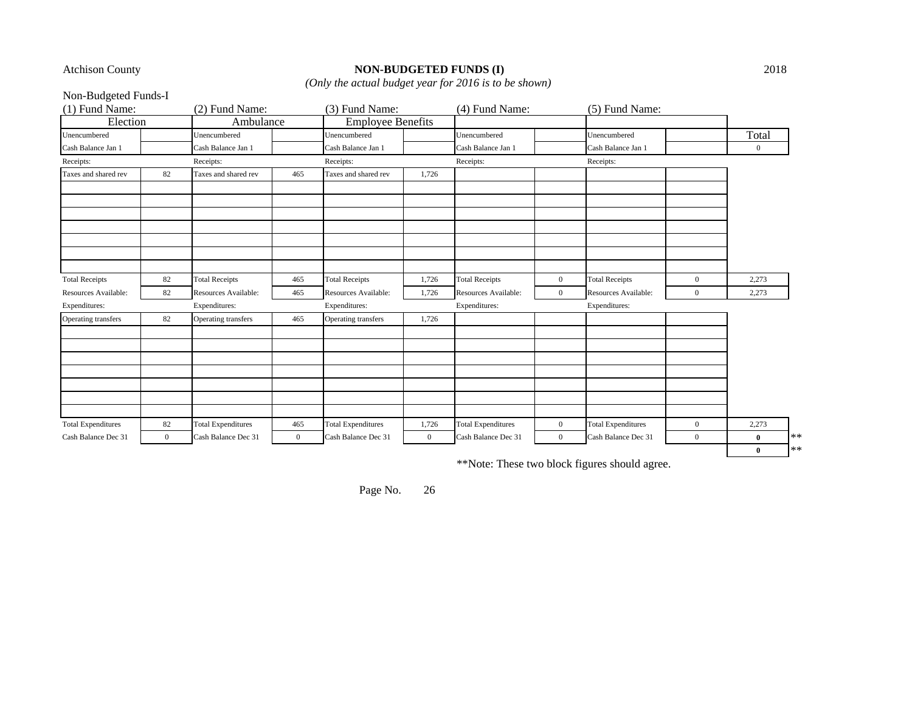# Atchison County **NON-BUDGETED FUNDS (I)** 2018

*(Only the actual budget year for 2016 is to be shown)*

Non-Budgeted Funds-I

| (1) Fund Name:            |              | (2) Fund Name:            |                | (3) Fund Name:            |                | (4) Fund Name:            |                | (5) Fund Name:            |                |              |       |
|---------------------------|--------------|---------------------------|----------------|---------------------------|----------------|---------------------------|----------------|---------------------------|----------------|--------------|-------|
| Election                  |              | Ambulance                 |                | <b>Employee Benefits</b>  |                |                           |                |                           |                |              |       |
| Unencumbered              |              | Unencumbered              |                | Unencumbered              |                | Unencumbered              |                | Unencumbered              |                | Total        |       |
| Cash Balance Jan 1        |              | Cash Balance Jan 1        |                | Cash Balance Jan 1        |                | Cash Balance Jan 1        |                | Cash Balance Jan 1        |                | $\mathbf{0}$ |       |
| Receipts:                 |              | Receipts:                 |                | Receipts:                 |                | Receipts:                 |                | Receipts:                 |                |              |       |
| Taxes and shared rev      | 82           | Taxes and shared rev      | 465            | Taxes and shared rev      | 1,726          |                           |                |                           |                |              |       |
|                           |              |                           |                |                           |                |                           |                |                           |                |              |       |
|                           |              |                           |                |                           |                |                           |                |                           |                |              |       |
|                           |              |                           |                |                           |                |                           |                |                           |                |              |       |
|                           |              |                           |                |                           |                |                           |                |                           |                |              |       |
|                           |              |                           |                |                           |                |                           |                |                           |                |              |       |
|                           |              |                           |                |                           |                |                           |                |                           |                |              |       |
|                           |              |                           |                |                           |                |                           |                |                           |                |              |       |
| <b>Total Receipts</b>     | 82           | <b>Total Receipts</b>     | 465            | <b>Total Receipts</b>     | 1,726          | <b>Total Receipts</b>     | $\overline{0}$ | <b>Total Receipts</b>     | $\overline{0}$ | 2,273        |       |
| Resources Available:      | 82           | Resources Available:      | 465            | Resources Available:      | 1,726          | Resources Available:      | $\mathbf{0}$   | Resources Available:      | $\overline{0}$ | 2,273        |       |
| Expenditures:             |              | Expenditures:             |                | Expenditures:             |                | Expenditures:             |                | Expenditures:             |                |              |       |
| Operating transfers       | 82           | Operating transfers       | 465            | Operating transfers       | 1,726          |                           |                |                           |                |              |       |
|                           |              |                           |                |                           |                |                           |                |                           |                |              |       |
|                           |              |                           |                |                           |                |                           |                |                           |                |              |       |
|                           |              |                           |                |                           |                |                           |                |                           |                |              |       |
|                           |              |                           |                |                           |                |                           |                |                           |                |              |       |
|                           |              |                           |                |                           |                |                           |                |                           |                |              |       |
|                           |              |                           |                |                           |                |                           |                |                           |                |              |       |
|                           |              |                           |                |                           |                |                           |                |                           |                |              |       |
| <b>Total Expenditures</b> | 82           | <b>Total Expenditures</b> | 465            | <b>Total Expenditures</b> | 1,726          | <b>Total Expenditures</b> | $\overline{0}$ | <b>Total Expenditures</b> | $\overline{0}$ | 2,273        |       |
| Cash Balance Dec 31       | $\mathbf{0}$ | Cash Balance Dec 31       | $\overline{0}$ | Cash Balance Dec 31       | $\overline{0}$ | Cash Balance Dec 31       | $\overline{0}$ | Cash Balance Dec 31       | $\overline{0}$ | $\bf{0}$     | $***$ |
|                           |              |                           |                |                           |                |                           |                |                           |                | $\bf{0}$     | $**$  |

\*\*Note: These two block figures should agree.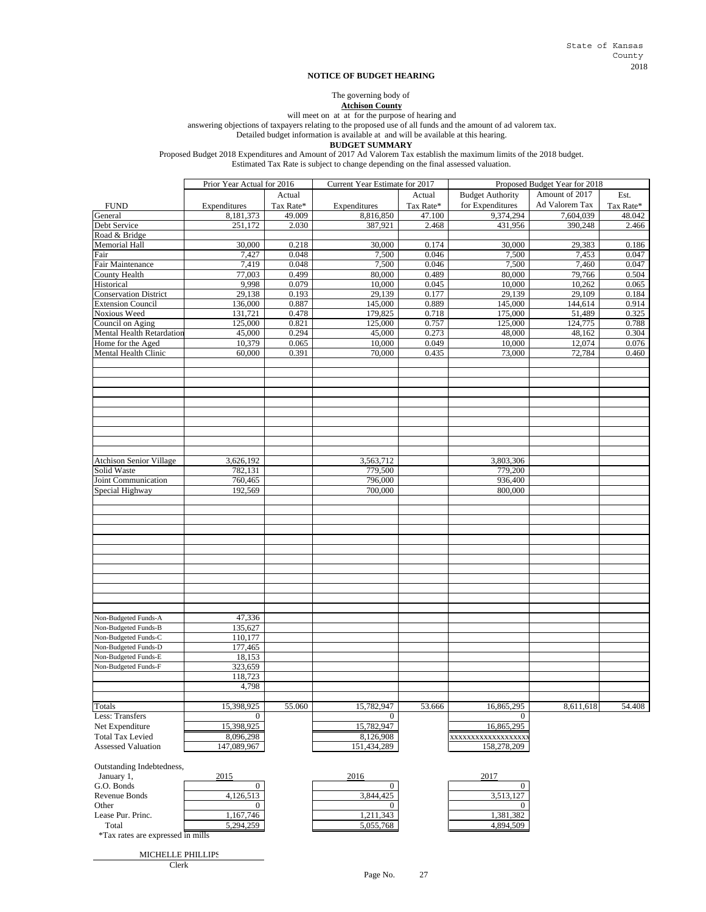#### **NOTICE OF BUDGET HEARING**

The governing body of

**Atchison County**

will meet on at at for the purpose of hearing and

answering objections of taxpayers relating to the proposed use of all funds and the amount of ad valorem tax.

Detailed budget information is available at and will be available at this hearing.

**BUDGET SUMMARY**

Proposed Budget 2018 Expenditures and Amount of 2017 Ad Valorem Tax establish the maximum limits of the 2018 budget.

Estimated Tax Rate is subject to change depending on the final assessed valuation.

|                                           | Prior Year Actual for 2016 |                | Current Year Estimate for 2017 |                | Proposed Budget Year for 2018 |                  |                |  |
|-------------------------------------------|----------------------------|----------------|--------------------------------|----------------|-------------------------------|------------------|----------------|--|
|                                           |                            | Actual         |                                | Actual         | <b>Budget Authority</b>       | Amount of 2017   | Est.           |  |
| <b>FUND</b>                               | Expenditures               | Tax Rate*      | Expenditures                   | Tax Rate*      | for Expenditures              | Ad Valorem Tax   | Tax Rate*      |  |
| General                                   | 8,181,373                  | 49.009         | 8,816,850                      | 47.100         | 9,374,294                     | 7,604,039        | 48.042         |  |
| Debt Service                              | 251,172                    | 2.030          | 387,921                        | 2.468          | 431,956                       | 390,248          | 2.466          |  |
| Road & Bridge                             |                            |                |                                |                |                               |                  |                |  |
| <b>Memorial Hall</b>                      | 30,000                     | 0.218          | 30,000                         | 0.174          | 30,000                        | 29,383           | 0.186          |  |
| Fair                                      | 7,427                      | 0.048          | 7,500                          | 0.046          | 7,500                         | 7,453            | 0.047          |  |
| Fair Maintenance                          | 7,419                      | 0.048          | 7,500                          | 0.046          | 7,500                         | 7,460            | 0.047          |  |
| <b>County Health</b>                      | 77,003                     | 0.499          | 80,000                         | 0.489          | 80,000                        | 79,766           | 0.504          |  |
| Historical                                | 9,998                      | 0.079          | 10,000                         | 0.045          | 10,000                        | 10,262           | 0.065          |  |
| <b>Conservation District</b>              | 29,138                     | 0.193          | 29,139                         | 0.177          | 29,139                        | 29,109           | 0.184          |  |
| <b>Extension Council</b>                  | 136,000                    | 0.887          | 145,000                        | 0.889          | 145,000                       | 144,614          | 0.914          |  |
| <b>Noxious Weed</b>                       | 131,721                    | 0.478          | 179,825                        | 0.718          | 175,000                       | 51,489           | 0.325          |  |
| Council on Aging                          | 125,000                    | 0.821          | 125,000                        | 0.757          | 125,000                       | 124,775          | 0.788          |  |
| Mental Health Retardation                 | 45,000                     | 0.294<br>0.065 | 45,000<br>10,000               | 0.273<br>0.049 | 48,000<br>10,000              | 48,162<br>12,074 | 0.304<br>0.076 |  |
| Home for the Aged<br>Mental Health Clinic | 10,379<br>60,000           | 0.391          | 70,000                         | 0.435          | 73,000                        | 72,784           | 0.460          |  |
|                                           |                            |                |                                |                |                               |                  |                |  |
|                                           |                            |                |                                |                |                               |                  |                |  |
|                                           |                            |                |                                |                |                               |                  |                |  |
|                                           |                            |                |                                |                |                               |                  |                |  |
| <b>Atchison Senior Village</b>            | 3,626,192                  |                | 3,563,712                      |                | 3,803,306                     |                  |                |  |
| Solid Waste                               | 782,131                    |                | 779,500                        |                | 779,200                       |                  |                |  |
| Joint Communication<br>Special Highway    | 760,465<br>192,569         |                | 796,000<br>700,000             |                | 936,400<br>800,000            |                  |                |  |
|                                           |                            |                |                                |                |                               |                  |                |  |
|                                           |                            |                |                                |                |                               |                  |                |  |
|                                           |                            |                |                                |                |                               |                  |                |  |
|                                           |                            |                |                                |                |                               |                  |                |  |
| Non-Budgeted Funds-A                      | 47,336                     |                |                                |                |                               |                  |                |  |
| Non-Budgeted Funds-B                      | 135,627                    |                |                                |                |                               |                  |                |  |
| Non-Budgeted Funds-C                      | 110,177                    |                |                                |                |                               |                  |                |  |
| Non-Budgeted Funds-D                      | 177,465                    |                |                                |                |                               |                  |                |  |
| Non-Budgeted Funds-E                      | 18,153                     |                |                                |                |                               |                  |                |  |
| Non-Budgeted Funds-F                      | 323,659                    |                |                                |                |                               |                  |                |  |
|                                           | 118,723                    |                |                                |                |                               |                  |                |  |
|                                           | 4,798                      |                |                                |                |                               |                  |                |  |
|                                           |                            |                |                                |                |                               |                  |                |  |
| Totals                                    | 15,398,925                 | 55.060         | 15,782,947                     | 53.666         | 16,865,295                    | 8,611,618        | 54.408         |  |
| Less: Transfers                           | $\Omega$                   |                | $\Omega$                       |                | 0                             |                  |                |  |
| Net Expenditure                           | 15,398,925                 |                | 15,782,947                     |                | 16,865,295                    |                  |                |  |
| <b>Total Tax Levied</b>                   | 8,096,298                  |                | 8,126,908                      |                | xxxxxxxxxxxxxxxxxx            |                  |                |  |
| <b>Assessed Valuation</b>                 | 147,089,967                |                | 151,434,289                    |                | 158,278,209                   |                  |                |  |
| Outstanding Indebtedness,                 |                            |                |                                |                |                               |                  |                |  |
| January 1,<br>G.O. Bonds                  | 2015<br>$\overline{0}$     |                | 2016<br>$\Omega$               |                | 2017<br>$\overline{0}$        |                  |                |  |
| Revenue Bonds                             | 4,126,513                  |                | 3,844,425                      |                | 3,513,127                     |                  |                |  |
| Other                                     | $\overline{0}$             |                | $\overline{0}$                 |                | $\Omega$                      |                  |                |  |
| Lease Pur. Princ.                         | 1,167,746                  |                | 1,211,343                      |                | 1,381,382                     |                  |                |  |
| Total                                     | 5.294.259                  |                | 5,055,768                      |                | 4.894.509                     |                  |                |  |
| <i>*Tax rates are expressed in mills</i>  |                            |                |                                |                |                               |                  |                |  |
| MICHELLE PHILLIPS                         |                            |                |                                |                |                               |                  |                |  |